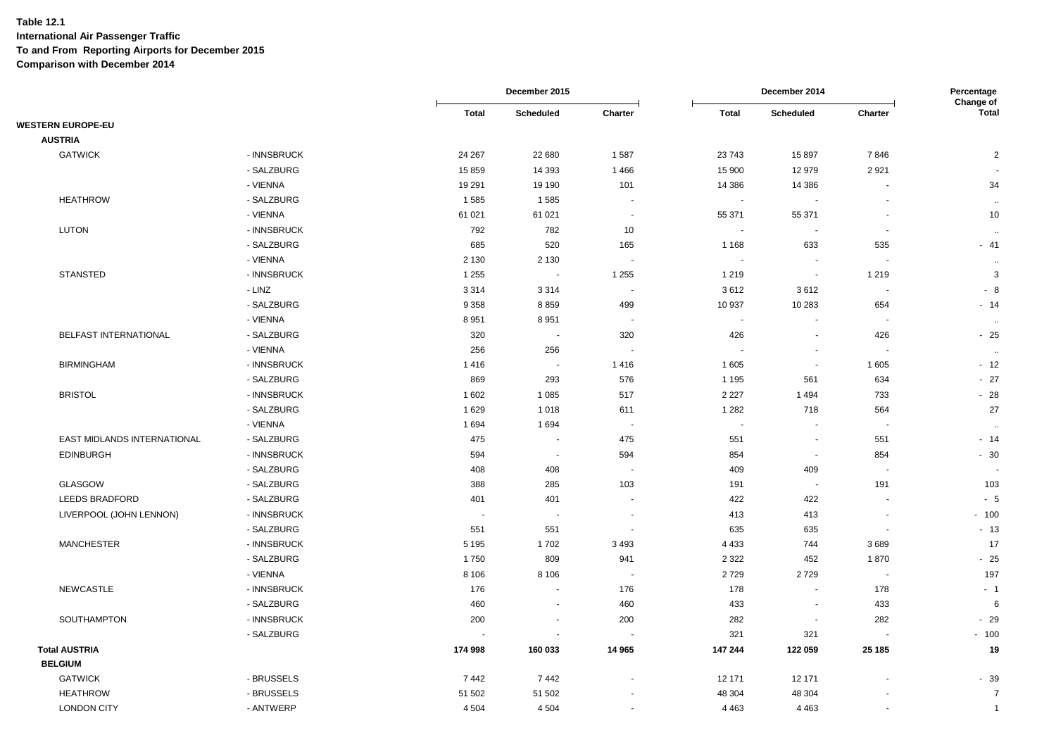|                             |             |              | December 2015    |                          |                          | December 2014            |                          | Percentage<br>Change of |  |
|-----------------------------|-------------|--------------|------------------|--------------------------|--------------------------|--------------------------|--------------------------|-------------------------|--|
|                             |             | <b>Total</b> | <b>Scheduled</b> | Charter                  | <b>Total</b>             | Scheduled                | Charter                  | <b>Total</b>            |  |
| <b>WESTERN EUROPE-EU</b>    |             |              |                  |                          |                          |                          |                          |                         |  |
| <b>AUSTRIA</b>              |             |              |                  |                          |                          |                          |                          |                         |  |
| <b>GATWICK</b>              | - INNSBRUCK | 24 267       | 22 680           | 1587                     | 23 743                   | 15 897                   | 7846                     | $\overline{2}$          |  |
|                             | - SALZBURG  | 15 859       | 14 3 9 3         | 1466                     | 15 900                   | 12 979                   | 2921                     |                         |  |
|                             | - VIENNA    | 19 291       | 19 190           | 101                      | 14 386                   | 14 386                   | $\blacksquare$           | 34                      |  |
| <b>HEATHROW</b>             | - SALZBURG  | 1585         | 1585             | $\overline{\phantom{a}}$ | $\overline{\phantom{a}}$ |                          |                          | $\sim$                  |  |
|                             | - VIENNA    | 61 021       | 61 021           | $\sim$                   | 55 371                   | 55 371                   |                          | 10                      |  |
| <b>LUTON</b>                | - INNSBRUCK | 792          | 782              | 10                       | $\overline{\phantom{a}}$ | ۰.                       | $\overline{\phantom{a}}$ | $\sim$                  |  |
|                             | - SALZBURG  | 685          | 520              | 165                      | 1 1 6 8                  | 633                      | 535                      | $-41$                   |  |
|                             | - VIENNA    | 2 1 3 0      | 2 1 3 0          | $\overline{\phantom{a}}$ | $\sim$                   | $\sim$                   | $\sim$                   | $\ddot{\phantom{a}}$    |  |
| <b>STANSTED</b>             | - INNSBRUCK | 1 2 5 5      | $\sim$           | 1 2 5 5                  | 1 2 1 9                  | $\overline{\phantom{a}}$ | 1 2 1 9                  | 3                       |  |
|                             | - LINZ      | 3 3 1 4      | 3 3 1 4          | $\overline{\phantom{a}}$ | 3612                     | 3612                     | $\sim$                   | $-8$                    |  |
|                             | - SALZBURG  | 9 3 5 8      | 8859             | 499                      | 10 937                   | 10 283                   | 654                      | $-14$                   |  |
|                             | - VIENNA    | 8 9 5 1      | 8951             | $\sim$                   | $\sim$                   |                          |                          | $\sim$                  |  |
| BELFAST INTERNATIONAL       | - SALZBURG  | 320          | $\sim$           | 320                      | 426                      | $\sim$                   | 426                      | $-25$                   |  |
|                             | - VIENNA    | 256          | 256              |                          | $\overline{\phantom{a}}$ | $\blacksquare$           |                          | $\ddotsc$               |  |
| <b>BIRMINGHAM</b>           | - INNSBRUCK | 1416         | $\sim$           | 1416                     | 1 605                    | $\sim$                   | 1 605                    | $-12$                   |  |
|                             | - SALZBURG  | 869          | 293              | 576                      | 1 1 9 5                  | 561                      | 634                      | $-27$                   |  |
| <b>BRISTOL</b>              | - INNSBRUCK | 1 602        | 1 0 8 5          | 517                      | 2 2 2 7                  | 1494                     | 733                      | $-28$                   |  |
|                             | - SALZBURG  | 1629         | 1 0 1 8          | 611                      | 1 2 8 2                  | 718                      | 564                      | 27                      |  |
|                             | - VIENNA    | 1 6 9 4      | 1694             | $\overline{\phantom{a}}$ | $\blacksquare$           | $\blacksquare$           | $\overline{\phantom{a}}$ | $\ddot{\phantom{a}}$    |  |
| EAST MIDLANDS INTERNATIONAL | - SALZBURG  | 475          | $\sim$           | 475                      | 551                      | $\blacksquare$           | 551                      | $-14$                   |  |
| <b>EDINBURGH</b>            | - INNSBRUCK | 594          | $\sim$           | 594                      | 854                      | $\sim$                   | 854                      | $-30$                   |  |
|                             | - SALZBURG  | 408          | 408              | $\sim$                   | 409                      | 409                      | $\sim$                   |                         |  |
| GLASGOW                     | - SALZBURG  | 388          | 285              | 103                      | 191                      | $\sim$                   | 191                      | 103                     |  |
| LEEDS BRADFORD              | - SALZBURG  | 401          | 401              | $\overline{\phantom{a}}$ | 422                      | 422                      | $\overline{\phantom{a}}$ | $-5$                    |  |
| LIVERPOOL (JOHN LENNON)     | - INNSBRUCK | $\sim$       | $\sim$           | $\sim$                   | 413                      | 413                      | $\overline{\phantom{a}}$ | $-100$                  |  |
|                             | - SALZBURG  | 551          | 551              | $\overline{\phantom{a}}$ | 635                      | 635                      | $\blacksquare$           | $-13$                   |  |
| <b>MANCHESTER</b>           | - INNSBRUCK | 5 1 9 5      | 1702             | 3 4 9 3                  | 4 4 3 3                  | 744                      | 3689                     | 17                      |  |
|                             | - SALZBURG  | 1750         | 809              | 941                      | 2 3 2 2                  | 452                      | 1870                     | $-25$                   |  |
|                             | - VIENNA    | 8 1 0 6      | 8 1 0 6          | $\blacksquare$           | 2729                     | 2729                     | $\blacksquare$           | 197                     |  |
| <b>NEWCASTLE</b>            | - INNSBRUCK | 176          | $\sim$           | 176                      | 178                      | $\blacksquare$           | 178                      | - 1                     |  |
|                             | - SALZBURG  | 460          | $\sim$           | 460                      | 433                      | $\sim$                   | 433                      | 6                       |  |
| SOUTHAMPTON                 | - INNSBRUCK | 200          | $\sim$           | 200                      | 282                      | $\sim$                   | 282                      | $-29$                   |  |
|                             | - SALZBURG  |              |                  |                          | 321                      | 321                      |                          | $-100$                  |  |
| <b>Total AUSTRIA</b>        |             | 174 998      | 160 033          | 14 965                   | 147 244                  | 122 059                  | 25 185                   | 19                      |  |
| <b>BELGIUM</b>              |             |              |                  |                          |                          |                          |                          |                         |  |
| <b>GATWICK</b>              | - BRUSSELS  | 7442         | 7442             |                          | 12 171                   | 12 171                   |                          | $-39$                   |  |
| <b>HEATHROW</b>             | - BRUSSELS  | 51 502       | 51 502           |                          | 48 304                   | 48 304                   |                          | $\overline{7}$          |  |
| <b>LONDON CITY</b>          | - ANTWERP   | 4 5 0 4      | 4 5 0 4          | $\sim$                   | 4 4 6 3                  | 4 4 6 3                  |                          | $\mathbf{1}$            |  |
|                             |             |              |                  |                          |                          |                          |                          |                         |  |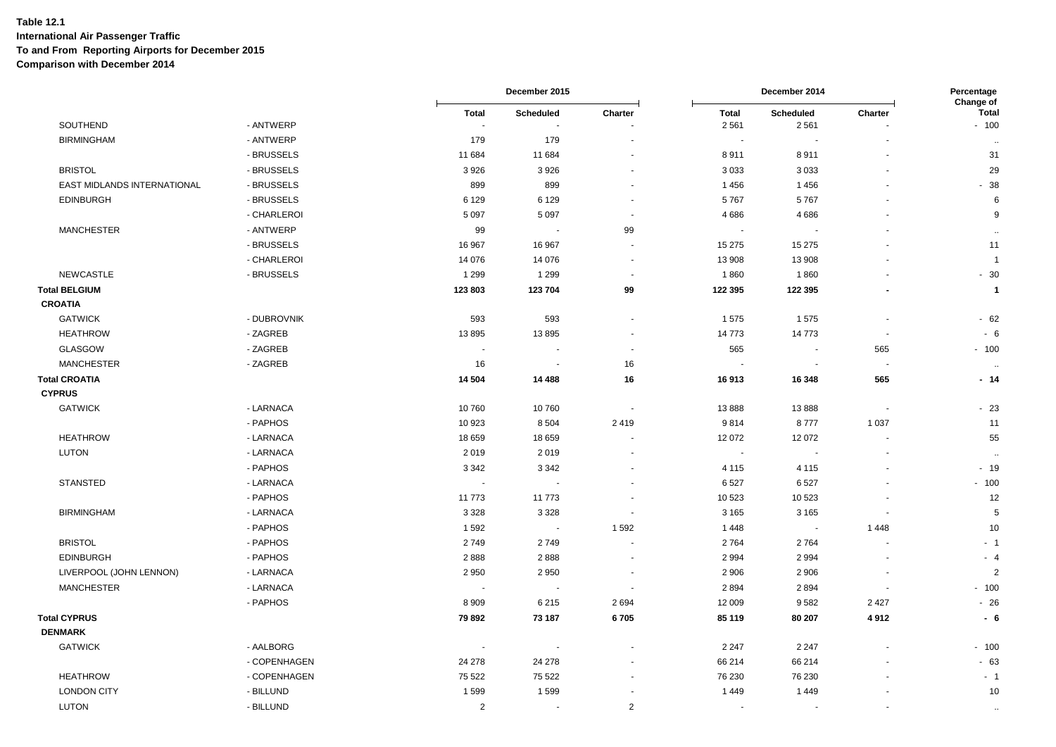|                             |              |                          | December 2015 |                          | December 2014            |                          | Percentage<br>Change of  |                      |
|-----------------------------|--------------|--------------------------|---------------|--------------------------|--------------------------|--------------------------|--------------------------|----------------------|
|                             |              | <b>Total</b>             | Scheduled     | Charter                  | <b>Total</b>             | Scheduled                | Charter                  | <b>Total</b>         |
| SOUTHEND                    | - ANTWERP    | $\overline{\phantom{a}}$ | ÷.            |                          | 2561                     | 2 5 6 1                  |                          | $-100$               |
| <b>BIRMINGHAM</b>           | - ANTWERP    | 179                      | 179           |                          | $\overline{\phantom{a}}$ |                          |                          | $\ddot{\phantom{a}}$ |
|                             | - BRUSSELS   | 11 684                   | 11 684        |                          | 8911                     | 8911                     |                          | 31                   |
| <b>BRISTOL</b>              | - BRUSSELS   | 3926                     | 3926          | $\ddot{\phantom{1}}$     | 3033                     | 3033                     | $\ddot{\phantom{1}}$     | 29                   |
| EAST MIDLANDS INTERNATIONAL | - BRUSSELS   | 899                      | 899           |                          | 1 4 5 6                  | 1456                     |                          | $-38$                |
| <b>EDINBURGH</b>            | - BRUSSELS   | 6 1 2 9                  | 6 1 2 9       |                          | 5767                     | 5767                     |                          | 6                    |
|                             | - CHARLEROI  | 5 0 9 7                  | 5 0 9 7       |                          | 4686                     | 4686                     |                          | 9                    |
| <b>MANCHESTER</b>           | - ANTWERP    | 99                       | ÷.            | 99                       | $\sim$                   |                          |                          | $\sim$               |
|                             | - BRUSSELS   | 16 967                   | 16 967        | $\ddot{\phantom{1}}$     | 15 275                   | 15 275                   |                          | 11                   |
|                             | - CHARLEROI  | 14 0 76                  | 14 0 76       | $\overline{\phantom{a}}$ | 13 908                   | 13 908                   |                          | $\overline{1}$       |
| NEWCASTLE                   | - BRUSSELS   | 1 2 9 9                  | 1 2 9 9       | $\overline{\phantom{a}}$ | 1860                     | 1860                     |                          | $-30$                |
| <b>Total BELGIUM</b>        |              | 123 803                  | 123 704       | 99                       | 122 395                  | 122 395                  |                          | $\overline{1}$       |
| <b>CROATIA</b>              |              |                          |               |                          |                          |                          |                          |                      |
| <b>GATWICK</b>              | - DUBROVNIK  | 593                      | 593           | $\overline{\phantom{a}}$ | 1575                     | 1575                     | $\overline{a}$           | $-62$                |
| <b>HEATHROW</b>             | - ZAGREB     | 13895                    | 13895         | $\overline{\phantom{a}}$ | 14773                    | 14773                    | $\overline{\phantom{a}}$ | $-6$                 |
| <b>GLASGOW</b>              | - ZAGREB     |                          |               |                          | 565                      | $\overline{\phantom{a}}$ | 565                      | $-100$               |
| <b>MANCHESTER</b>           | - ZAGREB     | 16                       | $\sim$        | 16                       | $\sim$                   | $\sim$                   | $\overline{\phantom{a}}$ |                      |
| <b>Total CROATIA</b>        |              | 14 504                   | 14 4 8 8      | 16                       | 16913                    | 16 348                   | 565                      | $-14$                |
| <b>CYPRUS</b>               |              |                          |               |                          |                          |                          |                          |                      |
| <b>GATWICK</b>              | - LARNACA    | 10760                    | 10760         |                          | 13888                    | 13888                    | $\overline{\phantom{a}}$ | $-23$                |
|                             | - PAPHOS     | 10 923                   | 8 5 0 4       | 2419                     | 9814                     | 8777                     | 1 0 3 7                  | 11                   |
| <b>HEATHROW</b>             | - LARNACA    | 18 659                   | 18 659        |                          | 12 072                   | 12072                    | $\blacksquare$           | 55                   |
| <b>LUTON</b>                | - LARNACA    | 2019                     | 2019          |                          | $\sim$                   |                          |                          | $\ddotsc$            |
|                             | - PAPHOS     | 3 3 4 2                  | 3 3 4 2       |                          | 4 1 1 5                  | 4 1 1 5                  |                          | $-19$                |
| <b>STANSTED</b>             | - LARNACA    |                          |               |                          | 6527                     | 6527                     |                          | $-100$               |
|                             | - PAPHOS     | 11773                    | 11 773        |                          | 10 523                   | 10 5 23                  |                          | 12                   |
| <b>BIRMINGHAM</b>           | - LARNACA    | 3 3 2 8                  | 3 3 2 8       | $\sim$                   | 3 1 6 5                  | 3 1 6 5                  | $\sim$                   | 5                    |
|                             | - PAPHOS     | 1592                     | $\sim$        | 1592                     | 1448                     | $\sim$                   | 1448                     | 10                   |
| <b>BRISTOL</b>              | - PAPHOS     | 2749                     | 2749          |                          | 2764                     | 2764                     |                          | $-1$                 |
| <b>EDINBURGH</b>            | - PAPHOS     | 2888                     | 2888          |                          | 2 9 9 4                  | 2994                     |                          | $-4$                 |
| LIVERPOOL (JOHN LENNON)     | - LARNACA    | 2 9 5 0                  | 2950          |                          | 2 9 0 6                  | 2 9 0 6                  |                          | $\overline{2}$       |
| <b>MANCHESTER</b>           | - LARNACA    |                          |               |                          | 2894                     | 2894                     |                          | $-100$               |
|                             | - PAPHOS     | 8 9 0 9                  | 6215          | 2694                     | 12 009                   | 9582                     | 2 4 2 7                  | $-26$                |
| <b>Total CYPRUS</b>         |              | 79 892                   | 73 187        | 6705                     | 85 119                   | 80 20 7                  | 4912                     | $-6$                 |
| <b>DENMARK</b>              |              |                          |               |                          |                          |                          |                          |                      |
| <b>GATWICK</b>              | - AALBORG    |                          | $\sim$        |                          | 2 2 4 7                  | 2 2 4 7                  |                          | $-100$               |
|                             | - COPENHAGEN | 24 278                   | 24 278        |                          | 66 214                   | 66 214                   |                          | $-63$                |
| <b>HEATHROW</b>             | - COPENHAGEN | 75 522                   | 75 522        |                          | 76 230                   | 76 230                   |                          | $-1$                 |
| <b>LONDON CITY</b>          | - BILLUND    | 1599                     | 1599          |                          | 1 4 4 9                  | 1449                     |                          | 10                   |
| <b>LUTON</b>                | - BILLUND    | $\overline{2}$           | $\mathbf{r}$  | 2                        | $\blacksquare$           | $\blacksquare$           |                          | $\ddotsc$            |
|                             |              |                          |               |                          |                          |                          |                          |                      |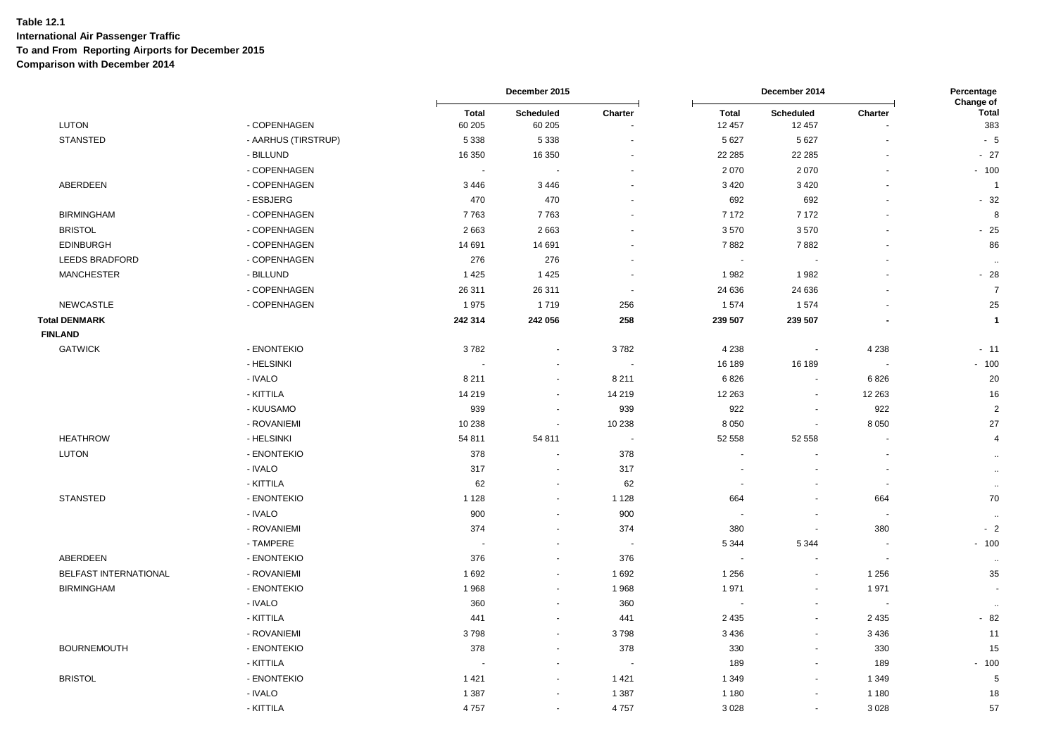|                       |                     |                          | December 2015            |                          |                          | December 2014            |                          | Percentage<br>Change of |  |
|-----------------------|---------------------|--------------------------|--------------------------|--------------------------|--------------------------|--------------------------|--------------------------|-------------------------|--|
| <b>LUTON</b>          | - COPENHAGEN        | <b>Total</b><br>60 205   | Scheduled<br>60 205      | Charter<br>÷.            | <b>Total</b><br>12 457   | Scheduled<br>12 457      | Charter<br>÷.            | <b>Total</b><br>383     |  |
| <b>STANSTED</b>       | - AARHUS (TIRSTRUP) | 5 3 3 8                  | 5 3 3 8                  |                          | 5 6 27                   | 5 6 27                   |                          | - 5                     |  |
|                       | - BILLUND           | 16 350                   | 16 350                   |                          | 22 285                   | 22 285                   |                          | $-27$                   |  |
|                       | - COPENHAGEN        | $\sim$                   | ÷,                       |                          | 2070                     | 2 0 7 0                  |                          | $-100$                  |  |
| ABERDEEN              | - COPENHAGEN        | 3 4 4 6                  | 3446                     |                          | 3 4 2 0                  | 3 4 2 0                  |                          | $\overline{1}$          |  |
|                       | - ESBJERG           | 470                      | 470                      |                          | 692                      | 692                      |                          | $-32$                   |  |
| <b>BIRMINGHAM</b>     | - COPENHAGEN        | 7763                     | 7763                     |                          | 7 172                    | 7 1 7 2                  |                          | $\mathsf{R}$            |  |
| <b>BRISTOL</b>        | - COPENHAGEN        | 2663                     | 2663                     |                          | 3570                     | 3570                     |                          | $-25$                   |  |
| <b>EDINBURGH</b>      | - COPENHAGEN        | 14 691                   | 14 691                   | $\blacksquare$           | 7882                     | 7882                     |                          | 86                      |  |
| <b>LEEDS BRADFORD</b> | - COPENHAGEN        | 276                      | 276                      | $\blacksquare$           | $\sim$                   | $\overline{\phantom{a}}$ |                          | $\sim$                  |  |
| <b>MANCHESTER</b>     | - BILLUND           | 1 4 2 5                  | 1 4 2 5                  | ÷.                       | 1982                     | 1982                     |                          | $-28$                   |  |
|                       | - COPENHAGEN        | 26 311                   | 26 311                   | $\sim$                   | 24 636                   | 24 636                   |                          | $\overline{7}$          |  |
| <b>NEWCASTLE</b>      | - COPENHAGEN        | 1975                     | 1719                     | 256                      | 1574                     | 1574                     | $\overline{\phantom{a}}$ | 25                      |  |
| <b>Total DENMARK</b>  |                     | 242 314                  | 242 056                  | 258                      | 239 507                  | 239 507                  | $\blacksquare$           | $\mathbf{1}$            |  |
| <b>FINLAND</b>        |                     |                          |                          |                          |                          |                          |                          |                         |  |
| <b>GATWICK</b>        | - ENONTEKIO         | 3782                     | $\blacksquare$           | 3782                     | 4 2 3 8                  | $\blacksquare$           | 4 2 3 8                  | $-11$                   |  |
|                       | - HELSINKI          | $\overline{\phantom{a}}$ | $\blacksquare$           | $\overline{\phantom{a}}$ | 16 189                   | 16 189                   | ÷,                       | $-100$                  |  |
|                       | - IVALO             | 8 2 1 1                  | $\blacksquare$           | 8 2 1 1                  | 6826                     | $\sim$                   | 6826                     | 20                      |  |
|                       | - KITTILA           | 14 219                   | $\blacksquare$           | 14 219                   | 12 263                   | $\blacksquare$           | 12 2 63                  | 16                      |  |
|                       | - KUUSAMO           | 939                      | $\blacksquare$           | 939                      | 922                      | $\overline{\phantom{a}}$ | 922                      | 2                       |  |
|                       | - ROVANIEMI         | 10 238                   | $\blacksquare$           | 10 238                   | 8 0 5 0                  | $\blacksquare$           | 8 0 5 0                  | 27                      |  |
| <b>HEATHROW</b>       | - HELSINKI          | 54 811                   | 54 811                   | $\sim$                   | 52 558                   | 52 558                   | $\blacksquare$           | 4                       |  |
| <b>LUTON</b>          | - ENONTEKIO         | 378                      | ä,                       | 378                      | $\tilde{\phantom{a}}$    | $\overline{a}$           | $\blacksquare$           | $\sim$                  |  |
|                       | - IVALO             | 317                      | $\sim$                   | 317                      | ÷.                       |                          | $\overline{\phantom{a}}$ | $\sim$                  |  |
|                       | - KITTILA           | 62                       | $\sim$                   | 62                       | $\overline{\phantom{a}}$ | $\overline{\phantom{a}}$ | $\sim$                   | $\sim$                  |  |
| <b>STANSTED</b>       | - ENONTEKIO         | 1 1 2 8                  | $\blacksquare$           | 1 1 2 8                  | 664                      | $\sim$                   | 664                      | 70                      |  |
|                       | - IVALO             | 900                      | $\blacksquare$           | 900                      | $\sim$                   | $\overline{\phantom{a}}$ | $\blacksquare$           | $\sim$                  |  |
|                       | - ROVANIEMI         | 374                      | $\blacksquare$           | 374                      | 380                      | $\sim$                   | 380                      | $-2$                    |  |
|                       | - TAMPERE           | $\sim$                   | $\blacksquare$           | $\blacksquare$           | 5 3 4 4                  | 5 3 4 4                  | $\overline{a}$           | $-100$                  |  |
| ABERDEEN              | - ENONTEKIO         | 376                      | $\tilde{\phantom{a}}$    | 376                      | $\sim$                   | ä,                       | $\tilde{\phantom{a}}$    | $\sim$                  |  |
| BELFAST INTERNATIONAL | - ROVANIEMI         | 1692                     | $\blacksquare$           | 1692                     | 1 2 5 6                  | $\overline{\phantom{a}}$ | 1 2 5 6                  | 35                      |  |
| <b>BIRMINGHAM</b>     | - ENONTEKIO         | 1968                     | $\sim$                   | 1968                     | 1971                     | $\sim$                   | 1971                     | $\sim$                  |  |
|                       | - IVALO             | 360                      | $\blacksquare$           | 360                      |                          | ÷,                       |                          | $\bullet\bullet$        |  |
|                       | - KITTILA           | 441                      | $\tilde{\phantom{a}}$    | 441                      | 2 4 3 5                  | $\sim$                   | 2 4 3 5                  | $-82$                   |  |
|                       | - ROVANIEMI         | 3798                     | $\blacksquare$           | 3798                     | 3 4 3 6                  | $\sim$                   | 3 4 3 6                  | 11                      |  |
| <b>BOURNEMOUTH</b>    | - ENONTEKIO         | 378                      | $\tilde{\phantom{a}}$    | 378                      | 330                      | $\overline{\phantom{a}}$ | 330                      | 15                      |  |
|                       | - KITTILA           |                          | $\blacksquare$           |                          | 189                      | $\blacksquare$           | 189                      | $-100$                  |  |
| <b>BRISTOL</b>        | - ENONTEKIO         | 1 4 2 1                  | $\overline{\phantom{a}}$ | 1421                     | 1 3 4 9                  | $\sim$                   | 1 3 4 9                  | 5                       |  |
|                       | - IVALO             | 1 3 8 7                  | $\blacksquare$           | 1 3 8 7                  | 1 1 8 0                  | $\blacksquare$           | 1 1 8 0                  | 18                      |  |
|                       | - KITTILA           | 4757                     | $\mathbf{r}$             | 4757                     | 3 0 28                   | $\sim$                   | 3 0 28                   | 57                      |  |
|                       |                     |                          |                          |                          |                          |                          |                          |                         |  |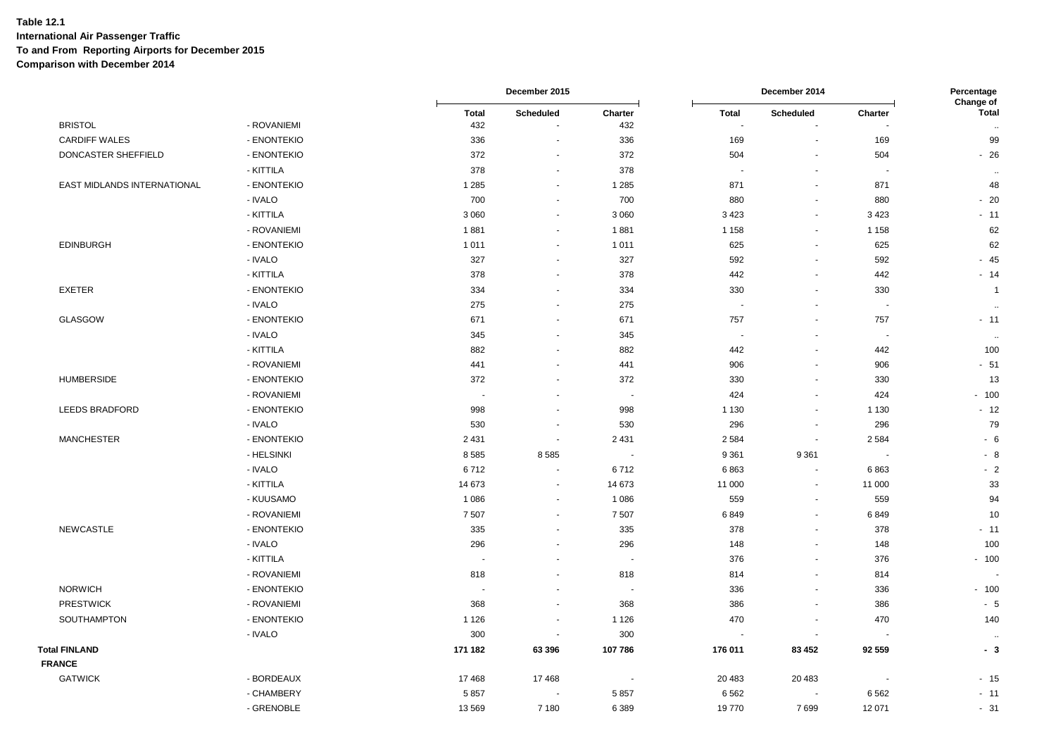|                             |                      |                     | December 2015               |                          |                          | December 2014            |                          | Percentage<br>Change of    |  |
|-----------------------------|----------------------|---------------------|-----------------------------|--------------------------|--------------------------|--------------------------|--------------------------|----------------------------|--|
| <b>BRISTOL</b>              | - ROVANIEMI          | <b>Total</b><br>432 | Scheduled<br>$\blacksquare$ | Charter<br>432           | <b>Total</b><br>$\sim$   | Scheduled                | Charter                  | <b>Total</b>               |  |
| <b>CARDIFF WALES</b>        | - ENONTEKIO          | 336                 | $\overline{\phantom{a}}$    | 336                      | 169                      | $\sim$                   | 169                      | $\ddotsc$<br>99            |  |
| DONCASTER SHEFFIELD         | - ENONTEKIO          | 372                 | $\blacksquare$              | 372                      | 504                      | $\blacksquare$           | 504                      | $-26$                      |  |
|                             | - KITTILA            | 378                 | $\blacksquare$              | 378                      | $\sim$                   | $\blacksquare$           | $\sim$                   |                            |  |
| EAST MIDLANDS INTERNATIONAL | - ENONTEKIO          | 1 2 8 5             | $\blacksquare$              | 1 2 8 5                  | 871                      | $\blacksquare$           | 871                      | $\ddot{\phantom{a}}$<br>48 |  |
|                             | - IVALO              | 700                 | $\sim$                      | 700                      | 880                      | $\overline{\phantom{a}}$ | 880                      | $-20$                      |  |
|                             | - KITTILA            | 3 0 6 0             | $\sim$                      | 3 0 6 0                  | 3 4 2 3                  | $\sim$                   | 3 4 2 3                  | $-11$                      |  |
|                             | - ROVANIEMI          | 1881                | $\blacksquare$              | 1881                     | 1 1 5 8                  | $\blacksquare$           | 1 1 5 8                  | 62                         |  |
| <b>EDINBURGH</b>            | - ENONTEKIO          | 1011                | $\mathbf{u}$                |                          | 625                      | $\sim$                   | 625                      | 62                         |  |
|                             |                      |                     |                             | 1011<br>327              |                          |                          |                          |                            |  |
|                             | - IVALO<br>- KITTILA | 327<br>378          | $\blacksquare$              |                          | 592<br>442               | $\blacksquare$           | 592<br>442               | $-45$                      |  |
|                             |                      |                     | ٠                           | 378                      |                          | $\blacksquare$           |                          | $-14$                      |  |
| <b>EXETER</b>               | - ENONTEKIO          | 334                 | $\blacksquare$              | 334                      | 330                      | $\blacksquare$           | 330                      | $\overline{1}$             |  |
|                             | - IVALO              | 275                 | $\sim$                      | 275                      | $\overline{\phantom{a}}$ | $\overline{\phantom{a}}$ | $\overline{\phantom{a}}$ | $\sim$                     |  |
| <b>GLASGOW</b>              | - ENONTEKIO          | 671                 | $\blacksquare$              | 671                      | 757                      | $\sim$                   | 757                      | $-11$                      |  |
|                             | - IVALO              | 345                 | $\blacksquare$              | 345                      | $\overline{\phantom{a}}$ | $\blacksquare$           |                          | $\alpha$                   |  |
|                             | - KITTILA            | 882                 | $\sim$                      | 882                      | 442                      | $\sim$                   | 442                      | 100                        |  |
|                             | - ROVANIEMI          | 441                 | $\blacksquare$              | 441                      | 906                      | $\blacksquare$           | 906                      | $-51$                      |  |
| <b>HUMBERSIDE</b>           | - ENONTEKIO          | 372                 | $\blacksquare$              | 372                      | 330                      | $\blacksquare$           | 330                      | 13                         |  |
|                             | - ROVANIEMI          | $\sim$              | ä,                          | $\blacksquare$           | 424                      | $\blacksquare$           | 424                      | $-100$                     |  |
| LEEDS BRADFORD              | - ENONTEKIO          | 998                 | ÷                           | 998                      | 1 1 3 0                  | $\sim$                   | 1 1 3 0                  | $-12$                      |  |
|                             | - IVALO              | 530                 | $\sim$                      | 530                      | 296                      | $\overline{\phantom{a}}$ | 296                      | 79                         |  |
| <b>MANCHESTER</b>           | - ENONTEKIO          | 2 4 3 1             | $\blacksquare$              | 2 4 3 1                  | 2 5 8 4                  | $\blacksquare$           | 2 5 8 4                  | $-6$                       |  |
|                             | - HELSINKI           | 8585                | 8585                        | $\overline{\phantom{a}}$ | 9 3 6 1                  | 9 3 6 1                  |                          | $-8$                       |  |
|                             | - IVALO              | 6712                | $\blacksquare$              | 6712                     | 6863                     | $\sim$                   | 6863                     | $-2$                       |  |
|                             | - KITTILA            | 14 673              | ٠                           | 14 673                   | 11 000                   | $\blacksquare$           | 11 000                   | 33                         |  |
|                             | - KUUSAMO            | 1 0 8 6             | $\omega$                    | 1 0 8 6                  | 559                      | $\blacksquare$           | 559                      | 94                         |  |
|                             | - ROVANIEMI          | 7507                | $\overline{\phantom{a}}$    | 7 5 0 7                  | 6849                     | $\sim$                   | 6849                     | 10                         |  |
| <b>NEWCASTLE</b>            | - ENONTEKIO          | 335                 | $\blacksquare$              | 335                      | 378                      | $\sim$                   | 378                      | $-11$                      |  |
|                             | - IVALO              | 296                 | ä,                          | 296                      | 148                      | $\sim$                   | 148                      | 100                        |  |
|                             | - KITTILA            | $\sim$              | ä,                          | $\overline{\phantom{a}}$ | 376                      | $\sim$                   | 376                      | $-100$                     |  |
|                             | - ROVANIEMI          | 818                 | $\blacksquare$              | 818                      | 814                      | $\blacksquare$           | 814                      |                            |  |
| <b>NORWICH</b>              | - ENONTEKIO          |                     |                             | $\overline{\phantom{a}}$ | 336                      | $\blacksquare$           | 336                      | $-100$                     |  |
| <b>PRESTWICK</b>            | - ROVANIEMI          | 368                 | $\sim$                      | 368                      | 386                      | $\blacksquare$           | 386                      | $-5$                       |  |
| SOUTHAMPTON                 | - ENONTEKIO          | 1 1 2 6             | $\sim$                      | 1 1 2 6                  | 470                      | $\sim$                   | 470                      | 140                        |  |
|                             | - IVALO              | 300                 | $\sim$                      | 300                      | $\sim$                   | $\overline{\phantom{a}}$ | ۰.                       | $\ddotsc$                  |  |
| <b>Total FINLAND</b>        |                      | 171 182             | 63 396                      | 107786                   | 176 011                  | 83 452                   | 92 559                   | - 3                        |  |
| <b>FRANCE</b>               |                      |                     |                             |                          |                          |                          |                          |                            |  |
| <b>GATWICK</b>              | - BORDEAUX           | 17468               | 17468                       | г.                       | 20 483                   | 20 4 83                  | $\overline{\phantom{a}}$ | $-15$                      |  |
|                             | - CHAMBERY           | 5857                |                             | 5857                     | 6 5 6 2                  |                          | 6 5 6 2                  | $-11$                      |  |
|                             | - GRENOBLE           | 13569               | 7 1 8 0                     | 6 3 8 9                  | 19770                    | 7699                     | 12 071                   | $-31$                      |  |
|                             |                      |                     |                             |                          |                          |                          |                          |                            |  |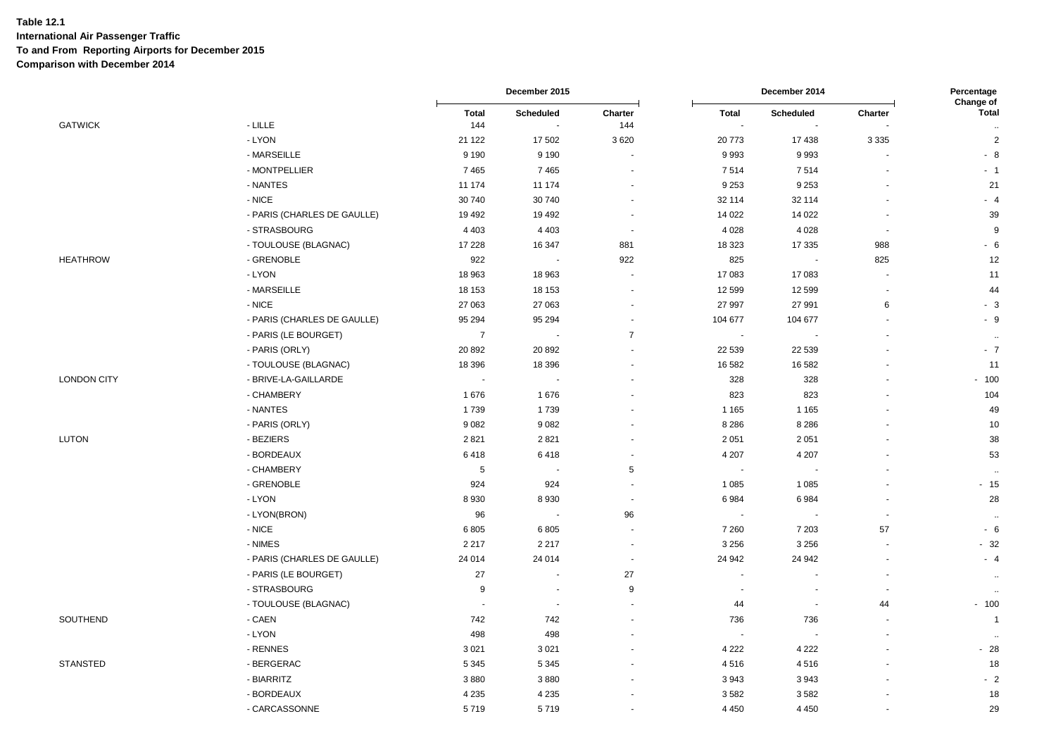|                    |                             |                          | December 2015            |                      | December 2014            |                | Percentage<br>Change of  |                                      |
|--------------------|-----------------------------|--------------------------|--------------------------|----------------------|--------------------------|----------------|--------------------------|--------------------------------------|
| <b>GATWICK</b>     | $-LILLE$                    | <b>Total</b><br>144      | Scheduled                | Charter<br>144       | <b>Total</b><br>$\sim$   | Scheduled      | Charter                  | <b>Total</b><br>$\ddot{\phantom{a}}$ |
|                    | - LYON                      | 21 1 22                  | 17 502                   | 3620                 | 20773                    | 17 438         | 3 3 3 5                  | $\sqrt{2}$                           |
|                    | - MARSEILLE                 | 9 1 9 0                  | 9 1 9 0                  |                      | 9993                     | 9993           | $\blacksquare$           | $-8$                                 |
|                    | - MONTPELLIER               | 7465                     | 7465                     |                      | 7514                     | 7514           |                          | $-1$                                 |
|                    | - NANTES                    | 11 174                   | 11 174                   |                      | 9 2 5 3                  | 9 2 5 3        |                          | 21                                   |
|                    | - NICE                      | 30 740                   | 30 740                   |                      | 32 114                   | 32 114         |                          | $-4$                                 |
|                    | - PARIS (CHARLES DE GAULLE) | 19 4 92                  | 19 4 9 2                 |                      | 14 0 22                  | 14 0 22        | $\overline{\phantom{a}}$ | 39                                   |
|                    | - STRASBOURG                | 4 4 0 3                  | 4 4 0 3                  | $\sim$               | 4 0 28                   | 4 0 28         | $\sim$                   | 9                                    |
|                    | - TOULOUSE (BLAGNAC)        | 17 228                   | 16 347                   | 881                  | 18 3 23                  | 17 335         | 988                      | $-6$                                 |
| <b>HEATHROW</b>    | - GRENOBLE                  | 922                      | $\sim$                   | 922                  | 825                      | $\blacksquare$ | 825                      | 12                                   |
|                    | - LYON                      | 18 963                   | 18 963                   | $\overline{a}$       | 17 083                   | 17083          | $\overline{a}$           | 11                                   |
|                    | - MARSEILLE                 | 18 153                   | 18 153                   |                      | 12 599                   | 12 599         | $\blacksquare$           | 44                                   |
|                    | - NICE                      | 27 063                   | 27 063                   |                      | 27 997                   | 27 991         | $\,6\,$                  | $-3$                                 |
|                    | - PARIS (CHARLES DE GAULLE) | 95 294                   | 95 294                   | $\blacksquare$       | 104 677                  | 104 677        | $\sim$                   | $-9$                                 |
|                    | - PARIS (LE BOURGET)        | $\overline{7}$           |                          | $\overline{7}$       | ÷,                       |                |                          | $\ddot{\phantom{a}}$                 |
|                    | - PARIS (ORLY)              | 20 892                   | 20 892                   |                      | 22 539                   | 22 5 39        |                          | $-7$                                 |
|                    | - TOULOUSE (BLAGNAC)        | 18 396                   | 18 3 96                  | $\ddot{\phantom{1}}$ | 16 582                   | 16 582         |                          | 11                                   |
| <b>LONDON CITY</b> | - BRIVE-LA-GAILLARDE        | $\overline{\phantom{a}}$ | ÷.                       |                      | 328                      | 328            |                          | $-100$                               |
|                    | - CHAMBERY                  | 1676                     | 1676                     |                      | 823                      | 823            |                          | 104                                  |
|                    | - NANTES                    | 1739                     | 1739                     |                      | 1 1 6 5                  | 1 1 6 5        |                          | 49                                   |
|                    | - PARIS (ORLY)              | 9082                     | 9082                     |                      | 8 2 8 6                  | 8 2 8 6        |                          | 10                                   |
| <b>LUTON</b>       | - BEZIERS                   | 2821                     | 2 8 21                   |                      | 2 0 5 1                  | 2 0 5 1        |                          | 38                                   |
|                    | - BORDEAUX                  | 6418                     | 6418                     |                      | 4 2 0 7                  | 4 2 0 7        |                          | 53                                   |
|                    | - CHAMBERY                  | 5                        |                          | 5                    | $\blacksquare$           |                |                          | $\cdot$ .                            |
|                    | - GRENOBLE                  | 924                      | 924                      | $\ddot{\phantom{1}}$ | 1 0 8 5                  | 1 0 8 5        | $\ddot{\phantom{1}}$     | $-15$                                |
|                    | - LYON                      | 8930                     | 8930                     | $\blacksquare$       | 6984                     | 6984           |                          | 28                                   |
|                    | - LYON(BRON)                | 96                       | $\overline{\phantom{a}}$ | 96                   | $\blacksquare$           |                | $\overline{\phantom{a}}$ | $\sim$                               |
|                    | - NICE                      | 6805                     | 6805                     | $\blacksquare$       | 7 2 6 0                  | 7 2 0 3        | 57                       | $-6$                                 |
|                    | - NIMES                     | 2 2 1 7                  | 2 2 1 7                  | ÷.                   | 3 2 5 6                  | 3 2 5 6        | $\overline{a}$           | $-32$                                |
|                    | - PARIS (CHARLES DE GAULLE) | 24 014                   | 24 014                   | ÷,                   | 24 942                   | 24 942         | $\blacksquare$           | $-4$                                 |
|                    | - PARIS (LE BOURGET)        | 27                       | $\overline{\phantom{a}}$ | 27                   | $\overline{\phantom{a}}$ | L.             | ÷,                       | $\ddot{\phantom{1}}$                 |
|                    | - STRASBOURG                | 9                        | $\blacksquare$           | 9                    | $\blacksquare$           | $\overline{a}$ | $\overline{\phantom{a}}$ | $\ddot{\phantom{a}}$                 |
|                    | - TOULOUSE (BLAGNAC)        |                          |                          |                      | 44                       |                | 44                       | $-100$                               |
| SOUTHEND           | - CAEN                      | 742                      | 742                      |                      | 736                      | 736            | $\blacksquare$           | $\overline{1}$                       |
|                    | - LYON                      | 498                      | 498                      |                      | $\overline{\phantom{a}}$ |                |                          | $\ddot{\phantom{a}}$                 |
|                    | - RENNES                    | 3 0 21                   | 3 0 21                   |                      | 4 2 2 2                  | 4 2 2 2        |                          | $-28$                                |
| <b>STANSTED</b>    | - BERGERAC                  | 5 3 4 5                  | 5 3 4 5                  |                      | 4516                     | 4516           |                          | 18                                   |
|                    | - BIARRITZ                  | 3880                     | 3880                     |                      | 3943                     | 3943           |                          | $-2$                                 |
|                    | - BORDEAUX                  | 4 2 3 5                  | 4 2 3 5                  |                      | 3582                     | 3582           |                          | 18                                   |
|                    | - CARCASSONNE               | 5719                     | 5719                     |                      | 4 4 5 0                  | 4 4 5 0        | ä,                       | 29                                   |
|                    |                             |                          |                          |                      |                          |                |                          |                                      |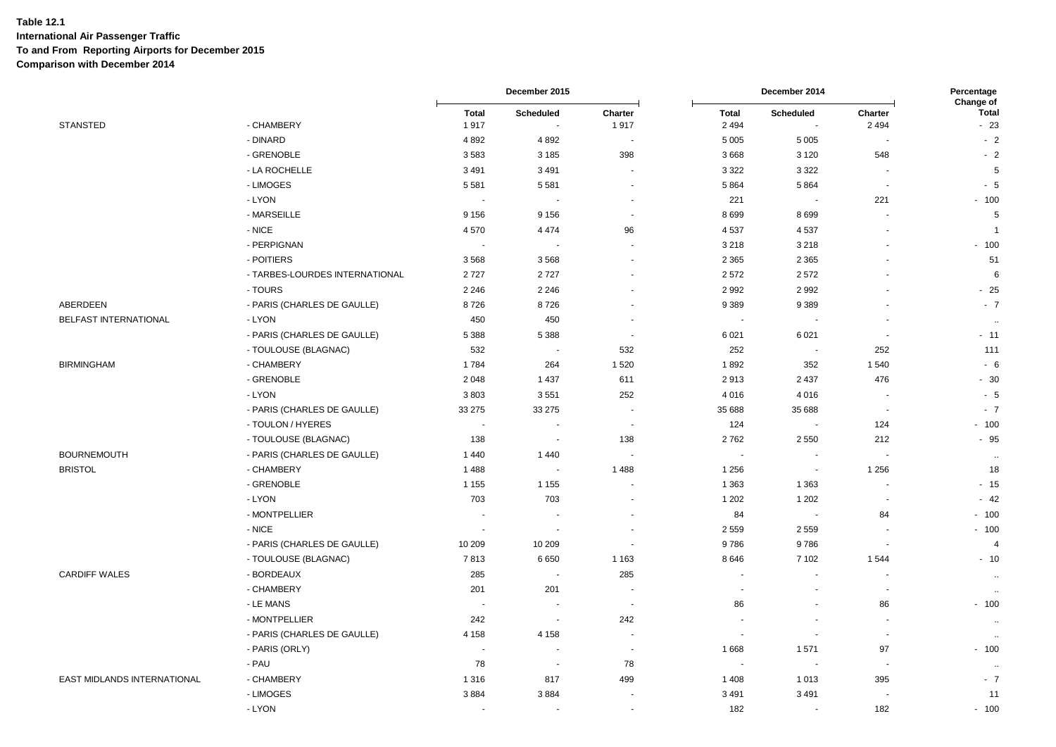|                             |                                |                      | December 2015       |                          | December 2014            |                          | Percentage<br>Change of  |                       |
|-----------------------------|--------------------------------|----------------------|---------------------|--------------------------|--------------------------|--------------------------|--------------------------|-----------------------|
| <b>STANSTED</b>             | - CHAMBERY                     | <b>Total</b><br>1917 | Scheduled<br>$\sim$ | Charter<br>1917          | <b>Total</b><br>2 4 9 4  | Scheduled<br>$\sim$      | Charter<br>2 4 9 4       | <b>Total</b><br>$-23$ |
|                             | - DINARD                       | 4 8 9 2              | 4892                | $\ddot{\phantom{1}}$     | 5 0 0 5                  | 5 0 0 5                  |                          | $-2$                  |
|                             | - GRENOBLE                     | 3583                 | 3 1 8 5             | 398                      | 3668                     | 3 1 2 0                  | 548                      | $-2$                  |
|                             | - LA ROCHELLE                  | 3 4 9 1              | 3 4 9 1             | ÷.                       | 3 3 2 2                  | 3 3 2 2                  | ÷.                       | 5                     |
|                             | - LIMOGES                      | 5 5 8 1              | 5581                | $\blacksquare$           | 5 8 6 4                  | 5864                     | $\overline{\phantom{a}}$ | $-5$                  |
|                             | - LYON                         |                      |                     | $\blacksquare$           | 221                      |                          | 221                      | $-100$                |
|                             | - MARSEILLE                    | 9 1 5 6              | 9 1 5 6             | $\blacksquare$           | 8699                     | 8699                     | ÷.                       | 5                     |
|                             | - NICE                         | 4570                 | 4 4 7 4             | 96                       | 4537                     | 4537                     | $\overline{\phantom{a}}$ | $\overline{1}$        |
|                             | - PERPIGNAN                    |                      |                     | ÷,                       | 3 2 1 8                  | 3 2 1 8                  |                          | $-100$                |
|                             | - POITIERS                     | 3568                 | 3568                | $\ddot{\phantom{1}}$     | 2 3 6 5                  | 2 3 6 5                  |                          | 51                    |
|                             | - TARBES-LOURDES INTERNATIONAL | 2727                 | 2727                |                          | 2572                     | 2572                     |                          | 6                     |
|                             | - TOURS                        | 2 2 4 6              | 2 2 4 6             | $\overline{\phantom{a}}$ | 2 9 9 2                  | 2992                     |                          | $-25$                 |
| ABERDEEN                    | - PARIS (CHARLES DE GAULLE)    | 8726                 | 8726                | $\blacksquare$           | 9 3 8 9                  | 9389                     |                          | $-7$                  |
| BELFAST INTERNATIONAL       | - LYON                         | 450                  | 450                 | $\sim$                   | $\blacksquare$           |                          | $\overline{a}$           | $\sim$                |
|                             | - PARIS (CHARLES DE GAULLE)    | 5 3 8 8              | 5 3 8 8             | ٠.                       | 6 0 21                   | 6 0 21                   |                          | $-11$                 |
|                             | - TOULOUSE (BLAGNAC)           | 532                  | $\overline{a}$      | 532                      | 252                      | $\sim$                   | 252                      | 111                   |
| <b>BIRMINGHAM</b>           | - CHAMBERY                     | 1784                 | 264                 | 1 5 2 0                  | 1892                     | 352                      | 1540                     | $-6$                  |
|                             | - GRENOBLE                     | 2 0 4 8              | 1 4 3 7             | 611                      | 2913                     | 2 4 3 7                  | 476                      | $-30$                 |
|                             | - LYON                         | 3803                 | 3551                | 252                      | 4 0 16                   | 4016                     |                          | $-5$                  |
|                             | - PARIS (CHARLES DE GAULLE)    | 33 275               | 33 275              |                          | 35 688                   | 35 688                   | $\sim$                   | $-7$                  |
|                             | - TOULON / HYERES              | $\sim$               | $\sim$              | $\overline{\phantom{a}}$ | 124                      | $\sim$                   | 124                      | $-100$                |
|                             | - TOULOUSE (BLAGNAC)           | 138                  | $\blacksquare$      | 138                      | 2762                     | 2550                     | 212                      | $-95$                 |
| <b>BOURNEMOUTH</b>          | - PARIS (CHARLES DE GAULLE)    | 1440                 | 1 4 4 0             |                          | $\sim$                   | $\sim$                   |                          | $\ddot{\phantom{a}}$  |
| <b>BRISTOL</b>              | - CHAMBERY                     | 1 4 8 8              |                     | 1488                     | 1 2 5 6                  | $\overline{\phantom{a}}$ | 1 2 5 6                  | 18                    |
|                             | - GRENOBLE                     | 1 1 5 5              | 1 1 5 5             |                          | 1 3 6 3                  | 1 3 6 3                  | . —                      | $-15$                 |
|                             | - LYON                         | 703                  | 703                 | $\overline{\phantom{a}}$ | 1 2 0 2                  | 1 2 0 2                  | ÷.                       | $-42$                 |
|                             | - MONTPELLIER                  | $\overline{a}$       |                     | $\ddot{\phantom{1}}$     | 84                       | $\blacksquare$           | 84                       | $-100$                |
|                             | - NICE                         | $\sim$               | $\sim$              |                          | 2 5 5 9                  | 2 5 5 9                  |                          | $-100$                |
|                             | - PARIS (CHARLES DE GAULLE)    | 10 209               | 10 209              | ÷,                       | 9786                     | 9786                     | ÷,                       | $\overline{4}$        |
|                             | - TOULOUSE (BLAGNAC)           | 7813                 | 6650                | 1 1 6 3                  | 8646                     | 7 1 0 2                  | 1544                     | $-10$                 |
| <b>CARDIFF WALES</b>        | - BORDEAUX                     | 285                  | $\blacksquare$      | 285                      | $\overline{\phantom{a}}$ | ÷,                       |                          | $\sim$                |
|                             | - CHAMBERY                     | 201                  | 201                 | ٠.                       | $\tilde{\phantom{a}}$    | $\sim$                   | $\overline{\phantom{a}}$ | $\ddot{\phantom{a}}$  |
|                             | - LE MANS                      |                      |                     | ٠.                       | 86                       | $\sim$                   | 86                       | $-100$                |
|                             | - MONTPELLIER                  | 242                  | $\sim$              | 242                      | $\overline{\phantom{a}}$ | $\overline{\phantom{a}}$ | $\overline{\phantom{a}}$ | $\ddot{\phantom{a}}$  |
|                             | - PARIS (CHARLES DE GAULLE)    | 4 1 5 8              | 4 1 5 8             | ÷,                       | $\sim$                   | $\sim$                   | $\sim$                   | $\ddotsc$             |
|                             | - PARIS (ORLY)                 | ÷.                   | ÷.                  | $\overline{\phantom{a}}$ | 1668                     | 1571                     | 97                       | $-100$                |
|                             | - PAU                          | 78                   | $\sim$              | 78                       | $\blacksquare$           | $\blacksquare$           | $\sim$                   | ٠.,                   |
| EAST MIDLANDS INTERNATIONAL | - CHAMBERY                     | 1 3 1 6              | 817                 | 499                      | 1 4 0 8                  | 1013                     | 395                      | $-7$                  |
|                             | - LIMOGES                      | 3884                 | 3884                | $\ddot{\phantom{1}}$     | 3 4 9 1                  | 3 4 9 1                  |                          | 11                    |
|                             | - LYON                         | ÷.                   |                     | $\blacksquare$           | 182                      | $\sim$                   | 182                      | $-100$                |
|                             |                                |                      |                     |                          |                          |                          |                          |                       |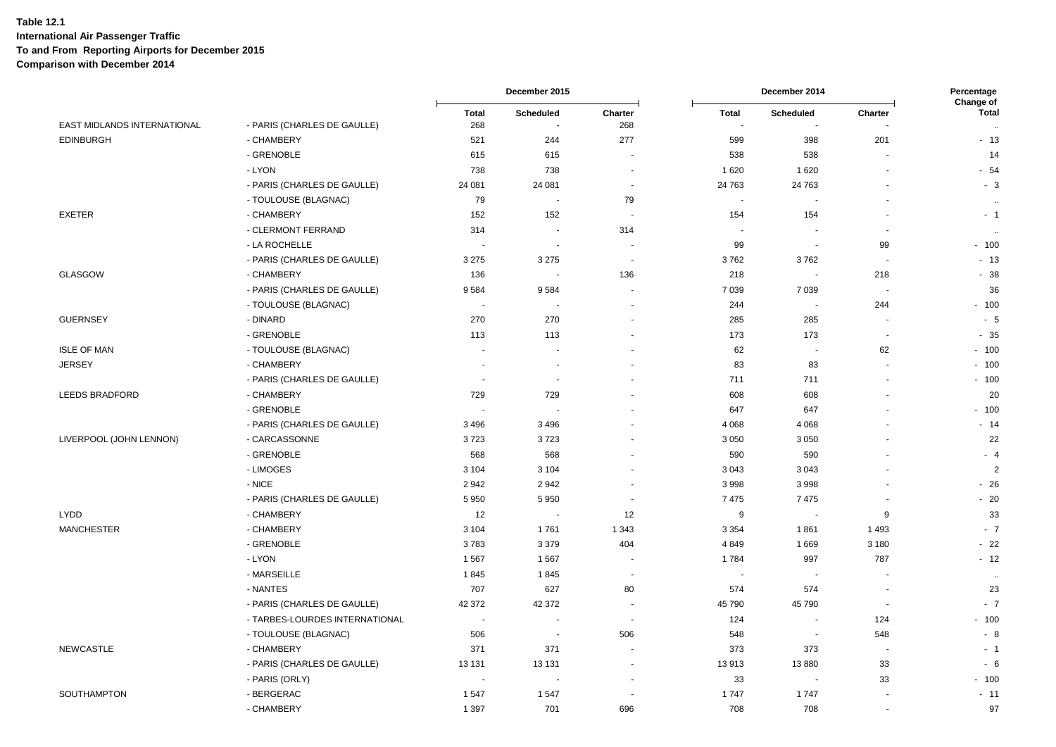|                                    |                                |                          | December 2015            |                          | December 2014          |                          | Percentage<br>Change of  |                          |
|------------------------------------|--------------------------------|--------------------------|--------------------------|--------------------------|------------------------|--------------------------|--------------------------|--------------------------|
| <b>EAST MIDLANDS INTERNATIONAL</b> | - PARIS (CHARLES DE GAULLE)    | <b>Total</b><br>268      | Scheduled<br>÷.          | Charter<br>268           | <b>Total</b><br>$\sim$ | Scheduled<br>$\sim$      | Charter                  | <b>Total</b><br>$\ldots$ |
| <b>EDINBURGH</b>                   | - CHAMBERY                     | 521                      | 244                      | 277                      | 599                    | 398                      | 201                      | $-13$                    |
|                                    | - GRENOBLE                     | 615                      | 615                      |                          | 538                    | 538                      |                          | 14                       |
|                                    | - LYON                         | 738                      | 738                      | $\sim$                   | 1620                   | 1620                     | ÷.                       | $-54$                    |
|                                    | - PARIS (CHARLES DE GAULLE)    | 24 081                   | 24 081                   | $\sim$                   | 24 763                 | 24 763                   | $\overline{a}$           | $-3$                     |
|                                    | - TOULOUSE (BLAGNAC)           | 79                       |                          | 79                       | $\blacksquare$         |                          |                          | $\ddotsc$                |
| <b>EXETER</b>                      | - CHAMBERY                     | 152                      | 152                      |                          | 154                    | 154                      | $\sim$                   | $-1$                     |
|                                    | - CLERMONT FERRAND             | 314                      | $\overline{\phantom{a}}$ | 314                      | $\blacksquare$         |                          | $\overline{\phantom{a}}$ | $\ddot{\phantom{a}}$     |
|                                    | - LA ROCHELLE                  |                          | $\ddot{\phantom{a}}$     |                          | 99                     | $\overline{\phantom{a}}$ | 99                       | $-100$                   |
|                                    | - PARIS (CHARLES DE GAULLE)    | 3 2 7 5                  | 3 2 7 5                  | $\overline{\phantom{a}}$ | 3762                   | 3762                     | ٠.                       | $-13$                    |
| <b>GLASGOW</b>                     | - CHAMBERY                     | 136                      |                          | 136                      | 218                    |                          | 218                      | $-38$                    |
|                                    | - PARIS (CHARLES DE GAULLE)    | 9584                     | 9584                     |                          | 7 0 3 9                | 7 0 3 9                  | $\sim$                   | 36                       |
|                                    | - TOULOUSE (BLAGNAC)           |                          | ÷.                       |                          | 244                    | $\overline{\phantom{a}}$ | 244                      | $-100$                   |
| <b>GUERNSEY</b>                    | - DINARD                       | 270                      | 270                      |                          | 285                    | 285                      | $\overline{\phantom{a}}$ | $-5$                     |
|                                    | - GRENOBLE                     | 113                      | 113                      |                          | 173                    | 173                      | ÷.                       | $-35$                    |
| <b>ISLE OF MAN</b>                 | - TOULOUSE (BLAGNAC)           | $\sim$                   |                          |                          | 62                     | $\blacksquare$           | 62                       | $-100$                   |
| <b>JERSEY</b>                      | - CHAMBERY                     | J.                       | ÷.                       |                          | 83                     | 83                       | ÷.                       | $-100$                   |
|                                    | - PARIS (CHARLES DE GAULLE)    | $\overline{\phantom{a}}$ | $\blacksquare$           |                          | 711                    | 711                      | $\overline{\phantom{a}}$ | $-100$                   |
| <b>LEEDS BRADFORD</b>              | - CHAMBERY                     | 729                      | 729                      |                          | 608                    | 608                      |                          | 20                       |
|                                    | - GRENOBLE                     |                          |                          |                          | 647                    | 647                      |                          | $-100$                   |
|                                    | - PARIS (CHARLES DE GAULLE)    | 3 4 9 6                  | 3496                     |                          | 4 0 68                 | 4 0 6 8                  |                          | $-14$                    |
| LIVERPOOL (JOHN LENNON)            | - CARCASSONNE                  | 3723                     | 3723                     |                          | 3 0 5 0                | 3 0 5 0                  |                          | 22                       |
|                                    | - GRENOBLE                     | 568                      | 568                      |                          | 590                    | 590                      | $\overline{a}$           | $-4$                     |
|                                    | - LIMOGES                      | 3 1 0 4                  | 3 1 0 4                  |                          | 3 0 4 3                | 3 0 4 3                  |                          | $\overline{2}$           |
|                                    | - NICE                         | 2942                     | 2942                     |                          | 3998                   | 3998                     |                          | $-26$                    |
|                                    | - PARIS (CHARLES DE GAULLE)    | 5 9 5 0                  | 5 9 5 0                  | $\sim$                   | 7475                   | 7475                     | $\overline{\phantom{a}}$ | $-20$                    |
| <b>LYDD</b>                        | - CHAMBERY                     | 12                       | $\overline{\phantom{a}}$ | 12                       | 9                      | $\overline{\phantom{a}}$ | 9                        | 33                       |
| <b>MANCHESTER</b>                  | - CHAMBERY                     | 3 1 0 4                  | 1761                     | 1 3 4 3                  | 3 3 5 4                | 1861                     | 1 4 9 3                  | $-7$                     |
|                                    | - GRENOBLE                     | 3783                     | 3 3 7 9                  | 404                      | 4849                   | 1669                     | 3 1 8 0                  | $-22$                    |
|                                    | - LYON                         | 1567                     | 1567                     |                          | 1784                   | 997                      | 787                      | $-12$                    |
|                                    | - MARSEILLE                    | 1845                     | 1845                     |                          | $\sim$                 |                          |                          | $\ddot{\phantom{a}}$     |
|                                    | - NANTES                       | 707                      | 627                      | 80                       | 574                    | 574                      | $\overline{\phantom{a}}$ | 23                       |
|                                    | - PARIS (CHARLES DE GAULLE)    | 42 372                   | 42 372                   |                          | 45 790                 | 45 790                   |                          | $-7$                     |
|                                    | - TARBES-LOURDES INTERNATIONAL | $\sim$                   |                          | $\overline{\phantom{a}}$ | 124                    | $\blacksquare$           | 124                      | $-100$                   |
|                                    | - TOULOUSE (BLAGNAC)           | 506                      | $\blacksquare$           | 506                      | 548                    | ÷.                       | 548                      | $-8$                     |
| <b>NEWCASTLE</b>                   | - CHAMBERY                     | 371                      | 371                      |                          | 373                    | 373                      | $\overline{\phantom{a}}$ | $-1$                     |
|                                    | - PARIS (CHARLES DE GAULLE)    | 13 131                   | 13 131                   |                          | 13913                  | 13880                    | 33                       | $-6$                     |
|                                    | - PARIS (ORLY)                 | $\overline{\phantom{a}}$ | $\overline{\phantom{a}}$ |                          | 33                     | $\blacksquare$           | 33                       | $-100$                   |
| <b>SOUTHAMPTON</b>                 | - BERGERAC                     | 1547                     | 1547                     |                          | 1747                   | 1747                     |                          | $-11$                    |
|                                    | - CHAMBERY                     | 1 3 9 7                  | 701                      | 696                      | 708                    | 708                      |                          | 97                       |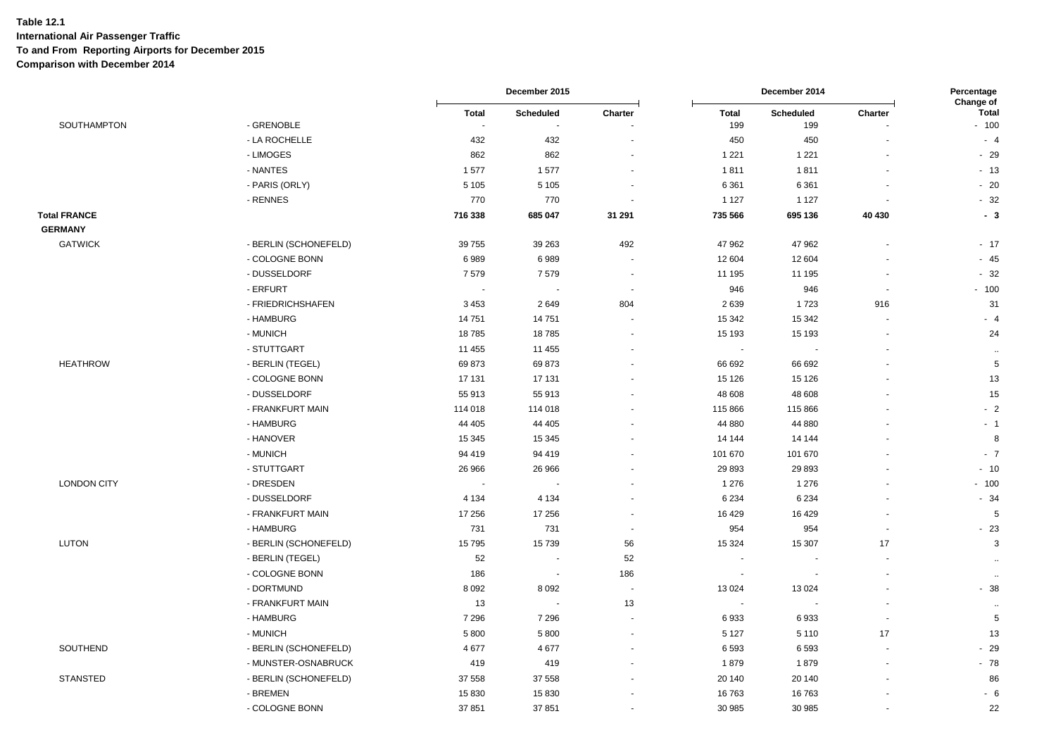|                     |                       |                          | December 2015            | December 2014            |                          | Percentage<br>Change of |                      |                        |
|---------------------|-----------------------|--------------------------|--------------------------|--------------------------|--------------------------|-------------------------|----------------------|------------------------|
| SOUTHAMPTON         | - GRENOBLE            | Total                    | Scheduled                | Charter                  | Total<br>199             | Scheduled<br>199        | Charter              | <b>Total</b><br>$-100$ |
|                     | - LA ROCHELLE         | 432                      | 432                      |                          | 450                      | 450                     |                      | $-4$                   |
|                     | - LIMOGES             | 862                      | 862                      |                          | 1 2 2 1                  | 1 2 2 1                 |                      | $-29$                  |
|                     | - NANTES              | 1577                     | 1577                     |                          | 1811                     | 1811                    |                      | $-13$                  |
|                     | - PARIS (ORLY)        | 5 1 0 5                  | 5 1 0 5                  |                          | 6 3 6 1                  | 6 3 6 1                 |                      | $-20$                  |
|                     | - RENNES              | 770                      | 770                      |                          | 1 1 2 7                  | 1 1 2 7                 |                      | $-32$                  |
| <b>Total FRANCE</b> |                       | 716 338                  | 685 047                  | 31 291                   | 735 566                  | 695 136                 | 40 430               | $-3$                   |
| <b>GERMANY</b>      |                       |                          |                          |                          |                          |                         |                      |                        |
| <b>GATWICK</b>      | - BERLIN (SCHONEFELD) | 39 755                   | 39 263                   | 492                      | 47 962                   | 47 962                  | ä,                   | $-17$                  |
|                     | - COLOGNE BONN        | 6989                     | 6989                     |                          | 12 604                   | 12 604                  |                      | $-45$                  |
|                     | - DUSSELDORF          | 7579                     | 7579                     | $\overline{a}$           | 11 195                   | 11 195                  |                      | $-32$                  |
|                     | - ERFURT              | $\overline{\phantom{a}}$ | $\overline{\phantom{a}}$ | $\sim$                   | 946                      | 946                     | $\blacksquare$       | $-100$                 |
|                     | - FRIEDRICHSHAFEN     | 3 4 5 3                  | 2649                     | 804                      | 2639                     | 1723                    | 916                  | 31                     |
|                     | - HAMBURG             | 14 751                   | 14751                    |                          | 15 342                   | 15 342                  |                      | $-4$                   |
|                     | - MUNICH              | 18785                    | 18785                    |                          | 15 193                   | 15 193                  |                      | 24                     |
|                     | - STUTTGART           | 11 455                   | 11 455                   |                          | $\blacksquare$           |                         |                      | $\ddotsc$              |
| <b>HEATHROW</b>     | - BERLIN (TEGEL)      | 69873                    | 69873                    |                          | 66 692                   | 66 692                  |                      | $\sqrt{5}$             |
|                     | - COLOGNE BONN        | 17 131                   | 17 131                   |                          | 15 1 26                  | 15 1 26                 |                      | 13                     |
|                     | - DUSSELDORF          | 55 913                   | 55 913                   |                          | 48 608                   | 48 608                  |                      | 15                     |
|                     | - FRANKFURT MAIN      | 114 018                  | 114 018                  |                          | 115 866                  | 115 866                 |                      | $-2$                   |
|                     | - HAMBURG             | 44 40 5                  | 44 40 5                  |                          | 44 880                   | 44 880                  |                      | $-1$                   |
|                     | - HANOVER             | 15 345                   | 15 345                   |                          | 14 144                   | 14 144                  |                      | 8                      |
|                     | - MUNICH              | 94 419                   | 94 419                   |                          | 101 670                  | 101 670                 |                      | $-7$                   |
|                     | - STUTTGART           | 26 966                   | 26 966                   |                          | 29 8 93                  | 29 8 93                 |                      | $-10$                  |
| <b>LONDON CITY</b>  | - DRESDEN             |                          |                          |                          | 1 2 7 6                  | 1 2 7 6                 |                      | $-100$                 |
|                     | - DUSSELDORF          | 4 1 3 4                  | 4 1 3 4                  |                          | 6 2 3 4                  | 6 2 3 4                 |                      | $-34$                  |
|                     | - FRANKFURT MAIN      | 17 25 6                  | 17 256                   | $\overline{\phantom{a}}$ | 16 4 29                  | 16 4 29                 | ٠                    | 5                      |
|                     | - HAMBURG             | 731                      | 731                      | $\overline{\phantom{a}}$ | 954                      | 954                     |                      | $-23$                  |
| <b>LUTON</b>        | - BERLIN (SCHONEFELD) | 15795                    | 15 739                   | 56                       | 15 3 24                  | 15 307                  | 17                   | 3                      |
|                     | - BERLIN (TEGEL)      | 52                       |                          | 52                       | $\sim$                   | $\sim$                  | ä,                   | $\ddot{\phantom{a}}$   |
|                     | - COLOGNE BONN        | 186                      | $\sim$                   | 186                      | $\overline{\phantom{a}}$ |                         |                      | $\ddot{\phantom{1}}$   |
|                     | - DORTMUND            | 8 0 9 2                  | 8 0 9 2                  | $\sim$                   | 13 0 24                  | 13 0 24                 | ä,                   | $-38$                  |
|                     | - FRANKFURT MAIN      | 13                       | $\sim$                   | 13                       | $\sim$                   | ÷.                      | $\ddot{\phantom{1}}$ | $\ddotsc$              |
|                     | - HAMBURG             | 7 2 9 6                  | 7 2 9 6                  |                          | 6933                     | 6933                    | ٠                    | $\mathbf 5$            |
|                     | - MUNICH              | 5 800                    | 5 8 0 0                  |                          | 5 1 2 7                  | 5 1 1 0                 | 17                   | 13                     |
| SOUTHEND            | - BERLIN (SCHONEFELD) | 4677                     | 4677                     |                          | 6593                     | 6593                    |                      | $-29$                  |
|                     | - MUNSTER-OSNABRUCK   | 419                      | 419                      |                          | 1879                     | 1879                    |                      | $-78$                  |
| <b>STANSTED</b>     | - BERLIN (SCHONEFELD) | 37 558                   | 37 558                   |                          | 20 140                   | 20 140                  |                      | 86                     |
|                     | - BREMEN              | 15 830                   | 15 830                   |                          | 16763                    | 16763                   |                      | $-6$                   |
|                     | - COLOGNE BONN        | 37851                    | 37 851                   |                          | 30 985                   | 30 985                  |                      | 22                     |
|                     |                       |                          |                          |                          |                          |                         |                      |                        |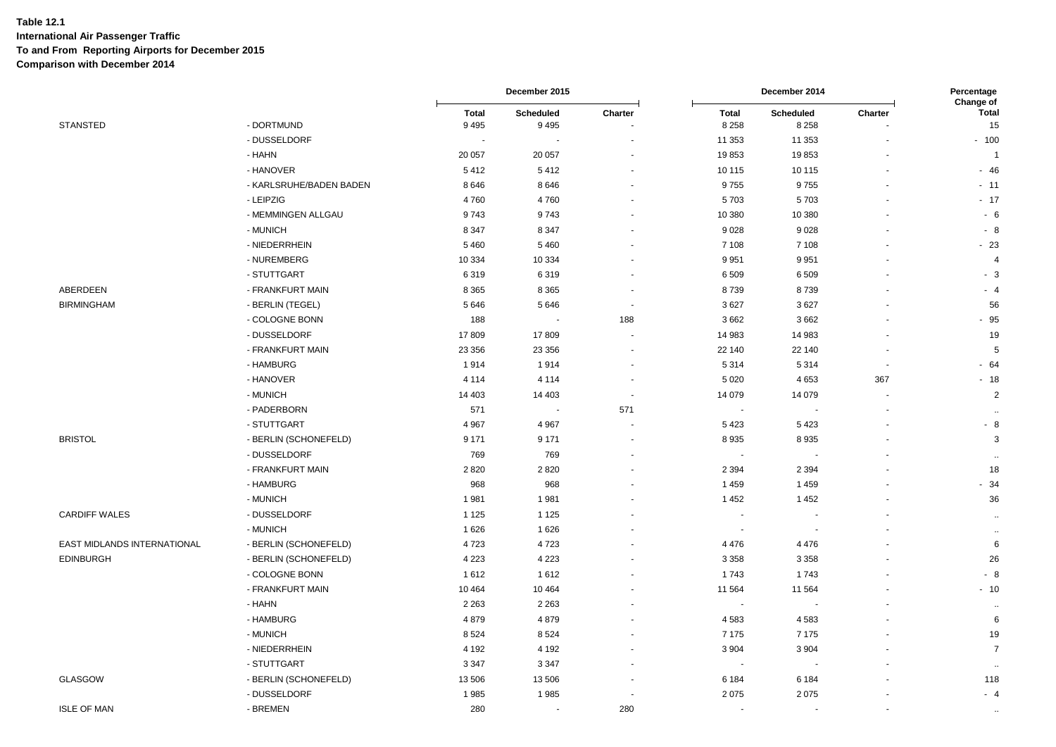|                             |                         |                         | December 2015            |                          |                         | December 2014               |         | Percentage                             |  |
|-----------------------------|-------------------------|-------------------------|--------------------------|--------------------------|-------------------------|-----------------------------|---------|----------------------------------------|--|
| <b>STANSTED</b>             | - DORTMUND              | <b>Total</b><br>9 4 9 5 | Scheduled<br>9495        | Charter                  | <b>Total</b><br>8 2 5 8 | <b>Scheduled</b><br>8 2 5 8 | Charter | <b>Change of</b><br><b>Total</b><br>15 |  |
|                             | - DUSSELDORF            |                         |                          |                          | 11 353                  | 11 353                      |         | $-100$                                 |  |
|                             | - HAHN                  | 20 057                  | 20 057                   |                          | 19853                   | 19853                       |         | $\overline{1}$                         |  |
|                             | - HANOVER               | 5412                    | 5412                     |                          | 10 115                  | 10 115                      |         | $-46$                                  |  |
|                             | - KARLSRUHE/BADEN BADEN | 8646                    | 8646                     |                          | 9755                    | 9755                        |         | $-11$                                  |  |
|                             | - LEIPZIG               | 4760                    | 4760                     |                          | 5703                    | 5703                        |         | $-17$                                  |  |
|                             | - MEMMINGEN ALLGAU      | 9743                    | 9743                     |                          | 10 380                  | 10 380                      |         | - 6                                    |  |
|                             | - MUNICH                | 8 3 4 7                 | 8 3 4 7                  |                          | 9028                    | 9028                        |         | $-8$                                   |  |
|                             | - NIEDERRHEIN           | 5 4 6 0                 | 5 4 6 0                  |                          | 7 1 0 8                 | 7 1 0 8                     |         | $-23$                                  |  |
|                             | - NUREMBERG             | 10 334                  | 10 3 34                  |                          | 9951                    | 9951                        |         | 4                                      |  |
|                             | - STUTTGART             | 6319                    | 6319                     |                          | 6509                    | 6509                        |         | $-3$                                   |  |
| ABERDEEN                    | - FRANKFURT MAIN        | 8 3 6 5                 | 8 3 6 5                  |                          | 8739                    | 8739                        |         | $-4$                                   |  |
| <b>BIRMINGHAM</b>           | - BERLIN (TEGEL)        | 5 6 4 6                 | 5646                     | $\overline{\phantom{a}}$ | 3627                    | 3627                        |         | 56                                     |  |
|                             | - COLOGNE BONN          | 188                     |                          | 188                      | 3662                    | 3662                        |         | $-95$                                  |  |
|                             | - DUSSELDORF            | 17809                   | 17809                    |                          | 14 983                  | 14 983                      |         | 19                                     |  |
|                             | - FRANKFURT MAIN        | 23 356                  | 23 356                   |                          | 22 140                  | 22 140                      |         | 5                                      |  |
|                             | - HAMBURG               | 1914                    | 1914                     |                          | 5 3 1 4                 | 5314                        |         | $-64$                                  |  |
|                             | - HANOVER               | 4 1 1 4                 | 4 1 1 4                  |                          | 5 0 20                  | 4653                        | 367     | $-18$                                  |  |
|                             | - MUNICH                | 14 403                  | 14 403                   | $\sim$                   | 14 079                  | 14 0 79                     |         | $\overline{\mathbf{c}}$                |  |
|                             | - PADERBORN             | 571                     | $\overline{\phantom{a}}$ | 571                      |                         |                             |         | $\cdot$                                |  |
|                             | - STUTTGART             | 4 9 6 7                 | 4 9 6 7                  |                          | 5423                    | 5423                        |         | - 8                                    |  |
| <b>BRISTOL</b>              | - BERLIN (SCHONEFELD)   | 9 1 7 1                 | 9 1 7 1                  |                          | 8935                    | 8935                        |         | 3                                      |  |
|                             | - DUSSELDORF            | 769                     | 769                      |                          |                         |                             |         |                                        |  |
|                             | - FRANKFURT MAIN        | 2820                    | 2820                     |                          | 2 3 9 4                 | 2 3 9 4                     |         | 18                                     |  |
|                             | - HAMBURG               | 968                     | 968                      |                          | 1459                    | 1459                        |         | $-34$                                  |  |
|                             | - MUNICH                | 1981                    | 1981                     |                          | 1452                    | 1452                        |         | 36                                     |  |
| <b>CARDIFF WALES</b>        | - DUSSELDORF            | 1 1 2 5                 | 1 1 2 5                  |                          |                         |                             |         |                                        |  |
|                             | - MUNICH                | 1 6 2 6                 | 1626                     |                          |                         |                             |         | $\ddotsc$                              |  |
| EAST MIDLANDS INTERNATIONAL | - BERLIN (SCHONEFELD)   | 4723                    | 4723                     |                          | 4 4 7 6                 | 4476                        |         | 6                                      |  |
| <b>EDINBURGH</b>            | - BERLIN (SCHONEFELD)   | 4 2 2 3                 | 4 2 2 3                  |                          | 3 3 5 8                 | 3 3 5 8                     |         | 26                                     |  |
|                             | - COLOGNE BONN          | 1612                    | 1612                     |                          | 1743                    | 1743                        |         | $-8$                                   |  |
|                             | - FRANKFURT MAIN        | 10 4 64                 | 10 4 64                  |                          | 11 5 64                 | 11 5 64                     |         | $-10$                                  |  |
|                             | - HAHN                  | 2 2 6 3                 | 2 2 6 3                  |                          |                         |                             |         | $\ddot{\phantom{a}}$                   |  |
|                             | - HAMBURG               | 4879                    | 4879                     |                          | 4583                    | 4583                        |         | 6                                      |  |
|                             | - MUNICH                | 8524                    | 8524                     |                          | 7 1 7 5                 | 7 1 7 5                     |         | 19                                     |  |
|                             | - NIEDERRHEIN           | 4 1 9 2                 | 4 1 9 2                  |                          | 3 9 0 4                 | 3 9 0 4                     |         | $\overline{7}$                         |  |
|                             | - STUTTGART             | 3 3 4 7                 | 3 3 4 7                  |                          |                         |                             |         |                                        |  |
| <b>GLASGOW</b>              | - BERLIN (SCHONEFELD)   | 13 506                  | 13 506                   |                          | 6 1 8 4                 | 6 1 8 4                     |         | 118                                    |  |
|                             | - DUSSELDORF            | 1985                    | 1985                     |                          | 2075                    | 2075                        |         | - 4                                    |  |
| <b>ISLE OF MAN</b>          | - BREMEN                | 280                     | $\blacksquare$           | 280                      |                         |                             |         | $\cdot$                                |  |
|                             |                         |                         |                          |                          |                         |                             |         |                                        |  |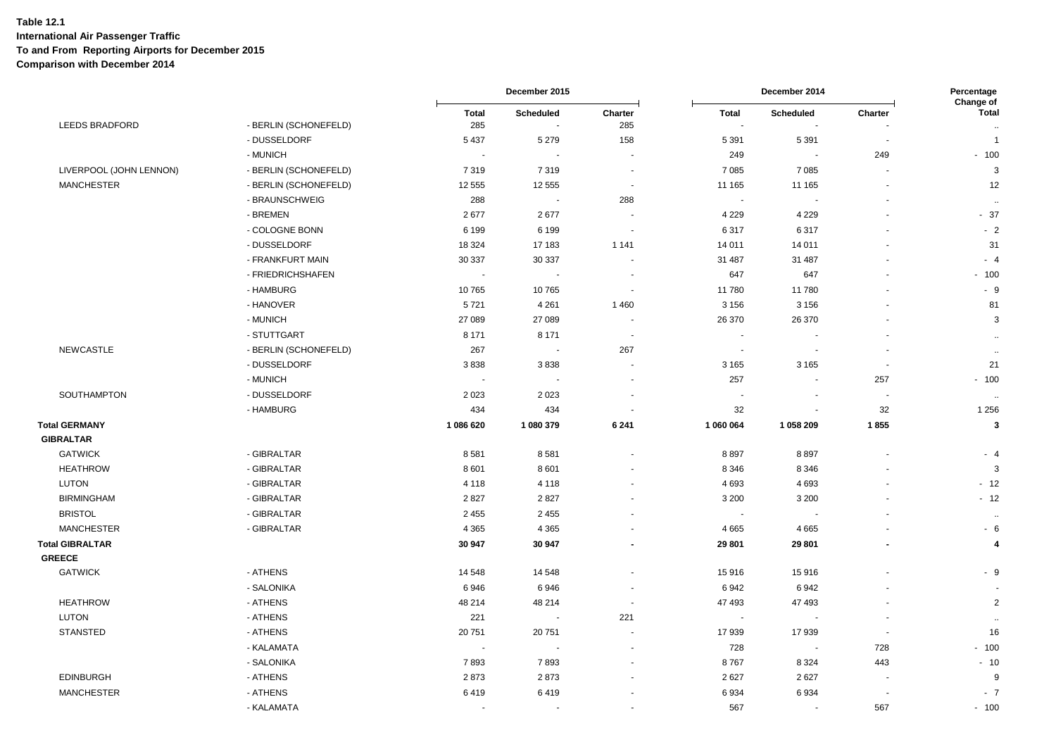|                         |                       |                     | December 2015                      |                          | December 2014            |                                           | Percentage<br>Change of  |                        |
|-------------------------|-----------------------|---------------------|------------------------------------|--------------------------|--------------------------|-------------------------------------------|--------------------------|------------------------|
| LEEDS BRADFORD          | - BERLIN (SCHONEFELD) | <b>Total</b><br>285 | Scheduled<br>$\tilde{\phantom{a}}$ | Charter<br>285           | <b>Total</b><br>$\sim$   | <b>Scheduled</b><br>$\tilde{\phantom{a}}$ | Charter                  | <b>Total</b><br>$\sim$ |
|                         | - DUSSELDORF          | 5 4 3 7             | 5 2 7 9                            | 158                      | 5 3 9 1                  | 5 3 9 1                                   |                          | $\overline{1}$         |
|                         | - MUNICH              | $\sim$              | $\overline{a}$                     | $\sim$                   | 249                      | $\overline{\phantom{a}}$                  | 249                      | $-100$                 |
| LIVERPOOL (JOHN LENNON) | - BERLIN (SCHONEFELD) | 7319                | 7319                               |                          | 7 0 8 5                  | 7 0 8 5                                   | $\sim$                   | 3                      |
| <b>MANCHESTER</b>       | - BERLIN (SCHONEFELD) | 12 555              | 12 555                             | $\blacksquare$           | 11 165                   | 11 165                                    | $\blacksquare$           | 12                     |
|                         | - BRAUNSCHWEIG        | 288                 | $\sim$                             | 288                      | $\sim$                   |                                           |                          | $\sim$                 |
|                         | - BREMEN              | 2677                | 2677                               |                          | 4 2 2 9                  | 4 2 2 9                                   |                          | $-37$                  |
|                         | - COLOGNE BONN        | 6 1 9 9             | 6 1 9 9                            | ٠.                       | 6317                     | 6317                                      |                          | $-2$                   |
|                         | - DUSSELDORF          | 18 3 24             | 17 183                             | 1 1 4 1                  | 14 011                   | 14 011                                    |                          | 31                     |
|                         | - FRANKFURT MAIN      | 30 337              | 30 337                             | $\blacksquare$           | 31 487                   | 31 487                                    |                          | $-4$                   |
|                         | - FRIEDRICHSHAFEN     |                     |                                    |                          | 647                      | 647                                       |                          | $-100$                 |
|                         | - HAMBURG             | 10765               | 10765                              | $\sim$                   | 11780                    | 11780                                     |                          | $-9$                   |
|                         | - HANOVER             | 5721                | 4 2 6 1                            | 1 4 6 0                  | 3 1 5 6                  | 3 1 5 6                                   | $\blacksquare$           | 81                     |
|                         | - MUNICH              | 27 089              | 27 089                             | $\overline{\phantom{a}}$ | 26 370                   | 26 370                                    |                          | 3                      |
|                         | - STUTTGART           | 8 1 7 1             | 8 1 7 1                            | $\overline{\phantom{a}}$ | $\sim$                   | $\sim$                                    |                          | $\bullet\bullet$       |
| <b>NEWCASTLE</b>        | - BERLIN (SCHONEFELD) | 267                 |                                    | 267                      | $\overline{\phantom{a}}$ | $\overline{\phantom{a}}$                  |                          | $\sim$                 |
|                         | - DUSSELDORF          | 3838                | 3838                               | $\sim$                   | 3 1 6 5                  | 3 1 6 5                                   | $\sim$                   | 21                     |
|                         | - MUNICH              | $\sim$              |                                    |                          | 257                      | $\blacksquare$                            | 257                      | $-100$                 |
| SOUTHAMPTON             | - DUSSELDORF          | 2 0 2 3             | 2 0 2 3                            | $\blacksquare$           | $\overline{\phantom{a}}$ | $\blacksquare$                            | $\overline{\phantom{a}}$ | $\sim$                 |
|                         | - HAMBURG             | 434                 | 434                                |                          | 32                       | $\blacksquare$                            | 32                       | 1 2 5 6                |
| <b>Total GERMANY</b>    |                       | 1 086 620           | 1 080 379                          | 6 2 4 1                  | 1 060 064                | 1 058 209                                 | 1855                     | $\mathbf{3}$           |
| <b>GIBRALTAR</b>        |                       |                     |                                    |                          |                          |                                           |                          |                        |
| <b>GATWICK</b>          | - GIBRALTAR           | 8581                | 8581                               | $\ddot{\phantom{1}}$     | 8897                     | 8897                                      | $\ddot{\phantom{1}}$     | - 4                    |
| <b>HEATHROW</b>         | - GIBRALTAR           | 8 6 0 1             | 8 6 0 1                            |                          | 8 3 4 6                  | 8 3 4 6                                   |                          | 3                      |
| <b>LUTON</b>            | - GIBRALTAR           | 4 1 1 8             | 4 1 1 8                            |                          | 4 6 9 3                  | 4693                                      |                          | $-12$                  |
| <b>BIRMINGHAM</b>       | - GIBRALTAR           | 2827                | 2827                               | $\blacksquare$           | 3 2 0 0                  | 3 2 0 0                                   |                          | $-12$                  |
| <b>BRISTOL</b>          | - GIBRALTAR           | 2 4 5 5             | 2 4 5 5                            |                          | $\overline{\phantom{a}}$ |                                           |                          | $\sim$                 |
| <b>MANCHESTER</b>       | - GIBRALTAR           | 4 3 6 5             | 4 3 6 5                            | $\blacksquare$           | 4 6 6 5                  | 4665                                      |                          | $-6$                   |
| <b>Total GIBRALTAR</b>  |                       | 30 947              | 30 947                             |                          | 29 801                   | 29 801                                    | $\blacksquare$           | $\overline{4}$         |
| <b>GREECE</b>           |                       |                     |                                    |                          |                          |                                           |                          |                        |
| <b>GATWICK</b>          | - ATHENS              | 14 548              | 14 548                             |                          | 15916                    | 15916                                     |                          | $-9$                   |
|                         | - SALONIKA            | 6946                | 6946                               | $\blacksquare$           | 6942                     | 6942                                      |                          |                        |
| <b>HEATHROW</b>         | - ATHENS              | 48 214              | 48 214                             | $\overline{\phantom{a}}$ | 47 493                   | 47 493                                    |                          | $\overline{2}$         |
| <b>LUTON</b>            | - ATHENS              | 221                 | $\sim$                             | 221                      | $\overline{\phantom{a}}$ | $\sim$                                    |                          | $\sim$                 |
| <b>STANSTED</b>         | - ATHENS              | 20751               | 20751                              | $\blacksquare$           | 17939                    | 17939                                     | $\overline{\phantom{a}}$ | 16                     |
|                         | - KALAMATA            | $\sim$              | $\overline{\phantom{a}}$           | $\overline{\phantom{a}}$ | 728                      | $\blacksquare$                            | 728                      | $-100$                 |
|                         | - SALONIKA            | 7893                | 7893                               |                          | 8767                     | 8 3 2 4                                   | 443                      | $-10$                  |
| <b>EDINBURGH</b>        | - ATHENS              | 2873                | 2873                               |                          | 2627                     | 2627                                      |                          | 9                      |
| <b>MANCHESTER</b>       | - ATHENS              | 6419                | 6419                               |                          | 6934                     | 6934                                      |                          | $-7$                   |
|                         | - KALAMATA            | $\sim$              | $\blacksquare$                     | $\blacksquare$           | 567                      | $\overline{\phantom{a}}$                  | 567                      | $-100$                 |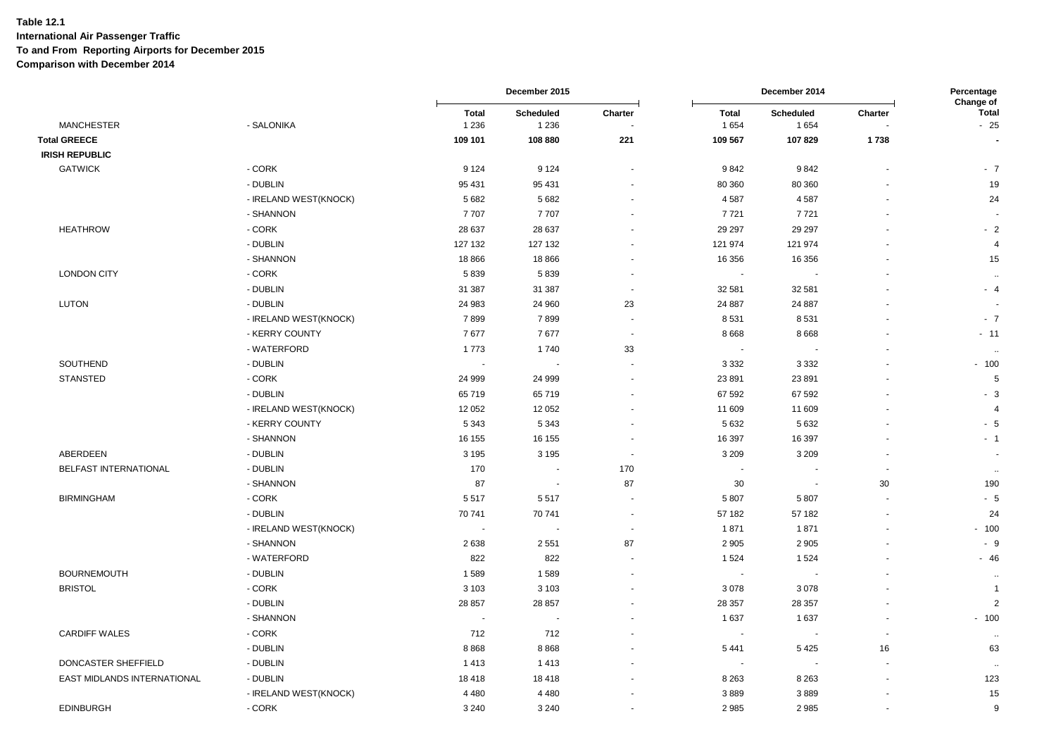|                             |                       |                         | December 2015            |                          |                          | December 2014            |                | Percentage<br>Change of |
|-----------------------------|-----------------------|-------------------------|--------------------------|--------------------------|--------------------------|--------------------------|----------------|-------------------------|
| <b>MANCHESTER</b>           | - SALONIKA            | <b>Total</b><br>1 2 3 6 | Scheduled<br>1 2 3 6     | Charter                  | <b>Total</b><br>1654     | Scheduled<br>1654        | Charter        | <b>Total</b><br>$-25$   |
| <b>Total GREECE</b>         |                       | 109 101                 | 108 880                  | 221                      | 109 567                  | 107829                   | 1738           |                         |
| <b>IRISH REPUBLIC</b>       |                       |                         |                          |                          |                          |                          |                |                         |
| <b>GATWICK</b>              | - CORK                | 9 1 2 4                 | 9 1 2 4                  |                          | 9842                     | 9842                     |                | $-7$                    |
|                             | - DUBLIN              | 95 431                  | 95 431                   |                          | 80 360                   | 80 360                   |                | 19                      |
|                             | - IRELAND WEST(KNOCK) | 5 6 8 2                 | 5 6 8 2                  |                          | 4587                     | 4587                     |                | 24                      |
|                             | - SHANNON             | 7707                    | 7707                     |                          | 7721                     | 7721                     |                |                         |
| <b>HEATHROW</b>             | - CORK                | 28 637                  | 28 637                   |                          | 29 29 7                  | 29 29 7                  |                | $-2$                    |
|                             | - DUBLIN              | 127 132                 | 127 132                  |                          | 121 974                  | 121 974                  |                | 4                       |
|                             | - SHANNON             | 18 866                  | 18 866                   |                          | 16 356                   | 16 35 6                  |                | 15                      |
| <b>LONDON CITY</b>          | - CORK                | 5839                    | 5839                     |                          |                          |                          |                | $\ddot{\phantom{1}}$    |
|                             | - DUBLIN              | 31 387                  | 31 387                   | $\blacksquare$           | 32 581                   | 32 581                   |                | $-4$                    |
| LUTON                       | - DUBLIN              | 24 983                  | 24 960                   | 23                       | 24 887                   | 24 887                   |                |                         |
|                             | - IRELAND WEST(KNOCK) | 7899                    | 7899                     | $\overline{\phantom{a}}$ | 8 5 31                   | 8531                     |                | $-7$                    |
|                             | - KERRY COUNTY        | 7677                    | 7677                     | $\blacksquare$           | 8 6 6 8                  | 8 6 6 8                  |                | $-11$                   |
|                             | - WATERFORD           | 1773                    | 1740                     | 33                       | $\overline{\phantom{a}}$ |                          |                |                         |
| SOUTHEND                    | - DUBLIN              | $\sim$                  | $\overline{\phantom{a}}$ |                          | 3 3 3 2                  | 3 3 3 2                  |                | $-100$                  |
| <b>STANSTED</b>             | - CORK                | 24 999                  | 24 999                   |                          | 23 891                   | 23 891                   |                | 5                       |
|                             | - DUBLIN              | 65719                   | 65719                    |                          | 67 592                   | 67 592                   |                | $-3$                    |
|                             | - IRELAND WEST(KNOCK) | 12 052                  | 12 052                   |                          | 11 609                   | 11 609                   |                | 4                       |
|                             | - KERRY COUNTY        | 5 3 4 3                 | 5 3 4 3                  |                          | 5 6 3 2                  | 5 6 3 2                  |                | $-5$                    |
|                             | - SHANNON             | 16 155                  | 16 155                   |                          | 16 397                   | 16 397                   |                | $-1$                    |
| ABERDEEN                    | - DUBLIN              | 3 1 9 5                 | 3 1 9 5                  | $\overline{\phantom{a}}$ | 3 2 0 9                  | 3 2 0 9                  |                |                         |
| BELFAST INTERNATIONAL       | - DUBLIN              | 170                     |                          | 170                      |                          |                          |                | $\sim$                  |
|                             | - SHANNON             | 87                      | $\overline{\phantom{a}}$ | 87                       | 30                       | $\overline{\phantom{a}}$ | 30             | 190                     |
| <b>BIRMINGHAM</b>           | - CORK                | 5517                    | 5517                     |                          | 5 8 0 7                  | 5807                     |                | $-5$                    |
|                             | - DUBLIN              | 70 741                  | 70 741                   | $\overline{\phantom{a}}$ | 57 182                   | 57 182                   |                | 24                      |
|                             | - IRELAND WEST(KNOCK) |                         |                          | $\overline{\phantom{a}}$ | 1871                     | 1871                     |                | $-100$                  |
|                             | - SHANNON             | 2638                    | 2 5 5 1                  | 87                       | 2 9 0 5                  | 2 9 0 5                  |                | $-9$                    |
|                             | - WATERFORD           | 822                     | 822                      |                          | 1 5 2 4                  | 1524                     |                | $-46$                   |
| <b>BOURNEMOUTH</b>          | - DUBLIN              | 1589                    | 1589                     |                          |                          |                          |                | $\ddotsc$               |
| <b>BRISTOL</b>              | - CORK                | 3 1 0 3                 | 3 1 0 3                  |                          | 3 0 7 8                  | 3078                     |                | $\overline{1}$          |
|                             | - DUBLIN              | 28 857                  | 28 857                   |                          | 28 357                   | 28 357                   |                | $\overline{2}$          |
|                             | - SHANNON             |                         |                          |                          | 1 6 3 7                  | 1637                     |                | $-100$                  |
| <b>CARDIFF WALES</b>        | - CORK                | 712                     | 712                      |                          |                          |                          | $\blacksquare$ | $\sim$                  |
|                             | - DUBLIN              | 8868                    | 8868                     |                          | 5 4 4 1                  | 5425                     | 16             | 63                      |
| DONCASTER SHEFFIELD         | - DUBLIN              | 1413                    | 1413                     |                          |                          |                          |                |                         |
| EAST MIDLANDS INTERNATIONAL | - DUBLIN              | 18418                   | 18418                    |                          | 8 2 6 3                  | 8 2 6 3                  |                | 123                     |
|                             | - IRELAND WEST(KNOCK) | 4 4 8 0                 | 4 4 8 0                  |                          | 3889                     | 3889                     |                | 15                      |
| <b>EDINBURGH</b>            | - CORK                | 3 2 4 0                 | 3 2 4 0                  |                          | 2985                     | 2985                     |                | 9                       |
|                             |                       |                         |                          |                          |                          |                          |                |                         |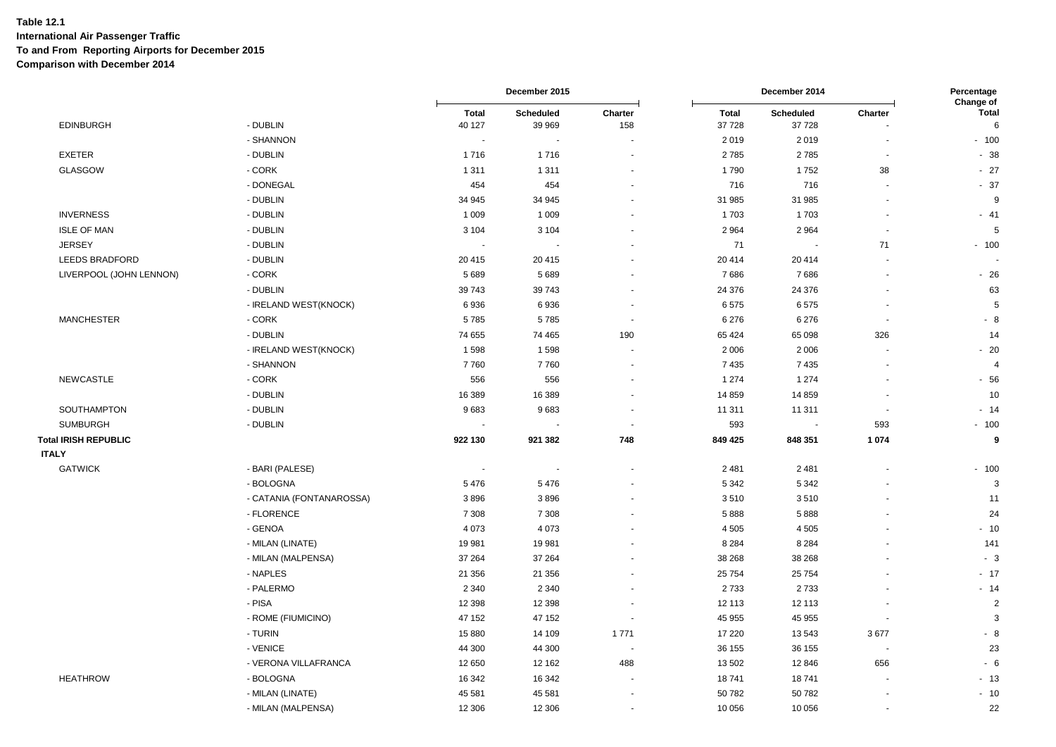|                             |                          |                          | December 2015 |                          |              | December 2014  |         | Percentage<br>Change of |  |
|-----------------------------|--------------------------|--------------------------|---------------|--------------------------|--------------|----------------|---------|-------------------------|--|
|                             |                          | <b>Total</b>             | Scheduled     | Charter                  | <b>Total</b> | Scheduled      | Charter | <b>Total</b>            |  |
| <b>EDINBURGH</b>            | - DUBLIN                 | 40 127                   | 39 969        | 158                      | 37 728       | 37728          |         | 6                       |  |
|                             | - SHANNON                | $\overline{\phantom{a}}$ |               |                          | 2 0 1 9      | 2019           |         | $-100$                  |  |
| <b>EXETER</b>               | - DUBLIN                 | 1716                     | 1716          |                          | 2785         | 2785           |         | $-38$                   |  |
| <b>GLASGOW</b>              | - CORK                   | 1 3 1 1                  | 1 3 1 1       |                          | 1790         | 1752           | 38      | $-27$                   |  |
|                             | - DONEGAL                | 454                      | 454           |                          | 716          | 716            |         | $-37$                   |  |
|                             | - DUBLIN                 | 34 945                   | 34 945        |                          | 31 985       | 31 985         |         | 9                       |  |
| <b>INVERNESS</b>            | - DUBLIN                 | 1 0 0 9                  | 1 0 0 9       |                          | 1703         | 1703           |         | $-41$                   |  |
| <b>ISLE OF MAN</b>          | - DUBLIN                 | 3 1 0 4                  | 3 1 0 4       |                          | 2 9 6 4      | 2964           |         | $\sqrt{5}$              |  |
| <b>JERSEY</b>               | - DUBLIN                 | $\sim$                   |               |                          | 71           |                | 71      | $-100$                  |  |
| LEEDS BRADFORD              | - DUBLIN                 | 20 415                   | 20 4 15       |                          | 20 414       | 20 4 14        |         |                         |  |
| LIVERPOOL (JOHN LENNON)     | - CORK                   | 5 6 8 9                  | 5689          |                          | 7686         | 7686           |         | $-26$                   |  |
|                             | - DUBLIN                 | 39 743                   | 39743         |                          | 24 376       | 24 376         |         | 63                      |  |
|                             | - IRELAND WEST(KNOCK)    | 6936                     | 6936          |                          | 6575         | 6575           |         | $\sqrt{5}$              |  |
| <b>MANCHESTER</b>           | - CORK                   | 5785                     | 5785          | $\blacksquare$           | 6 2 7 6      | 6 2 7 6        |         | - 8                     |  |
|                             | - DUBLIN                 | 74 655                   | 74 465        | 190                      | 65 424       | 65 098         | 326     | 14                      |  |
|                             | - IRELAND WEST(KNOCK)    | 1598                     | 1598          |                          | 2 0 0 6      | 2006           |         | $-20$                   |  |
|                             | - SHANNON                | 7760                     | 7760          |                          | 7435         | 7435           |         | $\overline{4}$          |  |
| <b>NEWCASTLE</b>            | - CORK                   | 556                      | 556           |                          | 1 2 7 4      | 1 2 7 4        |         | $-56$                   |  |
|                             | - DUBLIN                 | 16 389                   | 16 389        |                          | 14 8 59      | 14 8 59        |         | 10                      |  |
| SOUTHAMPTON                 | - DUBLIN                 | 9683                     | 9683          |                          | 11 311       | 11 311         |         | $-14$                   |  |
| <b>SUMBURGH</b>             | - DUBLIN                 |                          |               |                          | 593          | $\blacksquare$ | 593     | $-100$                  |  |
| <b>Total IRISH REPUBLIC</b> |                          | 922 130                  | 921 382       | 748                      | 849 425      | 848 351        | 1 0 7 4 | 9                       |  |
| <b>ITALY</b>                |                          |                          |               |                          |              |                |         |                         |  |
| <b>GATWICK</b>              | - BARI (PALESE)          |                          |               |                          | 2 4 8 1      | 2481           |         | $-100$                  |  |
|                             | - BOLOGNA                | 5476                     | 5476          |                          | 5 3 4 2      | 5 3 4 2        |         | 3                       |  |
|                             | - CATANIA (FONTANAROSSA) | 3896                     | 3896          |                          | 3510         | 3510           |         | 11                      |  |
|                             | - FLORENCE               | 7 3 0 8                  | 7 3 0 8       |                          | 5888         | 5888           |         | 24                      |  |
|                             | - GENOA                  | 4 0 7 3                  | 4 0 7 3       |                          | 4 5 0 5      | 4505           |         | $-10$                   |  |
|                             | - MILAN (LINATE)         | 19 981                   | 19 981        |                          | 8 2 8 4      | 8 2 8 4        |         | 141                     |  |
|                             | - MILAN (MALPENSA)       | 37 264                   | 37 264        |                          | 38 268       | 38 268         |         | $-3$                    |  |
|                             | - NAPLES                 | 21 356                   | 21 356        |                          | 25 754       | 25754          |         | $-17$                   |  |
|                             | - PALERMO                | 2 3 4 0                  | 2 3 4 0       |                          | 2 7 3 3      | 2733           |         | $-14$                   |  |
|                             | - PISA                   | 12 3 98                  | 12 3 98       |                          | 12 113       | 12 113         |         | $\overline{2}$          |  |
|                             | - ROME (FIUMICINO)       | 47 152                   | 47 152        |                          | 45 955       | 45 955         |         | 3                       |  |
|                             | - TURIN                  | 15 880                   | 14 109        | 1771                     | 17 220       | 13543          | 3677    | $-8$                    |  |
|                             | - VENICE                 | 44 300                   | 44 300        | $\overline{\phantom{a}}$ | 36 155       | 36 155         |         | 23                      |  |
|                             | - VERONA VILLAFRANCA     | 12 650                   | 12 162        | 488                      | 13 502       | 12846          | 656     | $-6$                    |  |
| <b>HEATHROW</b>             | - BOLOGNA                | 16 342                   | 16 342        |                          | 18741        | 18741          |         | $-13$                   |  |
|                             | - MILAN (LINATE)         | 45 581                   | 45 581        |                          | 50 782       | 50782          |         | $-10$                   |  |
|                             | - MILAN (MALPENSA)       | 12 306                   | 12 30 6       |                          | 10 056       | 10 056         |         | 22                      |  |
|                             |                          |                          |               |                          |              |                |         |                         |  |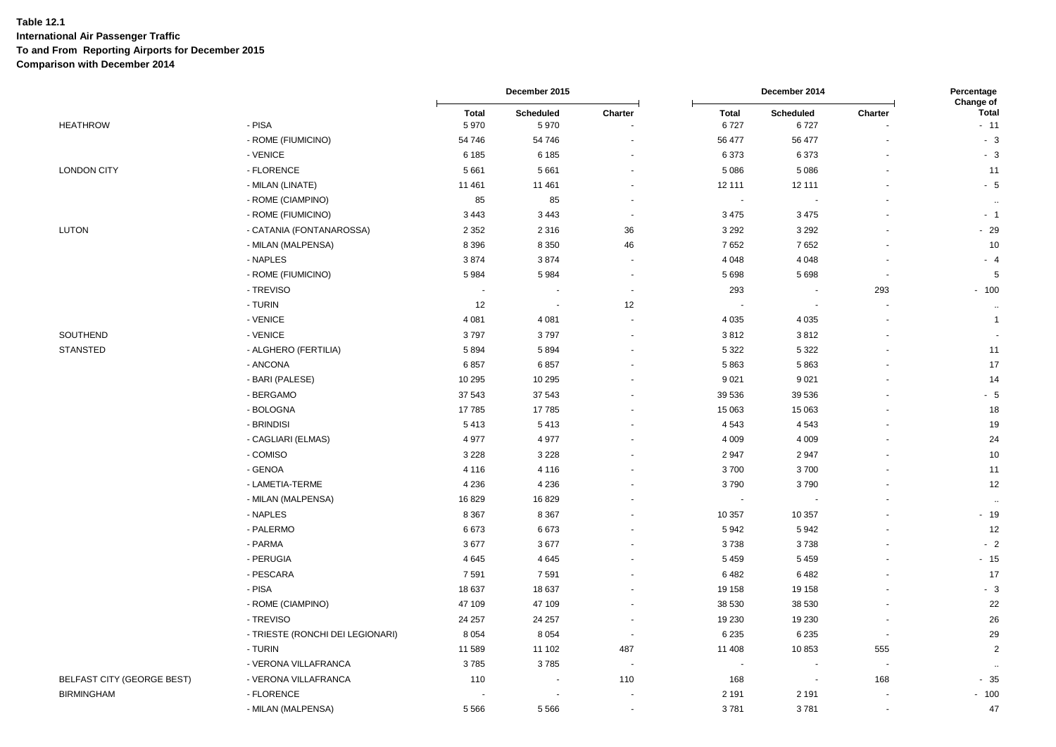|                                   |                                  |                      | December 2015     |                | December 2014        |                   | Percentage<br><b>Change of</b> |                       |
|-----------------------------------|----------------------------------|----------------------|-------------------|----------------|----------------------|-------------------|--------------------------------|-----------------------|
| <b>HEATHROW</b>                   | - PISA                           | <b>Total</b><br>5970 | Scheduled<br>5970 | Charter        | <b>Total</b><br>6727 | Scheduled<br>6727 | Charter                        | <b>Total</b><br>$-11$ |
|                                   | - ROME (FIUMICINO)               | 54 746               | 54 746            |                | 56 477               | 56 477            |                                | $-3$                  |
|                                   | - VENICE                         | 6 1 8 5              | 6 1 8 5           |                | 6373                 | 6373              |                                | $-3$                  |
| <b>LONDON CITY</b>                | - FLORENCE                       | 5 6 6 1              | 5 6 6 1           |                | 5 0 8 6              | 5086              |                                | 11                    |
|                                   | - MILAN (LINATE)                 | 11 461               | 11 461            |                | 12 111               | 12 111            |                                | $-5$                  |
|                                   | - ROME (CIAMPINO)                | 85                   | 85                |                | $\blacksquare$       |                   |                                | $\ddotsc$             |
|                                   | - ROME (FIUMICINO)               | 3 4 4 3              | 3 4 4 3           |                | 3 4 7 5              | 3 4 7 5           |                                | $-1$                  |
| LUTON                             | - CATANIA (FONTANAROSSA)         | 2 3 5 2              | 2 3 1 6           | 36             | 3 2 9 2              | 3 2 9 2           |                                | $-29$                 |
|                                   | - MILAN (MALPENSA)               | 8 3 9 6              | 8 3 5 0           | 46             | 7652                 | 7652              |                                | 10                    |
|                                   | - NAPLES                         | 3874                 | 3874              |                | 4 0 4 8              | 4 0 4 8           |                                | $-4$                  |
|                                   | - ROME (FIUMICINO)               | 5984                 | 5 9 8 4           |                | 5698                 | 5698              |                                | 5                     |
|                                   | - TREVISO                        |                      |                   | $\blacksquare$ | 293                  | $\blacksquare$    | 293                            | $-100$                |
|                                   | - TURIN                          | 12                   | $\blacksquare$    | 12             |                      |                   |                                | $\ddot{\phantom{a}}$  |
|                                   | - VENICE                         | 4 0 8 1              | 4 0 8 1           |                | 4 0 3 5              | 4 0 3 5           |                                | $\overline{1}$        |
| SOUTHEND                          | - VENICE                         | 3797                 | 3797              |                | 3812                 | 3812              |                                |                       |
| <b>STANSTED</b>                   | - ALGHERO (FERTILIA)             | 5894                 | 5894              |                | 5 3 2 2              | 5 3 2 2           |                                | 11                    |
|                                   | - ANCONA                         | 6857                 | 6857              |                | 5863                 | 5863              |                                | 17                    |
|                                   | - BARI (PALESE)                  | 10 295               | 10 295            |                | 9 0 21               | 9021              |                                | 14                    |
|                                   | - BERGAMO                        | 37 543               | 37 543            |                | 39 536               | 39 536            |                                | $-5$                  |
|                                   | - BOLOGNA                        | 17785                | 17785             |                | 15 063               | 15 063            |                                | 18                    |
|                                   | - BRINDISI                       | 5413                 | 5413              |                | 4543                 | 4543              |                                | 19                    |
|                                   | - CAGLIARI (ELMAS)               | 4 9 7 7              | 4977              |                | 4 0 0 9              | 4 0 0 9           |                                | 24                    |
|                                   | - COMISO                         | 3 2 2 8              | 3 2 2 8           |                | 2947                 | 2947              |                                | 10                    |
|                                   | - GENOA                          | 4 1 1 6              | 4 1 1 6           |                | 3700                 | 3700              |                                | 11                    |
|                                   | - LAMETIA-TERME                  | 4 2 3 6              | 4 2 3 6           |                | 3790                 | 3790              |                                | 12                    |
|                                   | - MILAN (MALPENSA)               | 16829                | 16829             |                | $\blacksquare$       |                   |                                | $\ddotsc$             |
|                                   | - NAPLES                         | 8 3 6 7              | 8 3 6 7           |                | 10 357               | 10 357            |                                | $-19$                 |
|                                   | - PALERMO                        | 6673                 | 6673              |                | 5942                 | 5942              |                                | 12                    |
|                                   | - PARMA                          | 3677                 | 3677              |                | 3738                 | 3738              |                                | $-2$                  |
|                                   | - PERUGIA                        | 4 6 4 5              | 4645              |                | 5 4 5 9              | 5459              |                                | $-15$                 |
|                                   | - PESCARA                        | 7591                 | 7591              |                | 6482                 | 6482              |                                | 17                    |
|                                   | - PISA                           | 18 637               | 18 637            |                | 19 158               | 19 158            |                                | $-3$                  |
|                                   | - ROME (CIAMPINO)                | 47 109               | 47 109            |                | 38 530               | 38 530            |                                | 22                    |
|                                   | - TREVISO                        | 24 257               | 24 257            |                | 19 230               | 19 2 30           |                                | 26                    |
|                                   | - TRIESTE (RONCHI DEI LEGIONARI) | 8 0 5 4              | 8 0 5 4           | $\sim$         | 6 2 3 5              | 6 2 3 5           | $\sim$                         | 29                    |
|                                   | - TURIN                          | 11 589               | 11 102            | 487            | 11 408               | 10853             | 555                            | $\overline{2}$        |
|                                   | - VERONA VILLAFRANCA             | 3785                 | 3785              |                | $\blacksquare$       |                   |                                | ٠.                    |
| <b>BELFAST CITY (GEORGE BEST)</b> | - VERONA VILLAFRANCA             | 110                  |                   | 110            | 168                  | $\sim$            | 168                            | $-35$                 |
| <b>BIRMINGHAM</b>                 | - FLORENCE                       |                      |                   |                | 2 1 9 1              | 2 1 9 1           |                                | $-100$                |
|                                   | - MILAN (MALPENSA)               | 5566                 | 5566              | ä,             | 3781                 | 3781              | $\sim$                         | 47                    |
|                                   |                                  |                      |                   |                |                      |                   |                                |                       |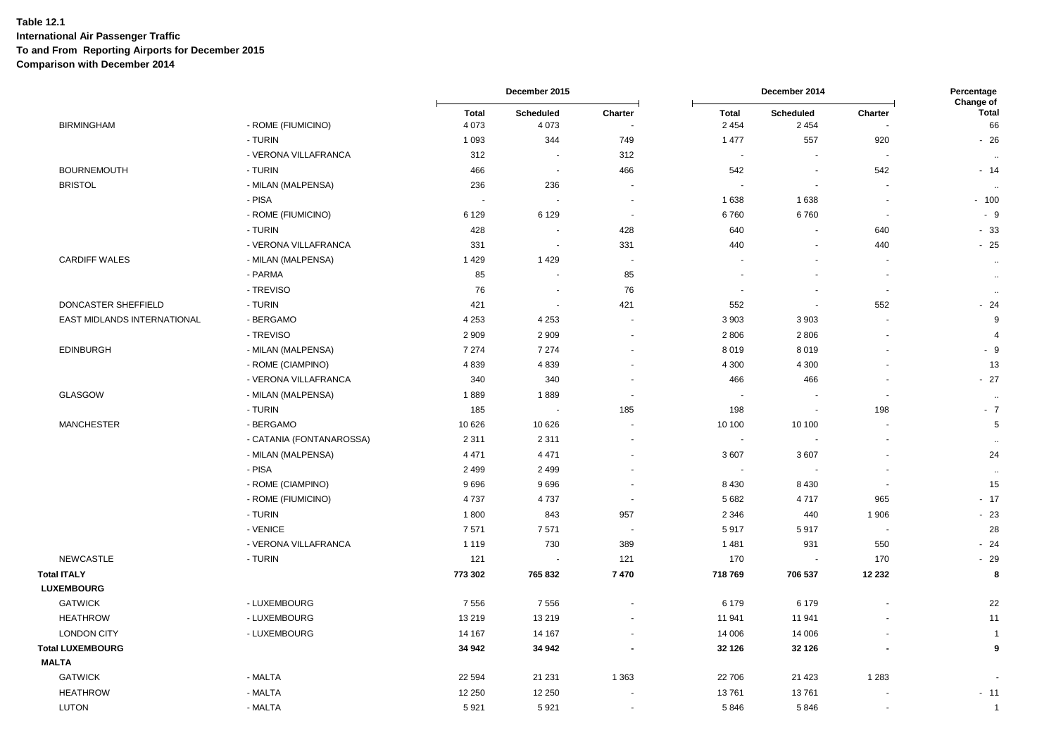|                             |                          |                          | December 2015            |                          | December 2014            |                             |                | Percentage<br>Change of |
|-----------------------------|--------------------------|--------------------------|--------------------------|--------------------------|--------------------------|-----------------------------|----------------|-------------------------|
| <b>BIRMINGHAM</b>           | - ROME (FIUMICINO)       | <b>Total</b><br>4 0 7 3  | Scheduled<br>4 0 7 3     | Charter                  | <b>Total</b><br>2 4 5 4  | <b>Scheduled</b><br>2 4 5 4 | Charter        | <b>Total</b><br>66      |
|                             | - TURIN                  | 1 0 9 3                  | 344                      | 749                      | 1 477                    | 557                         | 920            | $-26$                   |
|                             | - VERONA VILLAFRANCA     | 312                      | $\overline{\phantom{a}}$ | 312                      | $\sim$                   |                             |                | $\alpha$                |
| <b>BOURNEMOUTH</b>          | - TURIN                  | 466                      | $\overline{\phantom{a}}$ | 466                      | 542                      | $\sim$                      | 542            | $-14$                   |
| <b>BRISTOL</b>              | - MILAN (MALPENSA)       | 236                      | 236                      | $\overline{\phantom{a}}$ | $\sim$                   |                             |                | $\ddot{\phantom{0}}$    |
|                             | - PISA                   | $\overline{\phantom{a}}$ |                          | $\overline{\phantom{a}}$ | 1 6 3 8                  | 1638                        |                | $-100$                  |
|                             | - ROME (FIUMICINO)       | 6 1 2 9                  | 6 1 2 9                  | $\sim$                   | 6760                     | 6760                        |                | $-9$                    |
|                             | - TURIN                  | 428                      | $\sim$                   | 428                      | 640                      |                             | 640            | $-33$                   |
|                             | - VERONA VILLAFRANCA     | 331                      | $\blacksquare$           | 331                      | 440                      |                             | 440            | $-25$                   |
| <b>CARDIFF WALES</b>        | - MILAN (MALPENSA)       | 1429                     | 1429                     | $\overline{\phantom{a}}$ | $\overline{\phantom{a}}$ |                             |                | $\ddotsc$               |
|                             | - PARMA                  | 85                       |                          | 85                       | $\overline{\phantom{a}}$ |                             |                | $\ldots$                |
|                             | - TREVISO                | 76                       | $\overline{\phantom{a}}$ | 76                       | $\overline{a}$           |                             | $\overline{a}$ | $\ddotsc$               |
| DONCASTER SHEFFIELD         | - TURIN                  | 421                      | $\sim$                   | 421                      | 552                      | $\sim$                      | 552            | $-24$                   |
| EAST MIDLANDS INTERNATIONAL | - BERGAMO                | 4 2 5 3                  | 4 2 5 3                  |                          | 3 9 0 3                  | 3 9 0 3                     |                | 9                       |
|                             | - TREVISO                | 2 9 0 9                  | 2 9 0 9                  |                          | 2806                     | 2806                        |                | $\overline{4}$          |
| <b>EDINBURGH</b>            | - MILAN (MALPENSA)       | 7 2 7 4                  | 7 2 7 4                  |                          | 8019                     | 8019                        |                | $-9$                    |
|                             | - ROME (CIAMPINO)        | 4839                     | 4839                     |                          | 4 3 0 0                  | 4 3 0 0                     |                | 13                      |
|                             | - VERONA VILLAFRANCA     | 340                      | 340                      |                          | 466                      | 466                         |                | $-27$                   |
| <b>GLASGOW</b>              | - MILAN (MALPENSA)       | 1889                     | 1889                     | $\overline{\phantom{a}}$ | $\blacksquare$           |                             |                | $\sim$                  |
|                             | - TURIN                  | 185                      | $\overline{\phantom{a}}$ | 185                      | 198                      | $\sim$                      | 198            | $-7$                    |
| <b>MANCHESTER</b>           | - BERGAMO                | 10 626                   | 10 6 26                  |                          | 10 100                   | 10 100                      |                | 5                       |
|                             | - CATANIA (FONTANAROSSA) | 2 3 1 1                  | 2 3 1 1                  |                          | $\blacksquare$           |                             |                | $\ddot{\phantom{a}}$    |
|                             | - MILAN (MALPENSA)       | 4 4 7 1                  | 4 4 7 1                  |                          | 3 607                    | 3607                        |                | 24                      |
|                             | - PISA                   | 2 4 9 9                  | 2 4 9 9                  |                          | $\overline{\phantom{a}}$ |                             |                | $\ddot{\phantom{a}}$    |
|                             | - ROME (CIAMPINO)        | 9696                     | 9696                     |                          | 8 4 3 0                  | 8 4 3 0                     |                | 15                      |
|                             | - ROME (FIUMICINO)       | 4737                     | 4 7 3 7                  |                          | 5 6 8 2                  | 4717                        | 965            | $-17$                   |
|                             | - TURIN                  | 1800                     | 843                      | 957                      | 2 3 4 6                  | 440                         | 1 906          | $-23$                   |
|                             | - VENICE                 | 7571                     | 7571                     | $\overline{\phantom{a}}$ | 5917                     | 5917                        |                | 28                      |
|                             | - VERONA VILLAFRANCA     | 1 1 1 9                  | 730                      | 389                      | 1 4 8 1                  | 931                         | 550            | $-24$                   |
| <b>NEWCASTLE</b>            | - TURIN                  | 121                      |                          | 121                      | 170                      | $\sim$                      | 170            | $-29$                   |
| <b>Total ITALY</b>          |                          | 773 302                  | 765 832                  | 7470                     | 718 769                  | 706 537                     | 12 23 2        | 8                       |
| <b>LUXEMBOURG</b>           |                          |                          |                          |                          |                          |                             |                |                         |
| <b>GATWICK</b>              | - LUXEMBOURG             | 7556                     | 7556                     |                          | 6 1 7 9                  | 6 1 7 9                     |                | 22                      |
| <b>HEATHROW</b>             | - LUXEMBOURG             | 13 219                   | 13 219                   |                          | 11 941                   | 11 941                      |                | 11                      |
| <b>LONDON CITY</b>          | - LUXEMBOURG             | 14 167                   | 14 167                   |                          | 14 006                   | 14 006                      |                | $\overline{1}$          |
| <b>Total LUXEMBOURG</b>     |                          | 34 942                   | 34 942                   |                          | 32 126                   | 32 1 26                     |                | $\boldsymbol{9}$        |
| <b>MALTA</b>                |                          |                          |                          |                          |                          |                             |                |                         |
| <b>GATWICK</b>              | - MALTA                  | 22 5 94                  | 21 231                   | 1 3 6 3                  | 22 706                   | 21 4 23                     | 1 2 8 3        |                         |
| <b>HEATHROW</b>             | - MALTA                  | 12 250                   | 12 250                   |                          | 13761                    | 13761                       |                | $-11$                   |
| <b>LUTON</b>                | - MALTA                  | 5921                     | 5921                     |                          | 5846                     | 5846                        |                | $\mathbf{1}$            |
|                             |                          |                          |                          |                          |                          |                             |                |                         |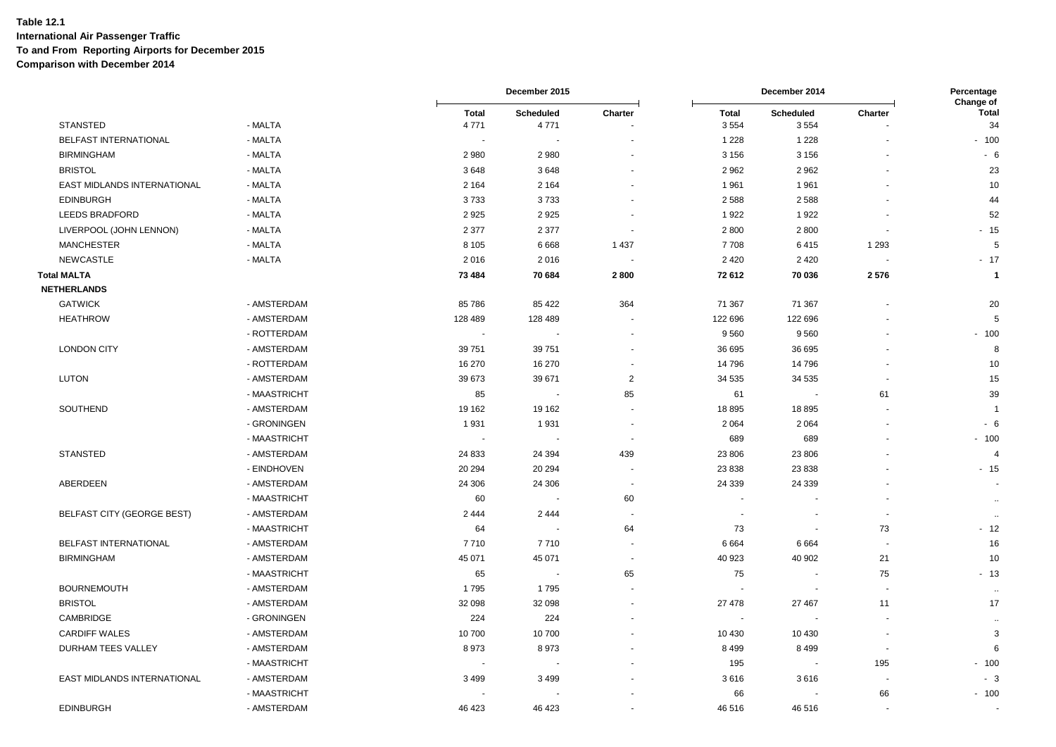|                             |              |                      | December 2015            |                          |                          | December 2014            |                          | Percentage<br>Change of |  |
|-----------------------------|--------------|----------------------|--------------------------|--------------------------|--------------------------|--------------------------|--------------------------|-------------------------|--|
| <b>STANSTED</b>             | - MALTA      | <b>Total</b><br>4771 | Scheduled<br>4771        | Charter                  | <b>Total</b><br>3554     | <b>Scheduled</b><br>3554 | Charter                  | Total<br>34             |  |
| BELFAST INTERNATIONAL       | - MALTA      | $\sim$               | $\sim$                   |                          | 1 2 2 8                  | 1 2 2 8                  |                          |                         |  |
|                             |              |                      |                          |                          |                          |                          |                          | $-100$                  |  |
| <b>BIRMINGHAM</b>           | - MALTA      | 2 9 8 0              | 2 9 8 0                  |                          | 3 1 5 6                  | 3 1 5 6                  |                          | - 6                     |  |
| <b>BRISTOL</b>              | - MALTA      | 3648                 | 3648                     |                          | 2 9 6 2                  | 2962                     |                          | 23                      |  |
| EAST MIDLANDS INTERNATIONAL | - MALTA      | 2 1 6 4              | 2 1 6 4                  |                          | 1961                     | 1961                     |                          | 10                      |  |
| <b>EDINBURGH</b>            | - MALTA      | 3733                 | 3733                     |                          | 2 5 8 8                  | 2588                     |                          | 44                      |  |
| LEEDS BRADFORD              | - MALTA      | 2925                 | 2925                     |                          | 1922                     | 1922                     |                          | 52                      |  |
| LIVERPOOL (JOHN LENNON)     | - MALTA      | 2 3 7 7              | 2 3 7 7                  | $\overline{\phantom{a}}$ | 2800                     | 2800                     |                          | $-15$                   |  |
| <b>MANCHESTER</b>           | - MALTA      | 8 1 0 5              | 6668                     | 1 4 3 7                  | 7708                     | 6415                     | 1 2 9 3                  | 5                       |  |
| <b>NEWCASTLE</b>            | - MALTA      | 2016                 | 2016                     |                          | 2 4 2 0                  | 2 4 2 0                  |                          | $-17$                   |  |
| <b>Total MALTA</b>          |              | 73 4 84              | 70 684                   | 2800                     | 72 612                   | 70 036                   | 2576                     | $\mathbf 1$             |  |
| <b>NETHERLANDS</b>          |              |                      |                          |                          |                          |                          |                          |                         |  |
| <b>GATWICK</b>              | - AMSTERDAM  | 85 786               | 85 4 22                  | 364                      | 71 367                   | 71 367                   |                          | 20                      |  |
| <b>HEATHROW</b>             | - AMSTERDAM  | 128 489              | 128 489                  |                          | 122 696                  | 122 696                  |                          | 5                       |  |
|                             | - ROTTERDAM  |                      |                          |                          | 9560                     | 9560                     |                          | $-100$                  |  |
| <b>LONDON CITY</b>          | - AMSTERDAM  | 39 751               | 39 751                   |                          | 36 695                   | 36 695                   |                          | 8                       |  |
|                             | - ROTTERDAM  | 16 270               | 16 270                   | $\blacksquare$           | 14796                    | 14796                    |                          | 10                      |  |
| <b>LUTON</b>                | - AMSTERDAM  | 39 673               | 39 671                   | $\overline{2}$           | 34 5 35                  | 34 535                   | $\overline{\phantom{a}}$ | 15                      |  |
|                             | - MAASTRICHT | 85                   | $\overline{\phantom{a}}$ | 85                       | 61                       | $\overline{\phantom{a}}$ | 61                       | 39                      |  |
| SOUTHEND                    | - AMSTERDAM  | 19 162               | 19 162                   |                          | 18895                    | 18895                    |                          | ÷,                      |  |
|                             | - GRONINGEN  | 1931                 | 1931                     | $\overline{\phantom{a}}$ | 2 0 6 4                  | 2 0 6 4                  |                          | - 6                     |  |
|                             | - MAASTRICHT |                      |                          | $\sim$                   | 689                      | 689                      |                          | $-100$                  |  |
| <b>STANSTED</b>             | - AMSTERDAM  | 24 833               | 24 3 94                  | 439                      | 23 806                   | 23 806                   |                          | $\overline{4}$          |  |
|                             | - EINDHOVEN  | 20 294               | 20 294                   | $\overline{\phantom{a}}$ | 23 838                   | 23 8 38                  |                          | $-15$                   |  |
| ABERDEEN                    | - AMSTERDAM  | 24 30 6              | 24 30 6                  | $\sim$                   | 24 3 39                  | 24 3 39                  |                          |                         |  |
|                             | - MAASTRICHT | 60                   | $\sim$                   | 60                       | $\overline{\phantom{a}}$ |                          |                          |                         |  |
| BELFAST CITY (GEORGE BEST)  | - AMSTERDAM  | 2 4 4 4              | 2 4 4 4                  | $\sim$                   |                          |                          |                          | $\ddotsc$               |  |
|                             | - MAASTRICHT | 64                   |                          | 64                       | 73                       | $\blacksquare$           | 73                       | - 12                    |  |
| BELFAST INTERNATIONAL       | - AMSTERDAM  | 7710                 | 7710                     |                          | 6664                     | 6664                     | $\blacksquare$           | 16                      |  |
| <b>BIRMINGHAM</b>           | - AMSTERDAM  | 45 071               | 45 071                   | $\blacksquare$           | 40 923                   | 40 902                   | 21                       | 10                      |  |
|                             | - MAASTRICHT | 65                   | $\overline{\phantom{a}}$ | 65                       | 75                       | $\ddot{\phantom{0}}$     | 75                       | $-13$                   |  |
| <b>BOURNEMOUTH</b>          | - AMSTERDAM  | 1795                 | 1795                     |                          |                          |                          |                          |                         |  |
| <b>BRISTOL</b>              | - AMSTERDAM  | 32 098               | 32 098                   |                          | 27 478                   | 27 467                   | 11                       | $\sim$<br>17            |  |
| <b>CAMBRIDGE</b>            | - GRONINGEN  | 224                  | 224                      |                          |                          |                          |                          |                         |  |
|                             |              |                      |                          |                          |                          |                          |                          | $\sim$<br>3             |  |
| <b>CARDIFF WALES</b>        | - AMSTERDAM  | 10 700               | 10 700                   |                          | 10 430                   | 10 430                   |                          |                         |  |
| DURHAM TEES VALLEY          | - AMSTERDAM  | 8973                 | 8973                     |                          | 8 4 9 9                  | 8499                     |                          | 6                       |  |
|                             | - MAASTRICHT | $\sim$               |                          |                          | 195                      | $\overline{\phantom{a}}$ | 195                      | $-100$                  |  |
| EAST MIDLANDS INTERNATIONAL | - AMSTERDAM  | 3 4 9 9              | 3 4 9 9                  |                          | 3616                     | 3616                     |                          | $-3$                    |  |
|                             | - MAASTRICHT |                      |                          |                          | 66                       |                          | 66                       | $-100$                  |  |
| <b>EDINBURGH</b>            | - AMSTERDAM  | 46 423               | 46 423                   |                          | 46 516                   | 46516                    |                          |                         |  |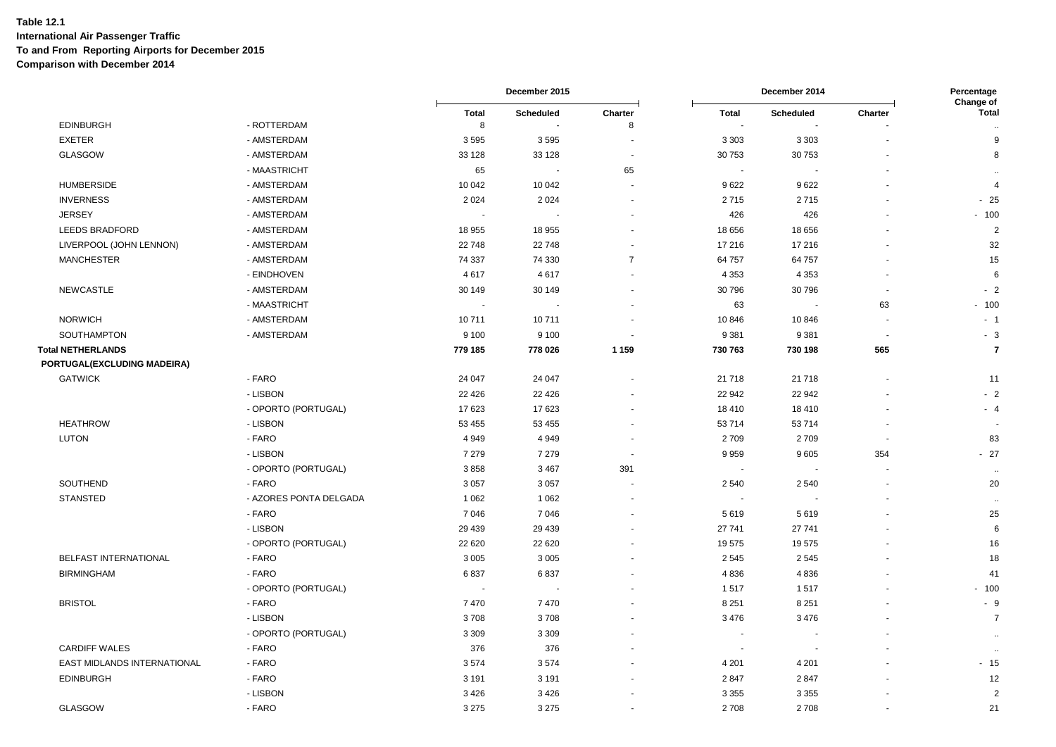|                             |                        |                   | December 2015    |                |         | December 2014    |         | Percentage<br>Change of |
|-----------------------------|------------------------|-------------------|------------------|----------------|---------|------------------|---------|-------------------------|
| <b>EDINBURGH</b>            | - ROTTERDAM            | <b>Total</b><br>8 | <b>Scheduled</b> | Charter        | Total   | <b>Scheduled</b> | Charter | <b>Total</b>            |
|                             |                        |                   |                  | 8              |         |                  |         | $\ddotsc$               |
| <b>EXETER</b>               | - AMSTERDAM            | 3595              | 3595             |                | 3 3 0 3 | 3 3 0 3          |         | 9                       |
| GLASGOW                     | - AMSTERDAM            | 33 128            | 33 1 28          |                | 30 753  | 30 753           |         | 8                       |
|                             | - MAASTRICHT           | 65                |                  | 65             |         |                  |         |                         |
| <b>HUMBERSIDE</b>           | - AMSTERDAM            | 10 042            | 10 042           |                | 9622    | 9622             |         | $\overline{4}$          |
| <b>INVERNESS</b>            | - AMSTERDAM            | 2 0 2 4           | 2 0 2 4          |                | 2715    | 2715             |         | $-25$                   |
| <b>JERSEY</b>               | - AMSTERDAM            |                   |                  |                | 426     | 426              |         | $-100$                  |
| <b>LEEDS BRADFORD</b>       | - AMSTERDAM            | 18 955            | 18 955           |                | 18 656  | 18 656           |         | $\overline{2}$          |
| LIVERPOOL (JOHN LENNON)     | - AMSTERDAM            | 22 748            | 22 748           |                | 17 216  | 17 216           |         | 32                      |
| <b>MANCHESTER</b>           | - AMSTERDAM            | 74 337            | 74 330           | $\overline{7}$ | 64 757  | 64 757           |         | 15                      |
|                             | - EINDHOVEN            | 4617              | 4617             |                | 4 3 5 3 | 4 3 5 3          |         | 6                       |
| <b>NEWCASTLE</b>            | - AMSTERDAM            | 30 149            | 30 149           |                | 30 796  | 30796            |         | $-2$                    |
|                             | - MAASTRICHT           |                   |                  |                | 63      |                  | 63      | $-100$                  |
| <b>NORWICH</b>              | - AMSTERDAM            | 10711             | 10711            |                | 10 846  | 10846            |         | $-1$                    |
| SOUTHAMPTON                 | - AMSTERDAM            | 9 100             | 9 1 0 0          |                | 9 3 8 1 | 9381             |         | $-3$                    |
| <b>Total NETHERLANDS</b>    |                        | 779 185           | 778 026          | 1 1 5 9        | 730 763 | 730 198          | 565     | $\overline{\mathbf{r}}$ |
| PORTUGAL(EXCLUDING MADEIRA) |                        |                   |                  |                |         |                  |         |                         |
| <b>GATWICK</b>              | - FARO                 | 24 047            | 24 047           |                | 21 718  | 21718            |         | 11                      |
|                             | - LISBON               | 22 4 26           | 22 4 26          |                | 22 942  | 22 942           |         | $-2$                    |
|                             | - OPORTO (PORTUGAL)    | 17623             | 17 623           |                | 18 4 10 | 18 4 10          |         | - 4                     |
| <b>HEATHROW</b>             | - LISBON               | 53 455            | 53 455           |                | 53714   | 53714            |         |                         |
| <b>LUTON</b>                | - FARO                 | 4 9 4 9           | 4949             |                | 2709    | 2709             |         | 83                      |
|                             | - LISBON               | 7 2 7 9           | 7 2 7 9          |                | 9959    | 9605             | 354     | $-27$                   |
|                             | - OPORTO (PORTUGAL)    | 3858              | 3 4 6 7          | 391            |         |                  |         | $\sim$                  |
| SOUTHEND                    | - FARO                 | 3 0 5 7           | 3 0 5 7          |                | 2 5 4 0 | 2540             |         | 20                      |
| <b>STANSTED</b>             | - AZORES PONTA DELGADA | 1 0 6 2           | 1 0 6 2          |                |         |                  |         | $\sim$                  |
|                             | - FARO                 | 7 0 4 6           | 7046             |                | 5619    | 5619             |         | 25                      |
|                             | - LISBON               | 29 439            | 29 4 39          |                | 27 741  | 27 741           |         | 6                       |
|                             | - OPORTO (PORTUGAL)    | 22 6 20           | 22 6 20          |                | 19575   | 19575            |         | 16                      |
| BELFAST INTERNATIONAL       | - FARO                 | 3 0 0 5           | 3 0 0 5          |                | 2545    | 2545             |         | 18                      |
| <b>BIRMINGHAM</b>           | - FARO                 | 6837              | 6837             |                | 4836    | 4836             |         | 41                      |
|                             | - OPORTO (PORTUGAL)    |                   |                  |                | 1517    | 1517             |         | $-100$                  |
| <b>BRISTOL</b>              | - FARO                 | 7470              | 7470             |                | 8 2 5 1 | 8 2 5 1          |         | $-9$                    |
|                             | - LISBON               | 3708              | 3708             |                | 3 4 7 6 | 3476             |         | $\overline{7}$          |
|                             | - OPORTO (PORTUGAL)    | 3 3 0 9           | 3 3 0 9          |                |         |                  |         |                         |
| <b>CARDIFF WALES</b>        | - FARO                 | 376               | 376              |                |         |                  |         | $\ddot{\phantom{a}}$    |
| EAST MIDLANDS INTERNATIONAL | - FARO                 | 3574              | 3574             |                | 4 2 0 1 | 4 2 0 1          |         | $-15$                   |
| <b>EDINBURGH</b>            | - FARO                 | 3 1 9 1           | 3 1 9 1          |                | 2847    | 2847             |         | 12                      |
|                             | - LISBON               | 3 4 2 6           | 3426             |                | 3 3 5 5 | 3 3 5 5          |         | $\overline{2}$          |
| GLASGOW                     | - FARO                 | 3 2 7 5           | 3 2 7 5          |                | 2 708   | 2708             |         | 21                      |
|                             |                        |                   |                  |                |         |                  |         |                         |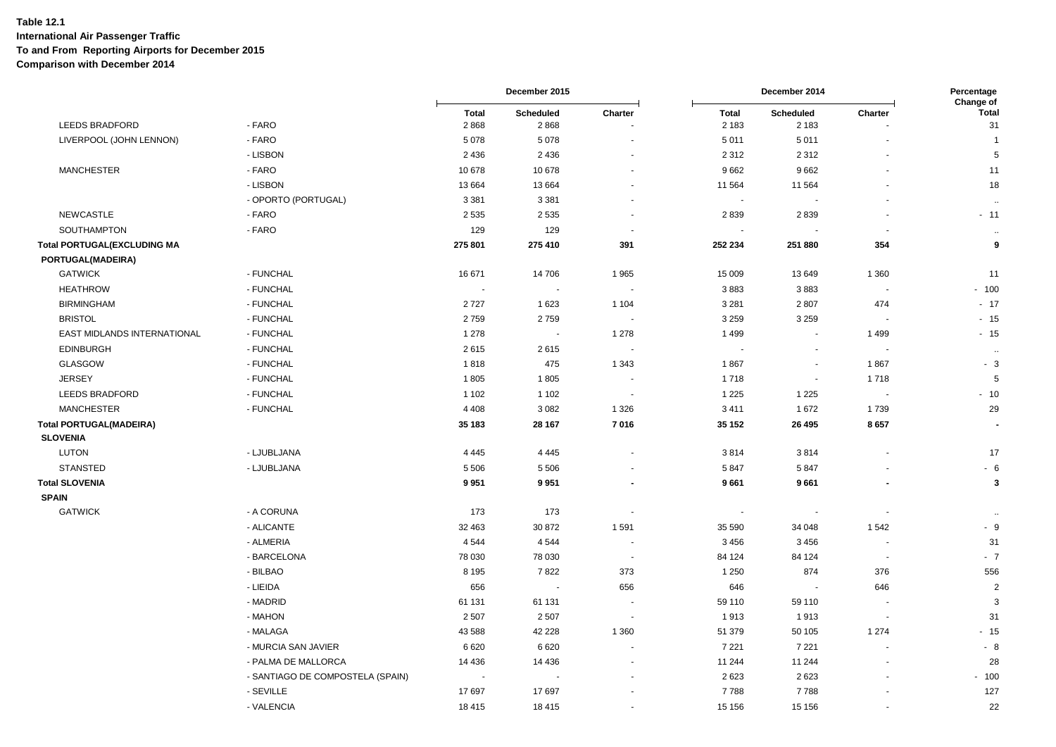|                                    |                                  |                      | December 2015     |                          | December 2014           |                             | Percentage<br>Change of  |                         |
|------------------------------------|----------------------------------|----------------------|-------------------|--------------------------|-------------------------|-----------------------------|--------------------------|-------------------------|
| LEEDS BRADFORD                     | - FARO                           | <b>Total</b><br>2868 | Scheduled<br>2868 | Charter                  | <b>Total</b><br>2 1 8 3 | <b>Scheduled</b><br>2 1 8 3 | Charter                  | <b>Total</b><br>31      |
| LIVERPOOL (JOHN LENNON)            | - FARO                           | 5078                 | 5078              |                          | 5011                    | 5 0 1 1                     |                          | $\overline{1}$          |
|                                    | - LISBON                         | 2 4 3 6              | 2436              |                          | 2 3 1 2                 | 2 3 1 2                     |                          | 5                       |
| <b>MANCHESTER</b>                  | - FARO                           | 10 678               | 10 678            |                          | 9662                    | 9662                        |                          | 11                      |
|                                    | - LISBON                         | 13 664               | 13 6 64           |                          | 11 564                  | 11 5 64                     |                          | 18                      |
|                                    | - OPORTO (PORTUGAL)              | 3 3 8 1              | 3 3 8 1           |                          |                         |                             |                          | $\ddotsc$               |
| <b>NEWCASTLE</b>                   | - FARO                           | 2 5 3 5              | 2 5 3 5           |                          | 2839                    | 2839                        |                          | $-11$                   |
| SOUTHAMPTON                        | - FARO                           | 129                  | 129               | $\sim$                   | $\blacksquare$          |                             | $\overline{\phantom{a}}$ | $\ddotsc$               |
| <b>Total PORTUGAL(EXCLUDING MA</b> |                                  | 275 801              | 275 410           | 391                      | 252 234                 | 251 880                     | 354                      | 9                       |
| PORTUGAL(MADEIRA)                  |                                  |                      |                   |                          |                         |                             |                          |                         |
| <b>GATWICK</b>                     | - FUNCHAL                        | 16 671               | 14 706            | 1965                     | 15 009                  | 13649                       | 1 3 6 0                  | 11                      |
| <b>HEATHROW</b>                    | - FUNCHAL                        | $\sim$               | $\sim$            | $\sim$                   | 3883                    | 3883                        | $\overline{\phantom{a}}$ | $-100$                  |
| <b>BIRMINGHAM</b>                  | - FUNCHAL                        | 2727                 | 1 623             | 1 1 0 4                  | 3 2 8 1                 | 2807                        | 474                      | $-17$                   |
| <b>BRISTOL</b>                     | - FUNCHAL                        | 2759                 | 2759              | ٠.                       | 3 2 5 9                 | 3 2 5 9                     |                          | $-15$                   |
| EAST MIDLANDS INTERNATIONAL        | - FUNCHAL                        | 1 2 7 8              |                   | 1 2 7 8                  | 1499                    | $\overline{\phantom{a}}$    | 1499                     | $-15$                   |
| <b>EDINBURGH</b>                   | - FUNCHAL                        | 2615                 | 2615              |                          |                         | ÷.                          | $\overline{\phantom{a}}$ | $\sim$                  |
| GLASGOW                            | - FUNCHAL                        | 1818                 | 475               | 1 3 4 3                  | 1867                    | $\blacksquare$              | 1867                     | $-3$                    |
| <b>JERSEY</b>                      | - FUNCHAL                        | 1805                 | 1805              | $\blacksquare$           | 1718                    | $\blacksquare$              | 1718                     | $\overline{5}$          |
| LEEDS BRADFORD                     | - FUNCHAL                        | 1 1 0 2              | 1 1 0 2           | ٠.                       | 1 2 2 5                 | 1 2 2 5                     | $\overline{\phantom{a}}$ | $-10$                   |
| <b>MANCHESTER</b>                  | - FUNCHAL                        | 4 4 0 8              | 3 0 8 2           | 1 3 2 6                  | 3 4 1 1                 | 1672                        | 1739                     | 29                      |
| <b>Total PORTUGAL(MADEIRA)</b>     |                                  | 35 183               | 28 167            | 7016                     | 35 152                  | 26 4 95                     | 8657                     |                         |
| <b>SLOVENIA</b>                    |                                  |                      |                   |                          |                         |                             |                          |                         |
| <b>LUTON</b>                       | - LJUBLJANA                      | 4 4 4 5              | 4 4 4 5           |                          | 3814                    | 3814                        | $\ddot{\phantom{1}}$     | 17                      |
| <b>STANSTED</b>                    | - LJUBLJANA                      | 5 5 0 6              | 5 5 0 6           |                          | 5847                    | 5847                        |                          | $-6$                    |
| <b>Total SLOVENIA</b>              |                                  | 9951                 | 9951              |                          | 9661                    | 9661                        |                          | $\overline{\mathbf{3}}$ |
| <b>SPAIN</b>                       |                                  |                      |                   |                          |                         |                             |                          |                         |
| <b>GATWICK</b>                     | - A CORUNA                       | 173                  | 173               | $\sim$                   | $\blacksquare$          | $\blacksquare$              | $\overline{\phantom{a}}$ | $\cdots$                |
|                                    | - ALICANTE                       | 32 463               | 30 872            | 1591                     | 35 590                  | 34 048                      | 1542                     | $-9$                    |
|                                    | - ALMERIA                        | 4 5 4 4              | 4 5 4 4           |                          | 3456                    | 3456                        |                          | 31                      |
|                                    | - BARCELONA                      | 78 030               | 78 030            | $\overline{\phantom{a}}$ | 84 124                  | 84 124                      | $\overline{\phantom{a}}$ | $-7$                    |
|                                    | - BILBAO                         | 8 1 9 5              | 7822              | 373                      | 1 2 5 0                 | 874                         | 376                      | 556                     |
|                                    | - LIEIDA                         | 656                  |                   | 656                      | 646                     |                             | 646                      | $\overline{2}$          |
|                                    | - MADRID                         | 61 131               | 61 131            |                          | 59 110                  | 59 110                      | $\blacksquare$           | 3                       |
|                                    | - MAHON                          | 2 5 0 7              | 2 5 0 7           | $\overline{\phantom{a}}$ | 1913                    | 1913                        | $\overline{\phantom{a}}$ | 31                      |
|                                    | - MALAGA                         | 43 588               | 42 2 28           | 1 3 6 0                  | 51 379                  | 50 105                      | 1 2 7 4                  | $-15$                   |
|                                    | - MURCIA SAN JAVIER              | 6620                 | 6620              |                          | 7 2 2 1                 | 7 2 2 1                     |                          | $-8$                    |
|                                    | - PALMA DE MALLORCA              | 14 4 36              | 14 4 36           |                          | 11 244                  | 11 244                      |                          | 28                      |
|                                    | - SANTIAGO DE COMPOSTELA (SPAIN) |                      |                   |                          | 2623                    | 2623                        |                          | $-100$                  |
|                                    | - SEVILLE                        | 17 697               | 17697             |                          | 7788                    | 7788                        |                          | 127                     |
|                                    | - VALENCIA                       | 18 4 15              | 18 4 15           |                          | 15 15 6                 | 15 15 6                     | $\blacksquare$           | 22                      |
|                                    |                                  |                      |                   |                          |                         |                             |                          |                         |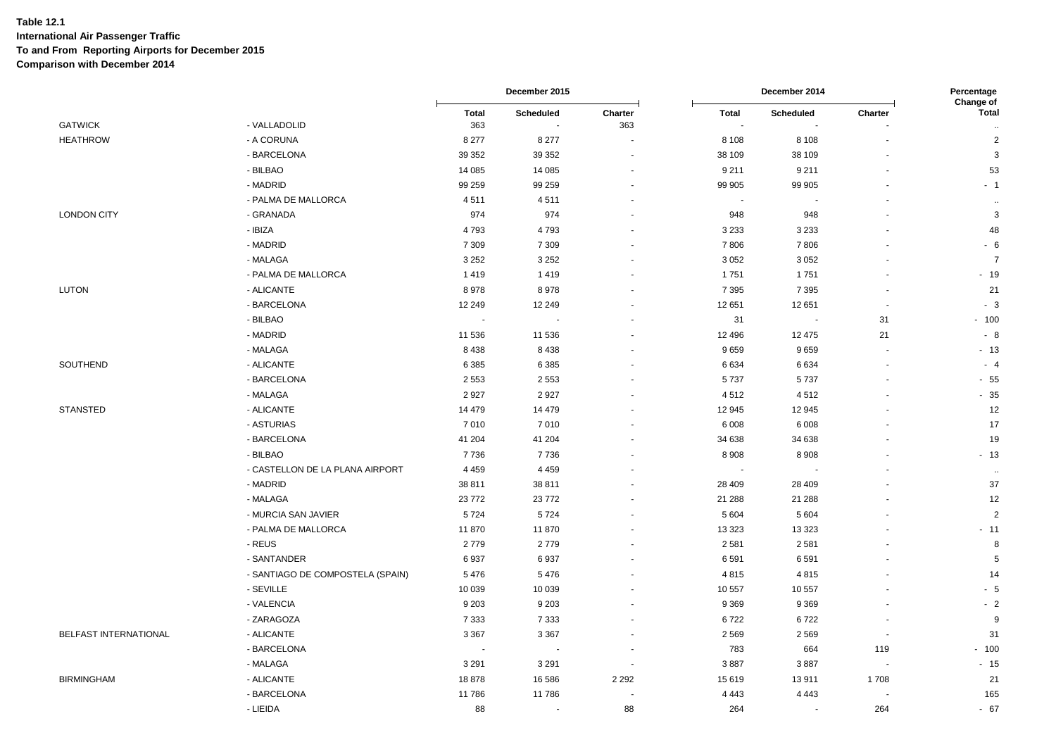|                       |                                  |                     | December 2015 |                |              | December 2014    |                          | Percentage<br>Change of                |  |
|-----------------------|----------------------------------|---------------------|---------------|----------------|--------------|------------------|--------------------------|----------------------------------------|--|
| <b>GATWICK</b>        | - VALLADOLID                     | <b>Total</b><br>363 | Scheduled     | Charter<br>363 | <b>Total</b> | <b>Scheduled</b> | Charter                  | <b>Total</b>                           |  |
| <b>HEATHROW</b>       | - A CORUNA                       | 8 2 7 7             | 8 2 7 7       |                | 8 1 0 8      | 8 1 0 8          |                          | $\ddot{\phantom{1}}$<br>$\overline{c}$ |  |
|                       | - BARCELONA                      | 39 352              | 39 352        | $\blacksquare$ | 38 109       | 38 109           | $\overline{\phantom{a}}$ | $\mathbf{3}$                           |  |
|                       | - BILBAO                         | 14 085              | 14 085        |                | 9 2 1 1      | 9211             | $\sim$                   | 53                                     |  |
|                       | - MADRID                         | 99 259              | 99 259        |                | 99 905       | 99 905           | ä,                       | $-1$                                   |  |
|                       | - PALMA DE MALLORCA              | 4511                | 4511          |                |              |                  |                          | $\ddot{\phantom{a}}$                   |  |
| <b>LONDON CITY</b>    | - GRANADA                        | 974                 | 974           |                | 948          | 948              |                          | $\mathbf{3}$                           |  |
|                       | - IBIZA                          | 4793                | 4793          |                | 3 2 3 3      | 3 2 3 3          |                          | 48                                     |  |
|                       | - MADRID                         | 7 3 0 9             | 7 3 0 9       |                | 7806         | 7806             | $\blacksquare$           | $-6$                                   |  |
|                       | - MALAGA                         | 3 2 5 2             | 3 2 5 2       |                | 3 0 5 2      | 3 0 5 2          |                          | $\overline{7}$                         |  |
|                       | - PALMA DE MALLORCA              | 1419                | 1419          |                | 1751         | 1751             | $\blacksquare$           | $-19$                                  |  |
| LUTON                 | - ALICANTE                       | 8978                | 8978          |                | 7 3 9 5      | 7 3 9 5          | $\overline{\phantom{a}}$ | 21                                     |  |
|                       | - BARCELONA                      | 12 249              | 12 249        |                | 12 651       | 12 651           | $\sim$                   | $-3$                                   |  |
|                       | - BILBAO                         |                     |               |                | 31           | $\blacksquare$   | 31                       | $-100$                                 |  |
|                       | - MADRID                         | 11 536              | 11 536        |                | 12 4 9 6     | 12 475           | 21                       | $-8$                                   |  |
|                       | - MALAGA                         | 8 4 3 8             | 8438          |                | 9659         | 9659             | $\overline{\phantom{a}}$ | $-13$                                  |  |
| SOUTHEND              | - ALICANTE                       | 6 3 8 5             | 6 3 8 5       |                | 6634         | 6634             | $\sim$                   | $-4$                                   |  |
|                       | - BARCELONA                      | 2 5 5 3             | 2 5 5 3       |                | 5737         | 5737             | ÷,                       | $-55$                                  |  |
|                       | - MALAGA                         | 2927                | 2927          |                | 4512         | 4512             |                          | $-35$                                  |  |
| <b>STANSTED</b>       | - ALICANTE                       | 14 479              | 14 4 7 9      |                | 12 945       | 12 945           | $\ddot{\phantom{1}}$     | 12                                     |  |
|                       | - ASTURIAS                       | 7010                | 7010          |                | 6 0 0 8      | 6 0 0 8          | $\ddot{\phantom{1}}$     | 17                                     |  |
|                       | - BARCELONA                      | 41 204              | 41 204        |                | 34 638       | 34 638           | $\sim$                   | 19                                     |  |
|                       | - BILBAO                         | 7736                | 7736          |                | 8 9 0 8      | 8 9 0 8          |                          | $-13$                                  |  |
|                       | - CASTELLON DE LA PLANA AIRPORT  | 4 4 5 9             | 4 4 5 9       |                |              |                  |                          | $\ddotsc$                              |  |
|                       | - MADRID                         | 38 811              | 38 811        |                | 28 409       | 28 4 09          | $\blacksquare$           | 37                                     |  |
|                       | - MALAGA                         | 23772               | 23772         |                | 21 288       | 21 288           | ÷.                       | 12                                     |  |
|                       | - MURCIA SAN JAVIER              | 5724                | 5724          |                | 5 6 0 4      | 5 6 0 4          |                          | $\overline{2}$                         |  |
|                       | - PALMA DE MALLORCA              | 11 870              | 11 870        |                | 13 3 23      | 13 3 23          |                          | $-11$                                  |  |
|                       | - REUS                           | 2779                | 2779          |                | 2581         | 2581             |                          | 8                                      |  |
|                       | - SANTANDER                      | 6937                | 6937          |                | 6 5 9 1      | 6591             |                          | $\sqrt{5}$                             |  |
|                       | - SANTIAGO DE COMPOSTELA (SPAIN) | 5476                | 5476          |                | 4815         | 4815             |                          | 14                                     |  |
|                       | - SEVILLE                        | 10 039              | 10 0 39       |                | 10 557       | 10 557           |                          | $-5$                                   |  |
|                       | - VALENCIA                       | 9 2 0 3             | 9 2 0 3       |                | 9 3 6 9      | 9 3 6 9          | $\blacksquare$           | $-2$                                   |  |
|                       | - ZARAGOZA                       | 7 3 3 3             | 7 3 3 3       |                | 6722         | 6722             | $\sim$                   | 9                                      |  |
| BELFAST INTERNATIONAL | - ALICANTE                       | 3 3 6 7             | 3 3 6 7       |                | 2 5 6 9      | 2569             | $\sim$                   | 31                                     |  |
|                       | - BARCELONA                      |                     |               |                | 783          | 664              | 119                      | $-100$                                 |  |
|                       | - MALAGA                         | 3 2 9 1             | 3 2 9 1       |                | 3887         | 3887             | $\overline{\phantom{a}}$ | $-15$                                  |  |
| <b>BIRMINGHAM</b>     | - ALICANTE                       | 18878               | 16 586        | 2 2 9 2        | 15 619       | 13911            | 1708                     | 21                                     |  |
|                       | - BARCELONA                      | 11786               | 11786         |                | 4 4 4 3      | 4 4 4 3          | $\sim$                   | 165                                    |  |
|                       | - LIEIDA                         | 88                  | $\sim$        | 88             | 264          | $\sim$           | 264                      | $-67$                                  |  |
|                       |                                  |                     |               |                |              |                  |                          |                                        |  |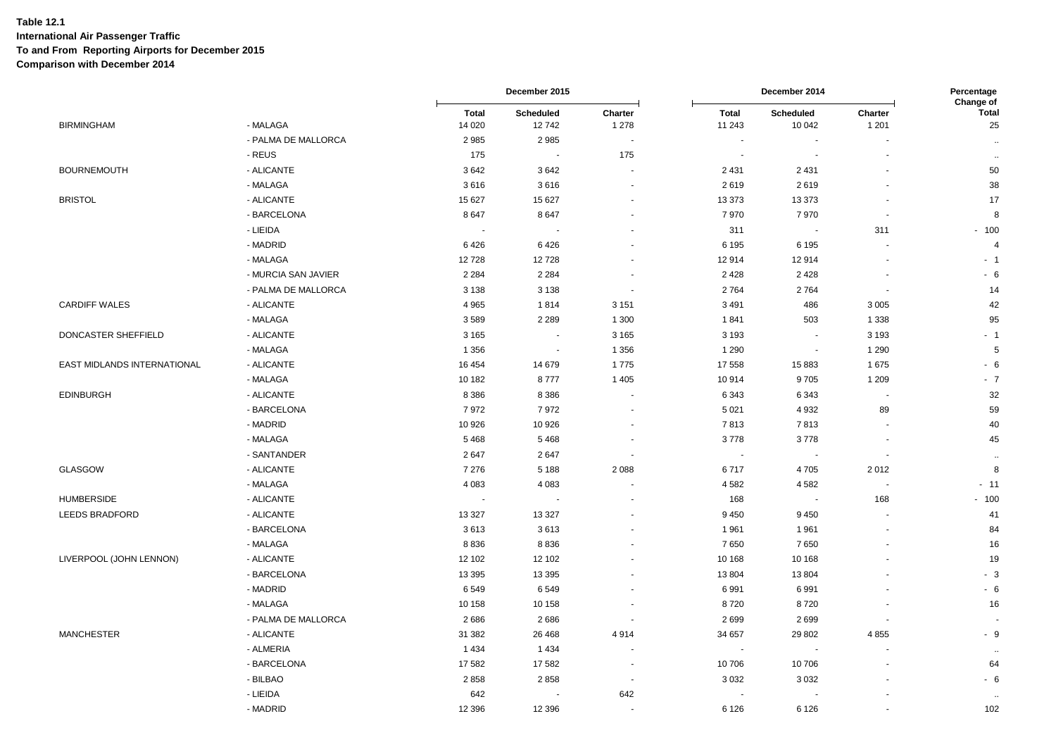|                             |                     |                         | December 2015            |                       | December 2014            |                            | Percentage<br>Change of |                    |
|-----------------------------|---------------------|-------------------------|--------------------------|-----------------------|--------------------------|----------------------------|-------------------------|--------------------|
| <b>BIRMINGHAM</b>           | - MALAGA            | <b>Total</b><br>14 0 20 | Scheduled<br>12742       | Charter<br>1 2 7 8    | <b>Total</b><br>11 243   | <b>Scheduled</b><br>10 042 | Charter<br>1 2 0 1      | <b>Total</b><br>25 |
|                             | - PALMA DE MALLORCA | 2985                    | 2985                     | $\tilde{\phantom{a}}$ | $\blacksquare$           |                            |                         | $\ldots$           |
|                             | - REUS              | 175                     | $\overline{\phantom{a}}$ | 175                   | $\overline{\phantom{a}}$ |                            |                         | $\ddotsc$          |
| <b>BOURNEMOUTH</b>          | - ALICANTE          | 3642                    | 3642                     | $\sim$                | 2 4 3 1                  | 2 4 3 1                    |                         | 50                 |
|                             | - MALAGA            | 3616                    | 3616                     |                       | 2619                     | 2619                       |                         | 38                 |
| <b>BRISTOL</b>              | - ALICANTE          | 15 627                  | 15 627                   |                       | 13 373                   | 13 373                     |                         | 17                 |
|                             | - BARCELONA         | 8647                    | 8647                     |                       | 7970                     | 7970                       |                         | 8                  |
|                             | - LIEIDA            | $\sim$                  |                          |                       | 311                      | $\sim$                     | 311                     | $-100$             |
|                             | - MADRID            | 6426                    | 6426                     | $\sim$                | 6 1 9 5                  | 6 1 9 5                    |                         | $\overline{4}$     |
|                             | - MALAGA            | 12728                   | 12728                    |                       | 12914                    | 12914                      |                         | $-1$               |
|                             | - MURCIA SAN JAVIER | 2 2 8 4                 | 2 2 8 4                  | $\ddot{\phantom{1}}$  | 2428                     | 2428                       |                         | $-6$               |
|                             | - PALMA DE MALLORCA | 3 1 3 8                 | 3 1 3 8                  | $\blacksquare$        | 2764                     | 2764                       |                         | 14                 |
| <b>CARDIFF WALES</b>        | - ALICANTE          | 4 9 6 5                 | 1814                     | 3 1 5 1               | 3 4 9 1                  | 486                        | 3 0 0 5                 | 42                 |
|                             | - MALAGA            | 3589                    | 2 2 8 9                  | 1 3 0 0               | 1841                     | 503                        | 1 3 3 8                 | 95                 |
|                             |                     |                         |                          |                       |                          |                            |                         |                    |
| DONCASTER SHEFFIELD         | - ALICANTE          | 3 1 6 5                 | $\blacksquare$           | 3 1 6 5               | 3 1 9 3                  | $\blacksquare$             | 3 1 9 3                 | $-1$               |
|                             | - MALAGA            | 1 3 5 6                 |                          | 1 3 5 6               | 1 2 9 0                  | $\blacksquare$             | 1 2 9 0                 | 5                  |
| EAST MIDLANDS INTERNATIONAL | - ALICANTE          | 16 454                  | 14 679                   | 1775                  | 17 558                   | 15883                      | 1675                    | $-6$               |
|                             | - MALAGA            | 10 182                  | 8777                     | 1 4 0 5               | 10914                    | 9705                       | 1 2 0 9                 | $-7$               |
| <b>EDINBURGH</b>            | - ALICANTE          | 8 3 8 6                 | 8 3 8 6                  | $\sim$                | 6 3 4 3                  | 6343                       |                         | 32                 |
|                             | - BARCELONA         | 7972                    | 7972                     |                       | 5 0 21                   | 4932                       | 89                      | 59                 |
|                             | - MADRID            | 10 926                  | 10 926                   |                       | 7813                     | 7813                       |                         | 40                 |
|                             | - MALAGA            | 5468                    | 5468                     | $\blacksquare$        | 3778                     | 3778                       | $\sim$                  | 45                 |
|                             | - SANTANDER         | 2647                    | 2647                     | ÷,                    | $\overline{\phantom{a}}$ |                            |                         | $\ddotsc$          |
| <b>GLASGOW</b>              | - ALICANTE          | 7 2 7 6                 | 5 1 8 8                  | 2 0 8 8               | 6717                     | 4705                       | 2012                    | 8                  |
|                             | - MALAGA            | 4 0 8 3                 | 4 0 8 3                  |                       | 4582                     | 4582                       |                         | $-11$              |
| <b>HUMBERSIDE</b>           | - ALICANTE          | $\sim$                  | $\overline{\phantom{a}}$ |                       | 168                      | $\sim$                     | 168                     | $-100$             |
| <b>LEEDS BRADFORD</b>       | - ALICANTE          | 13 3 27                 | 13 3 27                  |                       | 9 4 5 0                  | 9450                       |                         | 41                 |
|                             | - BARCELONA         | 3613                    | 3613                     |                       | 1 9 6 1                  | 1961                       |                         | 84                 |
|                             | - MALAGA            | 8836                    | 8836                     |                       | 7650                     | 7650                       |                         | 16                 |
| LIVERPOOL (JOHN LENNON)     | - ALICANTE          | 12 102                  | 12 102                   |                       | 10 168                   | 10 168                     |                         | 19                 |
|                             | - BARCELONA         | 13 3 95                 | 13 3 95                  | $\blacksquare$        | 13 804                   | 13 804                     |                         | $-3$               |
|                             | - MADRID            | 6549                    | 6549                     |                       | 6991                     | 6991                       |                         | $-6$               |
|                             | - MALAGA            | 10 158                  | 10 158                   | $\blacksquare$        | 8720                     | 8720                       |                         | 16                 |
|                             | - PALMA DE MALLORCA | 2686                    | 2686                     | ÷,                    | 2699                     | 2699                       |                         |                    |
| <b>MANCHESTER</b>           | - ALICANTE          | 31 382                  | 26 4 68                  | 4914                  | 34 657                   | 29 802                     | 4855                    | $-9$               |
|                             | - ALMERIA           | 1 4 3 4                 | 1434                     | $\blacksquare$        | $\overline{\phantom{a}}$ |                            |                         | $\ddotsc$          |
|                             | - BARCELONA         | 17582                   | 17582                    | $\sim$                | 10706                    | 10706                      |                         | 64                 |
|                             | - BILBAO            | 2858                    | 2858                     | $\blacksquare$        | 3 0 3 2                  | 3 0 3 2                    |                         | - 6                |
|                             | - LIEIDA            | 642                     |                          | 642                   | $\overline{\phantom{a}}$ |                            |                         |                    |
|                             | - MADRID            | 12 3 96                 | 12 3 9 6                 | $\blacksquare$        | 6 1 2 6                  | 6 1 2 6                    |                         | 102                |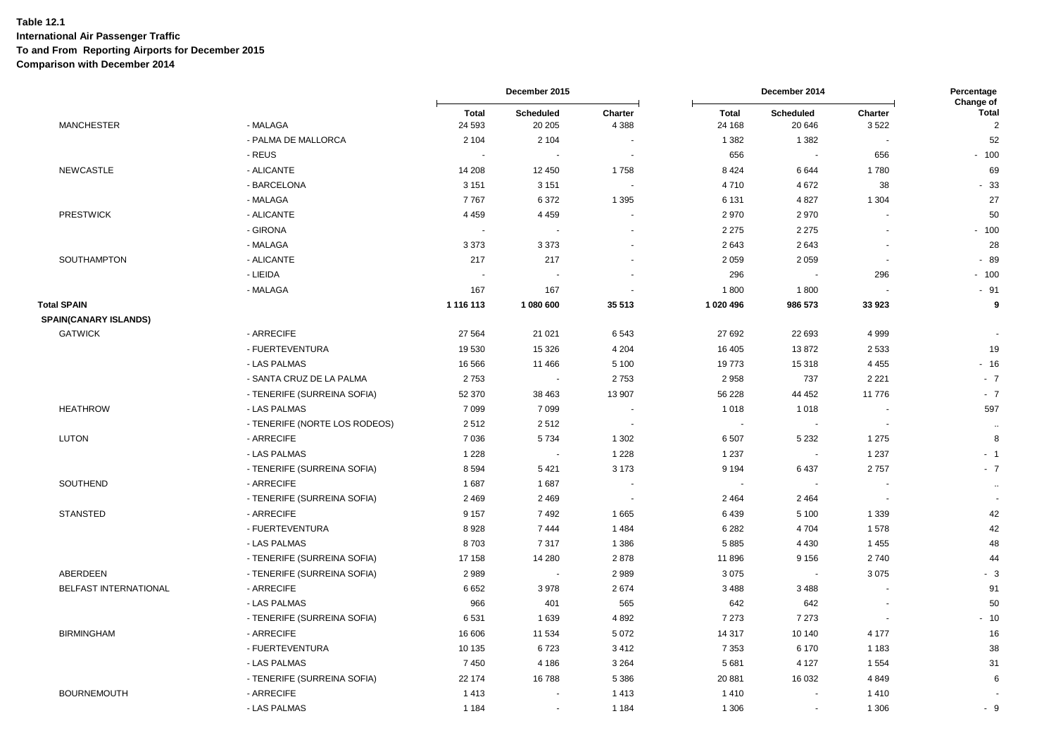|                                                    |                               |                          | December 2015        |                          | December 2014          |                          | Percentage<br>Change of  |                                |
|----------------------------------------------------|-------------------------------|--------------------------|----------------------|--------------------------|------------------------|--------------------------|--------------------------|--------------------------------|
| <b>MANCHESTER</b>                                  | - MALAGA                      | <b>Total</b><br>24 5 93  | Scheduled<br>20 20 5 | Charter<br>4 3 8 8       | <b>Total</b><br>24 168 | Scheduled<br>20 646      | Charter<br>3522          | <b>Total</b><br>$\overline{2}$ |
|                                                    | - PALMA DE MALLORCA           | 2 1 0 4                  | 2 1 0 4              |                          | 1 3 8 2                | 1 3 8 2                  |                          | 52                             |
|                                                    | - REUS                        | $\overline{\phantom{a}}$ | $\blacksquare$       | $\sim$                   | 656                    | $\sim$                   | 656                      | $-100$                         |
| <b>NEWCASTLE</b>                                   | - ALICANTE                    | 14 208                   | 12 450               | 1758                     | 8 4 2 4                | 6644                     | 1780                     | 69                             |
|                                                    | - BARCELONA                   | 3 1 5 1                  | 3 1 5 1              | $\sim$                   | 4710                   | 4672                     | 38                       | $-33$                          |
|                                                    | - MALAGA                      | 7767                     | 6372                 | 1 3 9 5                  | 6 1 3 1                | 4827                     | 1 3 0 4                  | 27                             |
| <b>PRESTWICK</b>                                   | - ALICANTE                    | 4 4 5 9                  | 4 4 5 9              |                          | 2970                   | 2970                     |                          | 50                             |
|                                                    | - GIRONA                      | $\sim$                   | $\sim$               |                          | 2 2 7 5                | 2 2 7 5                  |                          | $-100$                         |
|                                                    | - MALAGA                      | 3 3 7 3                  | 3 3 7 3              |                          | 2643                   | 2643                     |                          | 28                             |
| SOUTHAMPTON                                        | - ALICANTE                    | 217                      | 217                  |                          | 2 0 5 9                | 2059                     |                          | $-89$                          |
|                                                    | - LIEIDA                      |                          |                      |                          | 296                    |                          | 296                      | $-100$                         |
|                                                    | - MALAGA                      | 167                      | 167                  | $\blacksquare$           | 1800                   | 1800                     |                          | $-91$                          |
| <b>Total SPAIN</b><br><b>SPAIN(CANARY ISLANDS)</b> |                               | 1 116 113                | 1 080 600            | 35 513                   | 1 020 496              | 986 573                  | 33 923                   | 9                              |
| <b>GATWICK</b>                                     | - ARRECIFE                    | 27 5 64                  | 21 0 21              | 6543                     | 27 692                 | 22 693                   | 4999                     | $\sim$                         |
|                                                    | - FUERTEVENTURA               | 19 530                   | 15 3 26              | 4 2 0 4                  | 16 40 5                | 13872                    | 2 5 3 3                  | 19                             |
|                                                    | - LAS PALMAS                  | 16 5 66                  | 11 4 66              | 5 100                    | 19773                  | 15 318                   | 4 4 5 5                  | $-16$                          |
|                                                    | - SANTA CRUZ DE LA PALMA      | 2753                     | $\sim$               | 2753                     | 2958                   | 737                      | 2 2 2 1                  | $-7$                           |
|                                                    | - TENERIFE (SURREINA SOFIA)   | 52 370                   | 38 463               | 13 907                   | 56 228                 | 44 452                   | 11776                    | $-7$                           |
| <b>HEATHROW</b>                                    | - LAS PALMAS                  | 7 0 9 9                  | 7 0 9 9              |                          | 1 0 1 8                | 1018                     |                          | 597                            |
|                                                    | - TENERIFE (NORTE LOS RODEOS) | 2512                     | 2512                 | $\sim$                   | $\blacksquare$         | $\overline{\phantom{a}}$ |                          |                                |
| <b>LUTON</b>                                       | - ARRECIFE                    | 7 0 36                   | 5734                 | 1 3 0 2                  | 6507                   | 5 2 3 2                  | 1 2 7 5                  | $\ddot{\phantom{a}}$<br>8      |
|                                                    | - LAS PALMAS                  | 1 2 2 8                  | $\sim$               | 1 2 2 8                  | 1 2 3 7                | $\sim$                   | 1 2 3 7                  | $-1$                           |
|                                                    | - TENERIFE (SURREINA SOFIA)   | 8594                     | 5 4 21               | 3 1 7 3                  | 9 1 9 4                | 6437                     | 2757                     | $-7$                           |
| SOUTHEND                                           | - ARRECIFE                    | 1687                     | 1687                 |                          | $\sim$                 | $\overline{a}$           |                          |                                |
|                                                    | - TENERIFE (SURREINA SOFIA)   | 2 4 6 9                  | 2 4 6 9              | $\overline{\phantom{a}}$ | 2 4 6 4                | 2 4 6 4                  | $\overline{\phantom{a}}$ | $\bullet\bullet$               |
| <b>STANSTED</b>                                    | - ARRECIFE                    | 9 1 5 7                  | 7492                 | 1665                     | 6439                   | 5 1 0 0                  | 1 3 3 9                  | 42                             |
|                                                    | - FUERTEVENTURA               | 8928                     | 7444                 | 1484                     | 6 2 8 2                | 4704                     | 1578                     | 42                             |
|                                                    | - LAS PALMAS                  | 8703                     | 7317                 | 1 3 8 6                  | 5885                   | 4 4 3 0                  | 1 4 5 5                  | 48                             |
|                                                    | - TENERIFE (SURREINA SOFIA)   | 17 158                   | 14 280               | 2878                     | 11896                  | 9 1 5 6                  | 2740                     | 44                             |
| ABERDEEN                                           | - TENERIFE (SURREINA SOFIA)   | 2989                     | $\sim$               | 2989                     | 3075                   | $\overline{\phantom{a}}$ | 3075                     | $-3$                           |
| BELFAST INTERNATIONAL                              | - ARRECIFE                    | 6652                     | 3 9 7 8              | 2674                     | 3488                   | 3488                     |                          | 91                             |
|                                                    | - LAS PALMAS                  | 966                      | 401                  | 565                      | 642                    | 642                      |                          | 50                             |
|                                                    | - TENERIFE (SURREINA SOFIA)   | 6531                     | 1639                 | 4892                     | 7 2 7 3                | 7 2 7 3                  |                          | $-10$                          |
| <b>BIRMINGHAM</b>                                  | - ARRECIFE                    | 16 606                   | 11 534               | 5 0 7 2                  | 14 317                 | 10 140                   | 4 1 7 7                  | 16                             |
|                                                    | - FUERTEVENTURA               | 10 135                   | 6723                 | 3412                     | 7 3 5 3                | 6 1 7 0                  | 1 1 8 3                  | 38                             |
|                                                    | - LAS PALMAS                  | 7450                     | 4 1 8 6              | 3 2 6 4                  | 5 6 8 1                | 4 1 2 7                  | 1 5 5 4                  | 31                             |
|                                                    | - TENERIFE (SURREINA SOFIA)   | 22 174                   | 16788                | 5 3 8 6                  | 20 881                 | 16 032                   | 4849                     | 6                              |
| <b>BOURNEMOUTH</b>                                 | - ARRECIFE                    | 1413                     |                      | 1413                     | 1410                   | $\sim$                   | 1410                     |                                |
|                                                    | - LAS PALMAS                  | 1 1 8 4                  | ÷,                   | 1 1 8 4                  | 1 3 0 6                | $\sim$                   | 1 3 0 6                  | - 9                            |
|                                                    |                               |                          |                      |                          |                        |                          |                          |                                |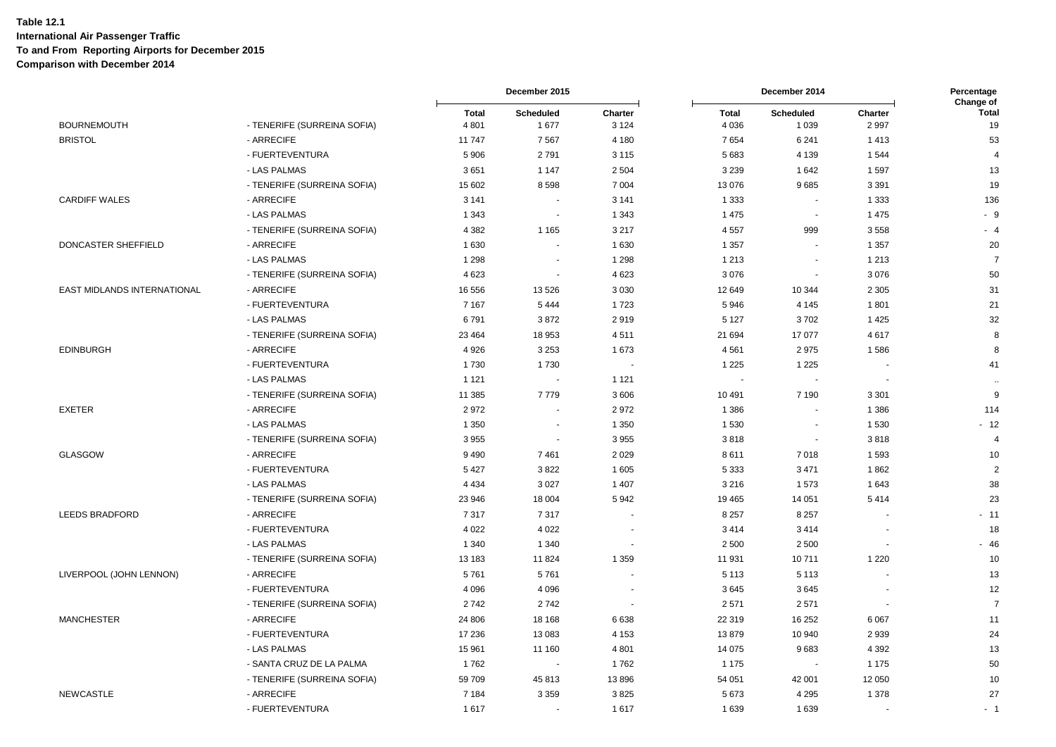|                                    |                             |                         | December 2015            |                    | December 2014           |                             | Percentage<br>Change of |                    |
|------------------------------------|-----------------------------|-------------------------|--------------------------|--------------------|-------------------------|-----------------------------|-------------------------|--------------------|
| <b>BOURNEMOUTH</b>                 | - TENERIFE (SURREINA SOFIA) | <b>Total</b><br>4 8 0 1 | <b>Scheduled</b><br>1677 | Charter<br>3 1 2 4 | <b>Total</b><br>4 0 3 6 | <b>Scheduled</b><br>1 0 3 9 | Charter<br>2 9 9 7      | <b>Total</b><br>19 |
| <b>BRISTOL</b>                     | - ARRECIFE                  | 11 747                  | 7567                     | 4 180              | 7654                    | 6 2 4 1                     | 1413                    | 53                 |
|                                    | - FUERTEVENTURA             | 5 9 0 6                 | 2791                     | 3 1 1 5            | 5683                    | 4 1 3 9                     | 1 5 4 4                 | $\overline{4}$     |
|                                    | - LAS PALMAS                | 3651                    | 1 1 4 7                  | 2 5 0 4            | 3 2 3 9                 | 1 6 4 2                     | 1 5 9 7                 | 13                 |
|                                    | - TENERIFE (SURREINA SOFIA) | 15 602                  | 8598                     | 7 0 0 4            | 13 0 76                 | 9685                        | 3 3 9 1                 | 19                 |
| <b>CARDIFF WALES</b>               | - ARRECIFE                  | 3 1 4 1                 |                          | 3 1 4 1            | 1 3 3 3                 | $\sim$                      | 1 3 3 3                 | 136                |
|                                    | - LAS PALMAS                | 1 3 4 3                 | $\sim$                   | 1 3 4 3            | 1 4 7 5                 | $\sim$                      | 1 4 7 5                 | $-9$               |
|                                    | - TENERIFE (SURREINA SOFIA) | 4 3 8 2                 | 1 1 6 5                  | 3 2 1 7            | 4557                    | 999                         | 3558                    | $-4$               |
| <b>DONCASTER SHEFFIELD</b>         | - ARRECIFE                  | 1630                    | $\overline{\phantom{a}}$ | 1 6 3 0            | 1 3 5 7                 | $\sim$                      | 1 3 5 7                 | 20                 |
|                                    | - LAS PALMAS                | 1 2 9 8                 |                          | 1 2 9 8            | 1 2 1 3                 | $\sim$                      | 1 2 1 3                 | $\overline{7}$     |
|                                    | - TENERIFE (SURREINA SOFIA) | 4623                    | $\sim$                   | 4 6 23             | 3076                    | $\sim$                      | 3076                    | 50                 |
| <b>EAST MIDLANDS INTERNATIONAL</b> | - ARRECIFE                  | 16 556                  | 13 5 26                  | 3 0 3 0            | 12 649                  | 10 344                      | 2 3 0 5                 | 31                 |
|                                    | - FUERTEVENTURA             | 7 1 6 7                 | 5 4 4 4                  | 1723               | 5946                    | 4 1 4 5                     | 1801                    | 21                 |
|                                    | - LAS PALMAS                | 6791                    | 3872                     | 2919               | 5 1 2 7                 | 3702                        | 1 4 2 5                 | 32                 |
|                                    | - TENERIFE (SURREINA SOFIA) | 23 4 64                 | 18 953                   | 4511               | 21 694                  | 17 077                      | 4617                    | 8                  |
| <b>EDINBURGH</b>                   | - ARRECIFE                  | 4 9 2 6                 | 3 2 5 3                  | 1673               | 4561                    | 2975                        | 1586                    | 8                  |
|                                    | - FUERTEVENTURA             | 1730                    | 1730                     |                    | 1 2 2 5                 | 1 2 2 5                     |                         | 41                 |
|                                    | - LAS PALMAS                | 1 1 2 1                 | $\overline{\phantom{a}}$ | 1 1 2 1            | $\blacksquare$          |                             |                         | $\ddotsc$          |
|                                    | - TENERIFE (SURREINA SOFIA) | 11 385                  | 7779                     | 3606               | 10 491                  | 7 1 9 0                     | 3 3 0 1                 | $9\,$              |
| <b>EXETER</b>                      | - ARRECIFE                  | 2972                    | $\overline{\phantom{a}}$ | 2972               | 1 3 8 6                 |                             | 1 3 8 6                 | 114                |
|                                    | - LAS PALMAS                | 1 3 5 0                 | ÷.                       | 1 3 5 0            | 1530                    |                             | 1 5 3 0                 | $-12$              |
|                                    | - TENERIFE (SURREINA SOFIA) | 3955                    | $\blacksquare$           | 3 9 5 5            | 3818                    | $\sim$                      | 3818                    | $\overline{4}$     |
| GLASGOW                            | - ARRECIFE                  | 9 4 9 0                 | 7461                     | 2 0 2 9            | 8611                    | 7018                        | 1593                    | 10                 |
|                                    | - FUERTEVENTURA             | 5 4 2 7                 | 3822                     | 1 605              | 5 3 3 3                 | 3 4 7 1                     | 1862                    | $\overline{2}$     |
|                                    | - LAS PALMAS                | 4 4 3 4                 | 3 0 2 7                  | 1 4 0 7            | 3 2 1 6                 | 1573                        | 1 6 4 3                 | 38                 |
|                                    | - TENERIFE (SURREINA SOFIA) | 23 946                  | 18 004                   | 5942               | 19 4 65                 | 14 051                      | 5414                    | 23                 |
| <b>LEEDS BRADFORD</b>              | - ARRECIFE                  | 7317                    | 7317                     |                    | 8 2 5 7                 | 8 2 5 7                     |                         | $-11$              |
|                                    | - FUERTEVENTURA             | 4 0 2 2                 | 4 0 2 2                  |                    | 3414                    | 3414                        |                         | 18                 |
|                                    | - LAS PALMAS                | 1 3 4 0                 | 1 3 4 0                  |                    | 2 500                   | 2 5 0 0                     |                         | $-46$              |
|                                    | - TENERIFE (SURREINA SOFIA) | 13 183                  | 11 824                   | 1 3 5 9            | 11 931                  | 10711                       | 1 2 2 0                 | 10                 |
| LIVERPOOL (JOHN LENNON)            | - ARRECIFE                  | 5761                    | 5761                     |                    | 5 1 1 3                 | 5 1 1 3                     |                         | 13                 |
|                                    | - FUERTEVENTURA             | 4 0 9 6                 | 4 0 9 6                  |                    | 3645                    | 3645                        |                         | 12                 |
|                                    | - TENERIFE (SURREINA SOFIA) | 2742                    | 2742                     |                    | 2571                    | 2571                        |                         | $\overline{7}$     |
| <b>MANCHESTER</b>                  | - ARRECIFE                  | 24 806                  | 18 168                   | 6638               | 22 319                  | 16 25 2                     | 6 0 67                  | 11                 |
|                                    | - FUERTEVENTURA             | 17 236                  | 13 083                   | 4 1 5 3            | 13879                   | 10 940                      | 2939                    | 24                 |
|                                    | - LAS PALMAS                | 15 961                  | 11 160                   | 4 8 0 1            | 14 0 75                 | 9683                        | 4 3 9 2                 | 13                 |
|                                    | - SANTA CRUZ DE LA PALMA    | 1762                    |                          | 1762               | 1 1 7 5                 |                             | 1 1 7 5                 | 50                 |
|                                    | - TENERIFE (SURREINA SOFIA) | 59 709                  | 45 813                   | 13896              | 54 051                  | 42 001                      | 12 050                  | 10                 |
| <b>NEWCASTLE</b>                   | - ARRECIFE                  | 7 1 8 4                 | 3 3 5 9                  | 3825               | 5673                    | 4 2 9 5                     | 1 3 7 8                 | 27                 |
|                                    | - FUERTEVENTURA             | 1617                    | $\blacksquare$           | 1617               | 1639                    | 1639                        |                         | - 1                |
|                                    |                             |                         |                          |                    |                         |                             |                         |                    |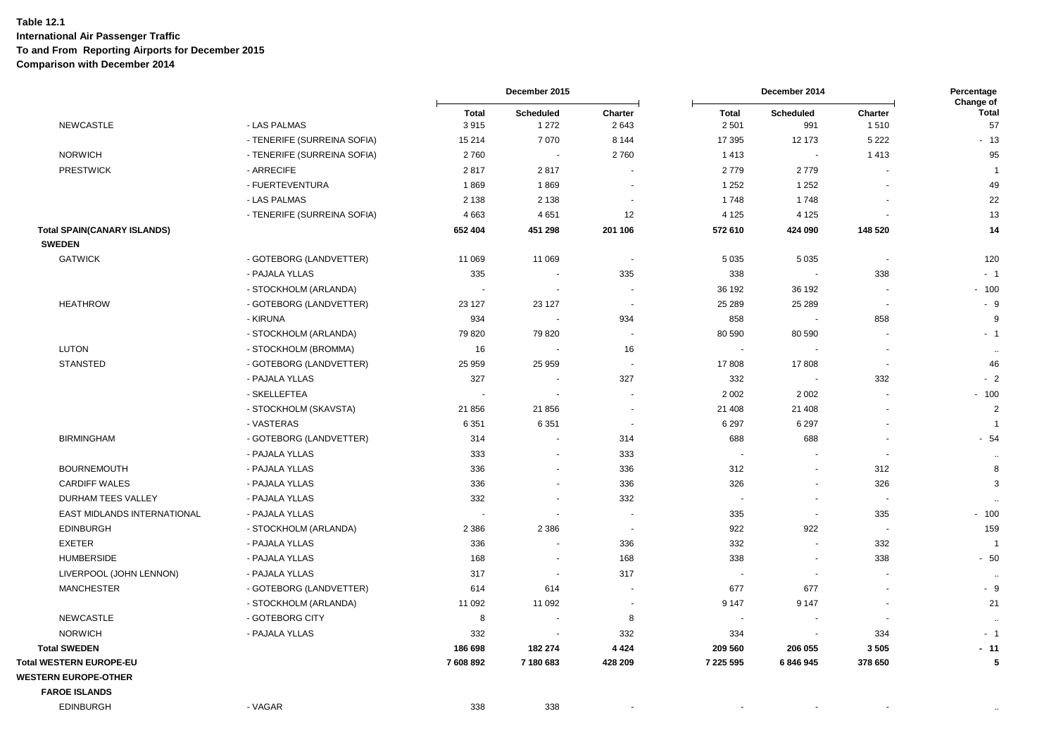|                                    |                             |                          | December 2015            |                          | December 2014            |                          | Percentage<br>Change of  |                      |
|------------------------------------|-----------------------------|--------------------------|--------------------------|--------------------------|--------------------------|--------------------------|--------------------------|----------------------|
| <b>NEWCASTLE</b>                   | - LAS PALMAS                | <b>Total</b><br>3915     | Scheduled<br>1 2 7 2     | Charter<br>2643          | <b>Total</b><br>2 5 0 1  | Scheduled<br>991         | Charter<br>1510          | <b>Total</b><br>57   |
|                                    | - TENERIFE (SURREINA SOFIA) | 15 214                   | 7 0 7 0                  | 8 1 4 4                  | 17 395                   | 12 173                   | 5 2 2 2                  | $-13$                |
| <b>NORWICH</b>                     | - TENERIFE (SURREINA SOFIA) | 2760                     | $\sim$                   | 2760                     | 1413                     | $\overline{\phantom{a}}$ | 1413                     | 95                   |
| <b>PRESTWICK</b>                   | - ARRECIFE                  | 2817                     | 2817                     |                          | 2779                     | 2779                     |                          | $\overline{1}$       |
|                                    | - FUERTEVENTURA             | 1869                     | 1869                     |                          | 1 2 5 2                  | 1 2 5 2                  |                          | 49                   |
|                                    | - LAS PALMAS                | 2 1 3 8                  | 2 1 3 8                  | $\sim$                   | 1748                     | 1748                     |                          | 22                   |
|                                    | - TENERIFE (SURREINA SOFIA) | 4663                     | 4651                     | 12                       | 4 1 2 5                  | 4 1 2 5                  |                          | 13                   |
| <b>Total SPAIN(CANARY ISLANDS)</b> |                             | 652 404                  | 451 298                  | 201 106                  | 572 610                  | 424 090                  | 148 520                  | 14                   |
| <b>SWEDEN</b>                      |                             |                          |                          |                          |                          |                          |                          |                      |
| <b>GATWICK</b>                     | - GOTEBORG (LANDVETTER)     | 11 069                   | 11 069                   | $\overline{\phantom{a}}$ | 5 0 3 5                  | 5 0 3 5                  | $\blacksquare$           | 120                  |
|                                    | - PAJALA YLLAS              | 335                      |                          | 335                      | 338                      | $\overline{\phantom{a}}$ | 338                      | $-1$                 |
|                                    | - STOCKHOLM (ARLANDA)       |                          |                          |                          | 36 192                   | 36 192                   |                          | $-100$               |
| <b>HEATHROW</b>                    | - GOTEBORG (LANDVETTER)     | 23 127                   | 23 127                   | $\blacksquare$           | 25 28 9                  | 25 28 9                  | $\overline{\phantom{a}}$ | $-9$                 |
|                                    | - KIRUNA                    | 934                      | $\sim$                   | 934                      | 858                      |                          | 858                      | 9                    |
|                                    | - STOCKHOLM (ARLANDA)       | 79 820                   | 79 820                   | $\overline{\phantom{a}}$ | 80 590                   | 80 590                   | $\overline{\phantom{a}}$ | $-1$                 |
| <b>LUTON</b>                       | - STOCKHOLM (BROMMA)        | 16                       |                          | 16                       |                          |                          |                          | $\ddot{\phantom{a}}$ |
| <b>STANSTED</b>                    | - GOTEBORG (LANDVETTER)     | 25 959                   | 25 959                   | $\overline{\phantom{a}}$ | 17808                    | 17808                    | $\overline{\phantom{a}}$ | 46                   |
|                                    | - PAJALA YLLAS              | 327                      |                          | 327                      | 332                      | $\sim$                   | 332                      | $-2$                 |
|                                    | - SKELLEFTEA                | $\overline{\phantom{a}}$ |                          |                          | 2 0 0 2                  | 2 0 0 2                  |                          | $-100$               |
|                                    | - STOCKHOLM (SKAVSTA)       | 21 856                   | 21 856                   | $\overline{\phantom{a}}$ | 21 408                   | 21 408                   |                          | $\overline{2}$       |
|                                    | - VASTERAS                  | 6 3 5 1                  | 6 3 5 1                  | $\overline{\phantom{a}}$ | 6 2 9 7                  | 6 2 9 7                  |                          | $\overline{1}$       |
| <b>BIRMINGHAM</b>                  | - GOTEBORG (LANDVETTER)     | 314                      |                          | 314                      | 688                      | 688                      |                          | $-54$                |
|                                    | - PAJALA YLLAS              | 333                      |                          | 333                      |                          |                          |                          | $\ddot{\phantom{a}}$ |
| <b>BOURNEMOUTH</b>                 | - PAJALA YLLAS              | 336                      |                          | 336                      | 312                      | $\blacksquare$           | 312                      | 8                    |
| <b>CARDIFF WALES</b>               | - PAJALA YLLAS              | 336                      | $\overline{\phantom{a}}$ | 336                      | 326                      | $\blacksquare$           | 326                      | 3                    |
| DURHAM TEES VALLEY                 | - PAJALA YLLAS              | 332                      | $\overline{\phantom{a}}$ | 332                      | $\overline{\phantom{a}}$ | $\blacksquare$           | $\overline{\phantom{a}}$ |                      |
| EAST MIDLANDS INTERNATIONAL        | - PAJALA YLLAS              | $\sim$                   | $\sim$                   | $\overline{\phantom{a}}$ | 335                      | $\overline{\phantom{a}}$ | 335                      | $-100$               |
| <b>EDINBURGH</b>                   | - STOCKHOLM (ARLANDA)       | 2 3 8 6                  | 2 3 8 6                  | $\overline{\phantom{a}}$ | 922                      | 922                      | $\overline{\phantom{a}}$ | 159                  |
| <b>EXETER</b>                      | - PAJALA YLLAS              | 336                      |                          | 336                      | 332                      | $\sim$                   | 332                      | $\overline{1}$       |
| <b>HUMBERSIDE</b>                  | - PAJALA YLLAS              | 168                      | $\sim$                   | 168                      | 338                      | $\overline{\phantom{a}}$ | 338                      | $-50$                |
| LIVERPOOL (JOHN LENNON)            | - PAJALA YLLAS              | 317                      | $\sim$                   | 317                      |                          |                          |                          | $\ddotsc$            |
| <b>MANCHESTER</b>                  | - GOTEBORG (LANDVETTER)     | 614                      | 614                      | $\overline{\phantom{a}}$ | 677                      | 677                      |                          | $-9$                 |
|                                    | - STOCKHOLM (ARLANDA)       | 11 092                   | 11 092                   | $\overline{\phantom{a}}$ | 9 1 4 7                  | 9 1 4 7                  |                          | 21                   |
| <b>NEWCASTLE</b>                   | - GOTEBORG CITY             | 8                        | $\overline{\phantom{a}}$ | 8                        | $\sim$                   | $\sim$                   |                          | $\cdot$              |
| <b>NORWICH</b>                     | - PAJALA YLLAS              | 332                      |                          | 332                      | 334                      |                          | 334                      | $-1$                 |
| <b>Total SWEDEN</b>                |                             | 186 698                  | 182 274                  | 4 4 2 4                  | 209 560                  | 206 055                  | 3505                     | $-11$                |
| <b>Total WESTERN EUROPE-EU</b>     |                             | 7608892                  | 7 180 683                | 428 209                  | 7 225 595                | 6846945                  | 378 650                  | 5                    |
| <b>WESTERN EUROPE-OTHER</b>        |                             |                          |                          |                          |                          |                          |                          |                      |
| <b>FAROE ISLANDS</b>               |                             |                          |                          |                          |                          |                          |                          |                      |
| <b>EDINBURGH</b>                   | - VAGAR                     | 338                      | 338                      |                          |                          |                          |                          |                      |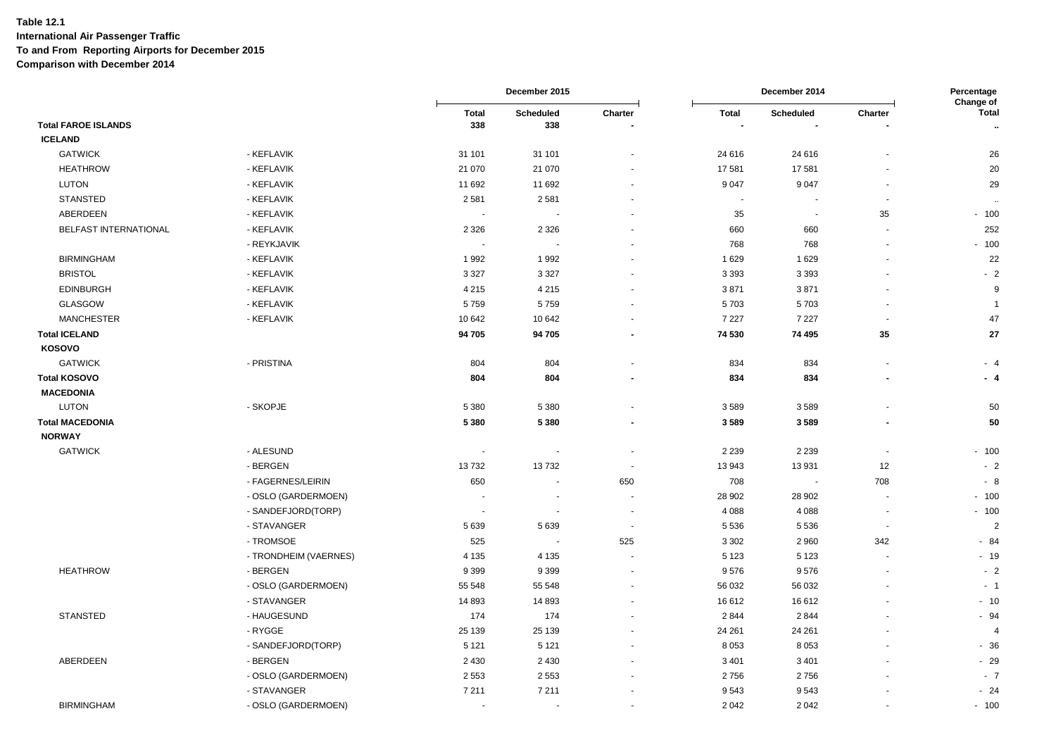|                            |                       |                          | December 2015            |                          |              | December 2014            |                          | Percentage<br>Change of |  |
|----------------------------|-----------------------|--------------------------|--------------------------|--------------------------|--------------|--------------------------|--------------------------|-------------------------|--|
|                            |                       | <b>Total</b>             | Scheduled                | Charter                  | <b>Total</b> | Scheduled                | Charter                  | <b>Total</b>            |  |
| <b>Total FAROE ISLANDS</b> |                       | 338                      | 338                      |                          |              |                          |                          | $\sim$                  |  |
| <b>ICELAND</b>             |                       |                          |                          |                          |              |                          |                          |                         |  |
| <b>GATWICK</b>             | - KEFLAVIK            | 31 101                   | 31 101                   |                          | 24 616       | 24 6 16                  |                          | 26                      |  |
| <b>HEATHROW</b>            | - KEFLAVIK            | 21 070                   | 21 070                   |                          | 17581        | 17581                    |                          | 20                      |  |
| <b>LUTON</b>               | - KEFLAVIK            | 11 692                   | 11 692                   |                          | 9 0 4 7      | 9047                     |                          | 29                      |  |
| <b>STANSTED</b>            | - KEFLAVIK            | 2581                     | 2581                     |                          |              |                          |                          | $\ddotsc$               |  |
| ABERDEEN                   | - KEFLAVIK            |                          |                          |                          | 35           | $\overline{\phantom{a}}$ | 35                       | $-100$                  |  |
| BELFAST INTERNATIONAL      | - KEFLAVIK            | 2 3 2 6                  | 2 3 2 6                  |                          | 660          | 660                      |                          | 252                     |  |
|                            | - REYKJAVIK           | $\overline{\phantom{a}}$ | $\overline{\phantom{a}}$ |                          | 768          | 768                      |                          | $-100$                  |  |
| <b>BIRMINGHAM</b>          | - KEFLAVIK            | 1992                     | 1992                     |                          | 1629         | 1629                     |                          | 22                      |  |
| <b>BRISTOL</b>             | - KEFLAVIK            | 3 3 2 7                  | 3 3 2 7                  |                          | 3 3 9 3      | 3 3 9 3                  |                          | $-2$                    |  |
| <b>EDINBURGH</b>           | - KEFLAVIK            | 4 2 1 5                  | 4 2 1 5                  |                          | 3871         | 3871                     |                          | 9                       |  |
| GLASGOW                    | - KEFLAVIK            | 5759                     | 5759                     |                          | 5703         | 5703                     |                          | $\overline{1}$          |  |
| <b>MANCHESTER</b>          | - KEFLAVIK            | 10 642                   | 10 642                   |                          | 7 2 2 7      | 7 2 2 7                  | $\overline{\phantom{a}}$ | 47                      |  |
| <b>Total ICELAND</b>       |                       | 94 705                   | 94 705                   | ٠                        | 74 530       | 74 495                   | 35                       | 27                      |  |
| <b>KOSOVO</b>              |                       |                          |                          |                          |              |                          |                          |                         |  |
| <b>GATWICK</b>             | - PRISTINA            | 804                      | 804                      |                          | 834          | 834                      |                          | $-4$                    |  |
| <b>Total KOSOVO</b>        |                       | 804                      | 804                      |                          | 834          | 834                      | ٠                        | - 4                     |  |
| <b>MACEDONIA</b>           |                       |                          |                          |                          |              |                          |                          |                         |  |
| <b>LUTON</b>               | - SKOPJE              | 5 3 8 0                  | 5 3 8 0                  |                          | 3589         | 3589                     |                          | 50                      |  |
| <b>Total MACEDONIA</b>     |                       | 5 3 8 0                  | 5 3 8 0                  |                          | 3589         | 3589                     | ÷.                       | 50                      |  |
| <b>NORWAY</b>              |                       |                          |                          |                          |              |                          |                          |                         |  |
| <b>GATWICK</b>             | - ALESUND             | $\overline{\phantom{a}}$ | $\overline{\phantom{a}}$ | $\blacksquare$           | 2 2 3 9      | 2 2 3 9                  | $\overline{\phantom{a}}$ | $-100$                  |  |
|                            | - BERGEN              | 13732                    | 13732                    | $\blacksquare$           | 13 943       | 13931                    | 12                       | $-2$                    |  |
|                            | - FAGERNES/LEIRIN     | 650                      | $\sim$                   | 650                      | 708          | $\overline{\phantom{a}}$ | 708                      | - 8                     |  |
|                            | - OSLO (GARDERMOEN)   |                          |                          | ÷,                       | 28 902       | 28 902                   |                          | $-100$                  |  |
|                            | - SANDEFJORD(TORP)    |                          | $\blacksquare$           |                          | 4 0 8 8      |                          |                          | $-100$                  |  |
|                            |                       | $\overline{\phantom{a}}$ |                          |                          |              | 4088                     | $\overline{\phantom{a}}$ |                         |  |
|                            | - STAVANGER           | 5 6 3 9                  | 5639                     | $\overline{\phantom{a}}$ | 5 5 3 6      | 5 5 3 6                  | $\overline{\phantom{a}}$ | $\overline{2}$          |  |
|                            | - TROMSOE             | 525                      | $\sim$                   | 525                      | 3 3 0 2      | 2 9 6 0                  | 342                      | $-84$                   |  |
|                            | - TRONDHEIM (VAERNES) | 4 1 3 5                  | 4 1 3 5                  |                          | 5 1 2 3      | 5 1 2 3                  |                          | $-19$                   |  |
| <b>HEATHROW</b>            | - BERGEN              | 9 3 9 9                  | 9 3 9 9                  |                          | 9576         | 9576                     | $\blacksquare$           | $-2$                    |  |
|                            | - OSLO (GARDERMOEN)   | 55 548                   | 55 548                   |                          | 56 032       | 56 032                   |                          | $-1$                    |  |
|                            | - STAVANGER           | 14 893                   | 14 893                   |                          | 16 612       | 16612                    |                          | $-10$                   |  |
| <b>STANSTED</b>            | - HAUGESUND           | 174                      | 174                      |                          | 2 8 4 4      | 2844                     |                          | $-94$                   |  |
|                            | - RYGGE               | 25 139                   | 25 139                   |                          | 24 261       | 24 261                   |                          | $\overline{4}$          |  |
|                            | - SANDEFJORD(TORP)    | 5 1 2 1                  | 5 1 2 1                  |                          | 8 0 5 3      | 8 0 5 3                  |                          | $-36$                   |  |
| ABERDEEN                   | - BERGEN              | 2 4 3 0                  | 2 4 3 0                  |                          | 3 4 0 1      | 3 4 0 1                  |                          | $-29$                   |  |
|                            | - OSLO (GARDERMOEN)   | 2 5 5 3                  | 2 5 5 3                  |                          | 2756         | 2756                     |                          | $-7$                    |  |
|                            | - STAVANGER           | 7 2 1 1                  | 7 2 1 1                  |                          | 9543         | 9543                     |                          | $-24$                   |  |
| <b>BIRMINGHAM</b>          | - OSLO (GARDERMOEN)   | $\blacksquare$           | $\blacksquare$           |                          | 2 0 4 2      | 2 0 4 2                  |                          | $-100$                  |  |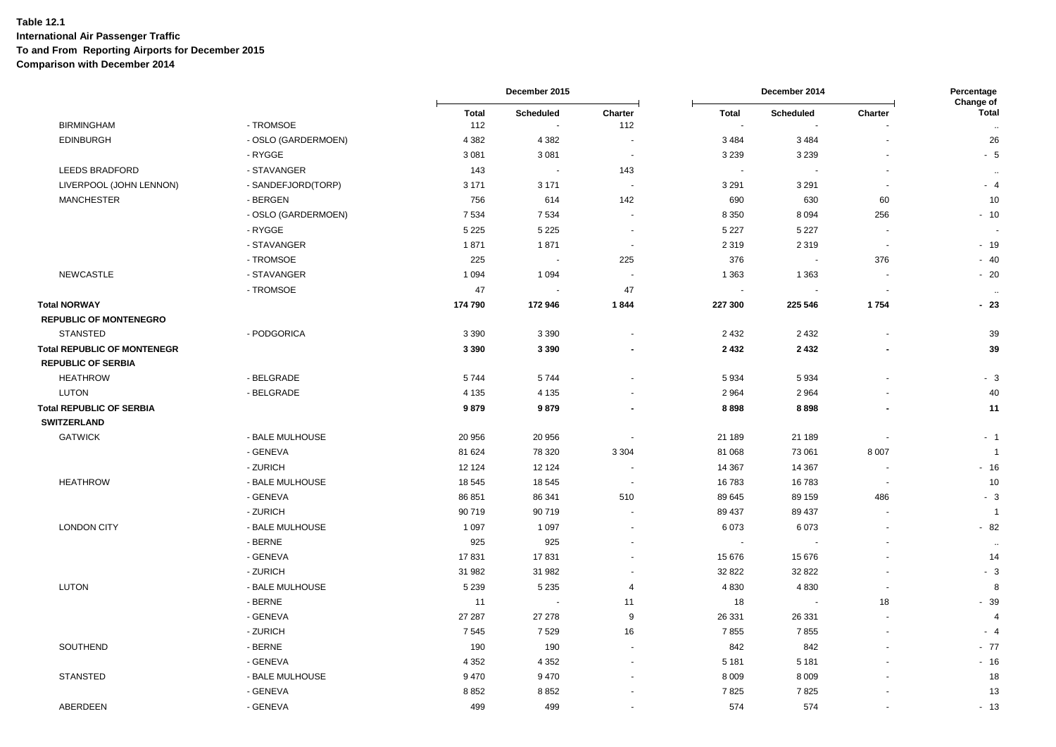|                                    |                     |                     | December 2015                                |                          | December 2014            |                            |                          | Percentage<br>Change of              |  |
|------------------------------------|---------------------|---------------------|----------------------------------------------|--------------------------|--------------------------|----------------------------|--------------------------|--------------------------------------|--|
| <b>BIRMINGHAM</b>                  | - TROMSOE           | <b>Total</b><br>112 | <b>Scheduled</b><br>$\overline{\phantom{a}}$ | Charter<br>112           | Total<br>$\sim$          | <b>Scheduled</b><br>$\sim$ | Charter                  | <b>Total</b><br>$\ddot{\phantom{a}}$ |  |
| <b>EDINBURGH</b>                   | - OSLO (GARDERMOEN) | 4 3 8 2             | 4 3 8 2                                      |                          | 3 4 8 4                  | 3484                       |                          | 26                                   |  |
|                                    | - RYGGE             | 3 0 8 1             | 3 0 8 1                                      | $\sim$                   | 3 2 3 9                  | 3 2 3 9                    |                          | $-5$                                 |  |
| LEEDS BRADFORD                     | - STAVANGER         | 143                 | $\sim$                                       | 143                      | $\sim$                   | $\ddot{\phantom{1}}$       |                          | $\ddot{\phantom{a}}$                 |  |
| LIVERPOOL (JOHN LENNON)            | - SANDEFJORD(TORP)  | 3 1 7 1             | 3 1 7 1                                      | $\blacksquare$           | 3 2 9 1                  | 3 2 9 1                    | $\sim$                   | $-4$                                 |  |
| <b>MANCHESTER</b>                  | - BERGEN            | 756                 | 614                                          | 142                      | 690                      | 630                        | 60                       | 10                                   |  |
|                                    | - OSLO (GARDERMOEN) | 7 5 3 4             | 7 5 3 4                                      |                          | 8 3 5 0                  | 8 0 9 4                    | 256                      | $-10$                                |  |
|                                    | - RYGGE             | 5 2 2 5             | 5 2 2 5                                      | $\overline{\phantom{a}}$ | 5 2 2 7                  | 5 2 2 7                    |                          |                                      |  |
|                                    | - STAVANGER         | 1871                | 1871                                         | $\overline{\phantom{a}}$ | 2 3 1 9                  | 2 3 1 9                    | $\sim$                   | $-19$                                |  |
|                                    | - TROMSOE           | 225                 | $\sim$                                       | 225                      | 376                      | $\blacksquare$             | 376                      | $-40$                                |  |
| <b>NEWCASTLE</b>                   | - STAVANGER         | 1 0 9 4             | 1 0 9 4                                      |                          | 1 3 6 3                  | 1 3 6 3                    |                          | $-20$                                |  |
|                                    | - TROMSOE           | 47                  |                                              | 47                       | $\overline{\phantom{a}}$ | $\ddot{\phantom{1}}$       |                          | $\ddotsc$                            |  |
| <b>Total NORWAY</b>                |                     | 174 790             | 172 946                                      | 1844                     | 227 300                  | 225 546                    | 1754                     | $-23$                                |  |
| <b>REPUBLIC OF MONTENEGRO</b>      |                     |                     |                                              |                          |                          |                            |                          |                                      |  |
| <b>STANSTED</b>                    | - PODGORICA         | 3 3 9 0             | 3 3 9 0                                      | ÷,                       | 2 4 3 2                  | 2 4 3 2                    | $\overline{\phantom{a}}$ | 39                                   |  |
| <b>Total REPUBLIC OF MONTENEGR</b> |                     | 3 3 9 0             | 3 3 9 0                                      |                          | 2 4 3 2                  | 2432                       |                          | 39                                   |  |
| <b>REPUBLIC OF SERBIA</b>          |                     |                     |                                              |                          |                          |                            |                          |                                      |  |
| <b>HEATHROW</b>                    | - BELGRADE          | 5744                | 5744                                         | ÷,                       | 5934                     | 5934                       |                          | $-3$                                 |  |
| <b>LUTON</b>                       | - BELGRADE          | 4 1 3 5             | 4 1 3 5                                      |                          | 2 9 64                   | 2964                       |                          | 40                                   |  |
| <b>Total REPUBLIC OF SERBIA</b>    |                     | 9879                | 9879                                         |                          | 8898                     | 8898                       |                          | 11                                   |  |
| <b>SWITZERLAND</b>                 |                     |                     |                                              |                          |                          |                            |                          |                                      |  |
| <b>GATWICK</b>                     | - BALE MULHOUSE     | 20 956              | 20 956                                       | $\overline{\phantom{a}}$ | 21 189                   | 21 189                     |                          | $-1$                                 |  |
|                                    | - GENEVA            | 81 624              | 78 320                                       | 3 3 0 4                  | 81 068                   | 73 061                     | 8 0 0 7                  | $\overline{1}$                       |  |
|                                    | - ZURICH            | 12 124              | 12 124                                       |                          | 14 3 67                  | 14 3 67                    |                          | $-16$                                |  |
| <b>HEATHROW</b>                    | - BALE MULHOUSE     | 18 545              | 18 545                                       | $\overline{\phantom{a}}$ | 16 783                   | 16783                      |                          | 10                                   |  |
|                                    | - GENEVA            | 86 851              | 86 341                                       | 510                      | 89 645                   | 89 159                     | 486                      | $-3$                                 |  |
|                                    | - ZURICH            | 90 719              | 90 719                                       | ä,                       | 89 437                   | 89 437                     |                          | $\overline{1}$                       |  |
| <b>LONDON CITY</b>                 | - BALE MULHOUSE     | 1 0 9 7             | 1 0 9 7                                      | $\overline{a}$           | 6073                     | 6073                       | $\blacksquare$           | $-82$                                |  |
|                                    | - BERNE             | 925                 | 925                                          |                          | $\sim$                   |                            |                          | $\sim$                               |  |
|                                    | - GENEVA            | 17831               | 17831                                        | $\ddot{\phantom{1}}$     | 15 676                   | 15 676                     |                          | 14                                   |  |
|                                    | - ZURICH            | 31 982              | 31 982                                       | $\overline{\phantom{a}}$ | 32 822                   | 32 822                     | ÷.                       | $-3$                                 |  |
| <b>LUTON</b>                       | - BALE MULHOUSE     | 5 2 3 9             | 5 2 3 5                                      | 4                        | 4 8 3 0                  | 4830                       | $\overline{\phantom{a}}$ | 8                                    |  |
|                                    | - BERNE             | 11                  |                                              | 11                       | 18                       | $\overline{\phantom{a}}$   | 18                       | $-39$                                |  |
|                                    | - GENEVA            | 27 287              | 27 27 8                                      | 9                        | 26 331                   | 26 331                     |                          | $\overline{4}$                       |  |
|                                    | - ZURICH            | 7545                | 7529                                         | 16                       | 7855                     | 7855                       |                          | $-4$                                 |  |
| SOUTHEND                           | - BERNE             | 190                 | 190                                          |                          | 842                      | 842                        |                          | $-77$                                |  |
|                                    | - GENEVA            | 4 3 5 2             | 4 3 5 2                                      | $\overline{\phantom{a}}$ | 5 1 8 1                  | 5 1 8 1                    |                          | $-16$                                |  |
| <b>STANSTED</b>                    | - BALE MULHOUSE     | 9470                | 9470                                         |                          | 8 0 0 9                  | 8 0 0 9                    |                          | 18                                   |  |
|                                    | - GENEVA            | 8852                | 8852                                         |                          | 7825                     | 7825                       |                          | 13                                   |  |
| ABERDEEN                           | - GENEVA            | 499                 | 499                                          | $\ddot{\phantom{1}}$     | 574                      | 574                        | $\sim$                   | $-13$                                |  |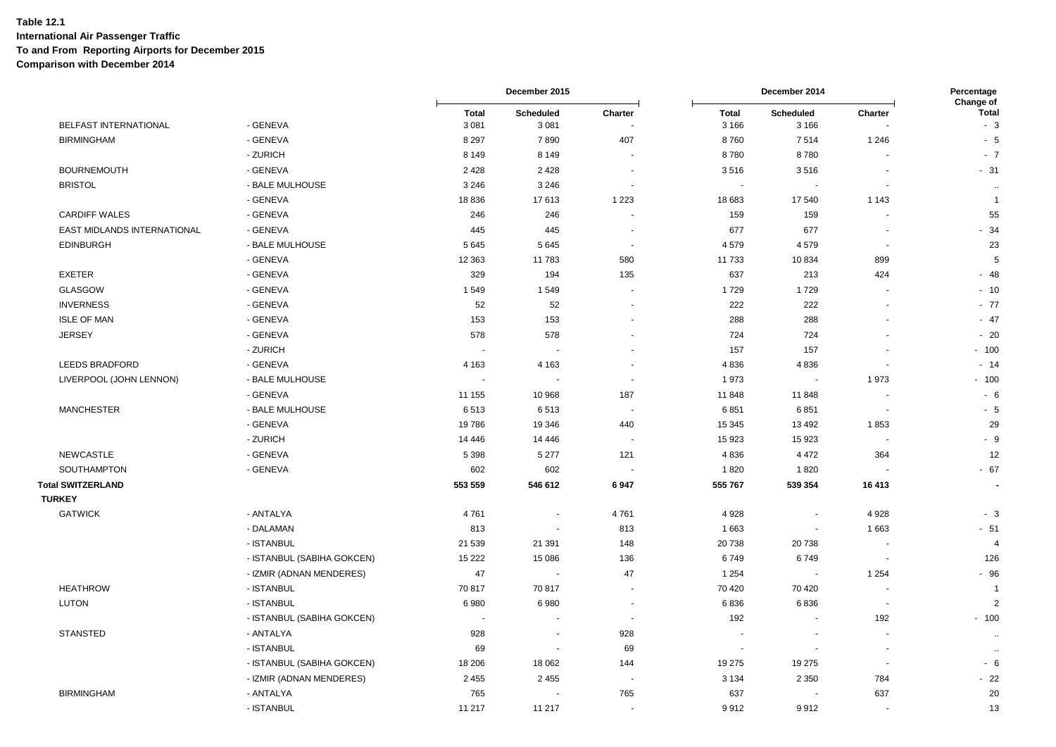|                             |                            |                         | December 2015            |                          |                          | December 2014               |                          | Percentage<br>Change of |
|-----------------------------|----------------------------|-------------------------|--------------------------|--------------------------|--------------------------|-----------------------------|--------------------------|-------------------------|
| BELFAST INTERNATIONAL       | - GENEVA                   | <b>Total</b><br>3 0 8 1 | Scheduled<br>3 0 8 1     | Charter                  | <b>Total</b><br>3 1 6 6  | <b>Scheduled</b><br>3 1 6 6 | Charter                  | <b>Total</b><br>$-3$    |
| <b>BIRMINGHAM</b>           | - GENEVA                   | 8 2 9 7                 | 7890                     | 407                      | 8760                     | 7514                        | 1 2 4 6                  | $-5$                    |
|                             | - ZURICH                   | 8 1 4 9                 | 8 1 4 9                  | - 11                     | 8780                     | 8780                        |                          | $-7$                    |
| <b>BOURNEMOUTH</b>          | - GENEVA                   | 2428                    | 2 4 2 8                  | $\blacksquare$           | 3516                     | 3516                        | $\blacksquare$           | $-31$                   |
| <b>BRISTOL</b>              | - BALE MULHOUSE            | 3 2 4 6                 | 3 2 4 6                  | $\sim$                   | $\sim$                   |                             |                          | $\cdots$                |
|                             | - GENEVA                   | 18 8 36                 | 17613                    | 1 2 2 3                  | 18 683                   | 17540                       | 1 1 4 3                  | $\overline{1}$          |
| <b>CARDIFF WALES</b>        | - GENEVA                   | 246                     | 246                      |                          | 159                      | 159                         |                          | 55                      |
| EAST MIDLANDS INTERNATIONAL | - GENEVA                   | 445                     | 445                      |                          | 677                      | 677                         |                          | $-34$                   |
| <b>EDINBURGH</b>            | - BALE MULHOUSE            | 5645                    | 5645                     | $\overline{\phantom{a}}$ | 4579                     | 4579                        | $\overline{\phantom{a}}$ | 23                      |
|                             | - GENEVA                   | 12 363                  | 11783                    | 580                      | 11733                    | 10834                       | 899                      | 5                       |
| <b>EXETER</b>               | - GENEVA                   | 329                     | 194                      | 135                      | 637                      | 213                         | 424                      | $-48$                   |
| GLASGOW                     | - GENEVA                   | 1549                    | 1549                     |                          | 1729                     | 1729                        |                          | $-10$                   |
| <b>INVERNESS</b>            | - GENEVA                   | 52                      | 52                       | $\sim$                   | 222                      | 222                         | $\overline{\phantom{a}}$ | $-77$                   |
| <b>ISLE OF MAN</b>          | - GENEVA                   | 153                     | 153                      |                          | 288                      | 288                         |                          | $-47$                   |
| <b>JERSEY</b>               | - GENEVA                   | 578                     | 578                      |                          | 724                      | 724                         |                          | $-20$                   |
|                             | - ZURICH                   | $\sim$                  |                          |                          | 157                      | 157                         |                          | $-100$                  |
| LEEDS BRADFORD              | - GENEVA                   | 4 1 6 3                 | 4 1 6 3                  | $\overline{\phantom{a}}$ | 4836                     | 4836                        | $\overline{\phantom{a}}$ | $-14$                   |
| LIVERPOOL (JOHN LENNON)     | - BALE MULHOUSE            |                         |                          | $\overline{\phantom{a}}$ | 1973                     |                             | 1973                     | $-100$                  |
|                             | - GENEVA                   | 11 155                  | 10 968                   | 187                      | 11 848                   | 11848                       |                          | - 6                     |
| <b>MANCHESTER</b>           | - BALE MULHOUSE            | 6513                    | 6513                     | $\overline{\phantom{a}}$ | 6851                     | 6851                        |                          | $-5$                    |
|                             | - GENEVA                   | 19786                   | 19 346                   | 440                      | 15 345                   | 13 4 9 2                    | 1853                     | 29                      |
|                             | - ZURICH                   | 14 4 4 6                | 14 4 4 6                 | $\blacksquare$           | 15923                    | 15923                       |                          | $-9$                    |
| <b>NEWCASTLE</b>            | - GENEVA                   | 5 3 9 8                 | 5 2 7 7                  | 121                      | 4836                     | 4 4 7 2                     | 364                      | 12                      |
| SOUTHAMPTON                 | - GENEVA                   | 602                     | 602                      |                          | 1820                     | 1820                        |                          | $-67$                   |
| <b>Total SWITZERLAND</b>    |                            | 553 559                 | 546 612                  | 6947                     | 555 767                  | 539 354                     | 16 413                   |                         |
| <b>TURKEY</b>               |                            |                         |                          |                          |                          |                             |                          |                         |
| <b>GATWICK</b>              | - ANTALYA                  | 4761                    | ÷,                       | 4761                     | 4 9 28                   | $\blacksquare$              | 4 9 28                   | $-3$                    |
|                             | - DALAMAN                  | 813                     | $\overline{\phantom{a}}$ | 813                      | 1 6 6 3                  |                             | 1 6 6 3                  | $-51$                   |
|                             | - ISTANBUL                 | 21 539                  | 21 391                   | 148                      | 20738                    | 20738                       |                          | $\overline{4}$          |
|                             | - ISTANBUL (SABIHA GOKCEN) | 15 2 22                 | 15 086                   | 136                      | 6749                     | 6749                        | $\overline{\phantom{a}}$ | 126                     |
|                             | - IZMIR (ADNAN MENDERES)   | 47                      |                          | 47                       | 1 2 5 4                  |                             | 1 2 5 4                  | $-96$                   |
| <b>HEATHROW</b>             | - ISTANBUL                 | 70 817                  | 70 817                   | $\overline{\phantom{a}}$ | 70 420                   | 70 4 20                     | $\overline{\phantom{a}}$ | $\overline{1}$          |
| <b>LUTON</b>                | - ISTANBUL                 | 6980                    | 6980                     | $\overline{\phantom{a}}$ | 6836                     | 6836                        |                          | $\overline{2}$          |
|                             | - ISTANBUL (SABIHA GOKCEN) |                         |                          | ÷.                       | 192                      | $\sim$                      | 192                      | $-100$                  |
| <b>STANSTED</b>             | - ANTALYA                  | 928                     |                          | 928                      | $\overline{\phantom{a}}$ |                             |                          | $\sim$                  |
|                             | - ISTANBUL                 | 69                      | $\overline{\phantom{a}}$ | 69                       | $\sim$                   |                             | $\overline{\phantom{a}}$ | $\ddotsc$               |
|                             | - ISTANBUL (SABIHA GOKCEN) | 18 20 6                 | 18 062                   | 144                      | 19 275                   | 19 275                      | $\sim$                   | $-6$                    |
|                             | - IZMIR (ADNAN MENDERES)   | 2 4 5 5                 | 2 4 5 5                  |                          | 3 1 3 4                  | 2 3 5 0                     | 784                      | $-22$                   |
| <b>BIRMINGHAM</b>           | - ANTALYA                  | 765                     |                          | 765                      | 637                      |                             | 637                      | 20                      |
|                             | - ISTANBUL                 | 11 217                  | 11 217                   | $\blacksquare$           | 9912                     | 9912                        |                          | 13                      |
|                             |                            |                         |                          |                          |                          |                             |                          |                         |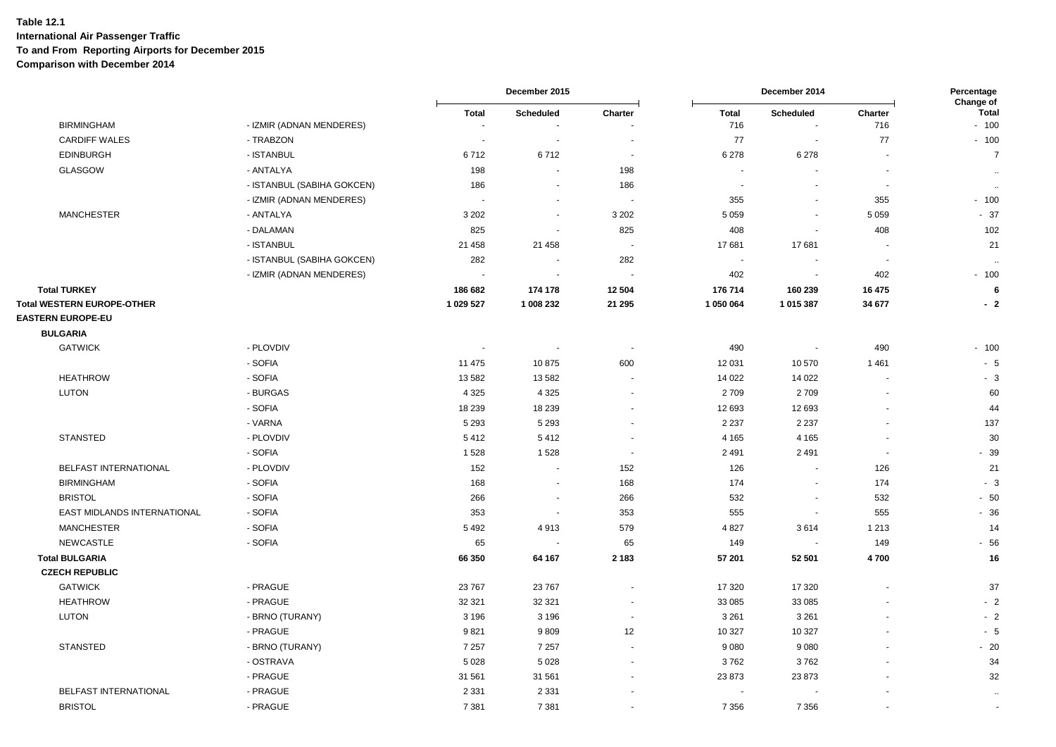|                                                          |                                                        |                                       | December 2015            |                          |                      | December 2014            |                          | Percentage<br>Change of |
|----------------------------------------------------------|--------------------------------------------------------|---------------------------------------|--------------------------|--------------------------|----------------------|--------------------------|--------------------------|-------------------------|
| <b>BIRMINGHAM</b>                                        | - IZMIR (ADNAN MENDERES)                               | <b>Total</b><br>$\tilde{\phantom{a}}$ | Scheduled                | Charter                  | <b>Total</b><br>716  | Scheduled<br>$\sim$      | Charter<br>716           | <b>Total</b><br>$-100$  |
| <b>CARDIFF WALES</b>                                     | - TRABZON                                              | $\sim$                                | $\sim$                   | $\blacksquare$           | 77                   | $\overline{\phantom{a}}$ | 77                       | $-100$                  |
| <b>EDINBURGH</b>                                         | - ISTANBUL                                             | 6712                                  | 6712                     | $\blacksquare$           | 6 2 7 8              | 6 2 7 8                  |                          | $\overline{7}$          |
| <b>GLASGOW</b>                                           | - ANTALYA                                              | 198                                   | $\sim$                   | 198                      | $\sim$               | $\sim$                   | ÷.                       |                         |
|                                                          | - ISTANBUL (SABIHA GOKCEN)                             | 186                                   |                          | 186                      | $\blacksquare$       |                          | $\overline{\phantom{a}}$ | $\ddotsc$               |
|                                                          | - IZMIR (ADNAN MENDERES)                               |                                       | $\overline{\phantom{a}}$ | $\overline{\phantom{a}}$ | 355                  | $\blacksquare$           | 355                      | $\sim$<br>$-100$        |
| <b>MANCHESTER</b>                                        | - ANTALYA                                              | 3 2 0 2                               | $\overline{\phantom{a}}$ | 3 2 0 2                  | 5 0 5 9              | $\overline{\phantom{a}}$ | 5 0 5 9                  | $-37$                   |
|                                                          | - DALAMAN                                              | 825                                   |                          | 825                      | 408                  | $\overline{\phantom{a}}$ | 408                      | 102                     |
|                                                          | - ISTANBUL                                             | 21 458                                | 21 4 58                  | $\overline{\phantom{a}}$ | 17681                | 17681                    | $\overline{\phantom{a}}$ | 21                      |
|                                                          |                                                        |                                       | $\sim$                   |                          | $\blacksquare$       |                          | $\sim$                   |                         |
|                                                          | - ISTANBUL (SABIHA GOKCEN)<br>- IZMIR (ADNAN MENDERES) | 282<br>$\tilde{\phantom{a}}$          | $\blacksquare$           | 282<br>$\sim$            | 402                  | $\sim$                   | 402                      | $\sim$<br>$-100$        |
|                                                          |                                                        |                                       |                          |                          |                      |                          |                          |                         |
| <b>Total TURKEY</b><br><b>Total WESTERN EUROPE-OTHER</b> |                                                        | 186 682<br>1 029 527                  | 174 178<br>1 008 232     | 12 504<br>21 295         | 176 714<br>1 050 064 | 160 239<br>1 015 387     | 16 475<br>34 677         | 6<br>$-2$               |
| <b>EASTERN EUROPE-EU</b>                                 |                                                        |                                       |                          |                          |                      |                          |                          |                         |
| <b>BULGARIA</b>                                          |                                                        |                                       |                          |                          |                      |                          |                          |                         |
| <b>GATWICK</b>                                           | - PLOVDIV                                              | $\sim$                                |                          | $\blacksquare$           | 490                  | $\overline{\phantom{a}}$ | 490                      | $-100$                  |
|                                                          | - SOFIA                                                | 11 475                                | 10875                    | 600                      | 12 031               | 10570                    | 1461                     | $-5$                    |
| <b>HEATHROW</b>                                          | - SOFIA                                                | 13 582                                | 13582                    | $\sim$                   | 14 0 22              | 14 0 22                  | $\blacksquare$           | $-3$                    |
| <b>LUTON</b>                                             | - BURGAS                                               | 4 3 2 5                               | 4 3 2 5                  | $\sim$                   | 2709                 | 2709                     |                          | 60                      |
|                                                          | - SOFIA                                                | 18 239                                | 18 239                   |                          | 12 693               | 12 693                   |                          | 44                      |
|                                                          | - VARNA                                                | 5 2 9 3                               | 5 2 9 3                  | ÷.                       | 2 2 3 7              | 2 2 3 7                  |                          | 137                     |
| <b>STANSTED</b>                                          | - PLOVDIV                                              | 5412                                  | 5412                     | $\blacksquare$           | 4 1 6 5              | 4 1 6 5                  | $\overline{\phantom{a}}$ | 30                      |
|                                                          | - SOFIA                                                | 1528                                  | 1528                     | $\blacksquare$           | 2 4 9 1              | 2 4 9 1                  | $\blacksquare$           | $-39$                   |
| BELFAST INTERNATIONAL                                    | - PLOVDIV                                              | 152                                   | $\sim$                   | 152                      | 126                  | $\sim$                   | 126                      | 21                      |
| <b>BIRMINGHAM</b>                                        | - SOFIA                                                | 168                                   | $\overline{\phantom{a}}$ | 168                      | 174                  | $\overline{\phantom{a}}$ | 174                      | $-3$                    |
| <b>BRISTOL</b>                                           | - SOFIA                                                | 266                                   | $\overline{\phantom{a}}$ | 266                      | 532                  | $\overline{\phantom{a}}$ | 532                      | $-50$                   |
| EAST MIDLANDS INTERNATIONAL                              | - SOFIA                                                | 353                                   | $\sim$                   | 353                      | 555                  | $\sim$                   | 555                      | $-36$                   |
| <b>MANCHESTER</b>                                        | - SOFIA                                                | 5 4 9 2                               | 4913                     | 579                      | 4 8 27               | 3614                     | 1 2 1 3                  | 14                      |
| <b>NEWCASTLE</b>                                         | - SOFIA                                                | 65                                    | $\sim$                   | 65                       | 149                  | $\sim$                   | 149                      | $-56$                   |
| <b>Total BULGARIA</b>                                    |                                                        | 66 350                                | 64 167                   | 2 1 8 3                  | 57 201               | 52 501                   | 4700                     | 16                      |
| <b>CZECH REPUBLIC</b>                                    |                                                        |                                       |                          |                          |                      |                          |                          |                         |
| <b>GATWICK</b>                                           | - PRAGUE                                               | 23 767                                | 23 767                   |                          | 17 320               | 17 320                   |                          | 37                      |
| <b>HEATHROW</b>                                          | - PRAGUE                                               | 32 321                                | 32 321                   | $\sim$                   | 33 085               | 33 085                   |                          | $-2$                    |
| <b>LUTON</b>                                             | - BRNO (TURANY)                                        | 3 1 9 6                               | 3 1 9 6                  | $\sim$                   | 3 2 6 1              | 3 2 6 1                  |                          | $-2$                    |
|                                                          | - PRAGUE                                               | 9821                                  | 9809                     | 12                       | 10 327               | 10 327                   |                          | $-5$                    |
| <b>STANSTED</b>                                          | - BRNO (TURANY)                                        | 7 2 5 7                               | 7 2 5 7                  | $\sim$                   | 9 0 8 0              | 9080                     |                          | $-20$                   |
|                                                          | - OSTRAVA                                              | 5 0 28                                | 5 0 28                   |                          | 3762                 | 3762                     |                          | 34                      |
|                                                          | - PRAGUE                                               | 31 561                                | 31 561                   | $\overline{\phantom{a}}$ | 23 873               | 23 873                   |                          | 32                      |
| <b>BELFAST INTERNATIONAL</b>                             | - PRAGUE                                               | 2 3 3 1                               | 2 3 3 1                  |                          |                      |                          |                          |                         |
| <b>BRISTOL</b>                                           | - PRAGUE                                               | 7 3 8 1                               | 7 3 8 1                  | $\overline{a}$           | 7 3 5 6              | 7 3 5 6                  |                          | $\sim$<br>$\sim$        |
|                                                          |                                                        |                                       |                          |                          |                      |                          |                          |                         |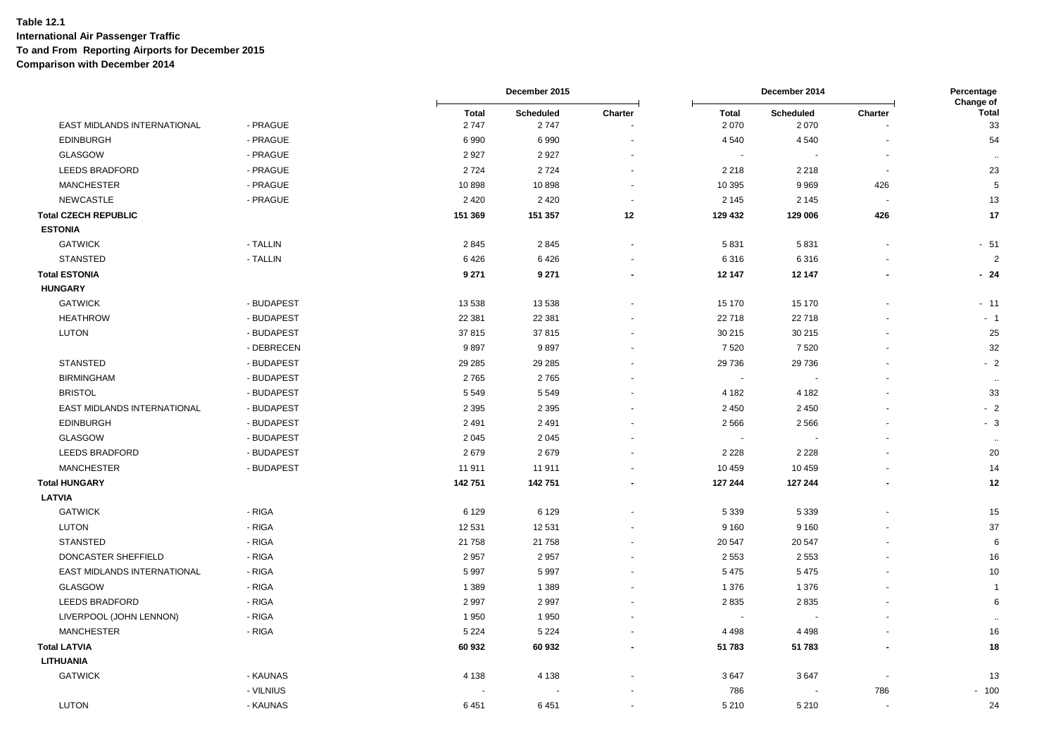|                             |            |                      | December 2015     |                      |                          | December 2014            |                | Percentage<br>Change of |
|-----------------------------|------------|----------------------|-------------------|----------------------|--------------------------|--------------------------|----------------|-------------------------|
| EAST MIDLANDS INTERNATIONAL | - PRAGUE   | <b>Total</b><br>2747 | Scheduled<br>2747 | Charter              | <b>Total</b><br>2 0 7 0  | Scheduled<br>2070        | Charter        | <b>Total</b><br>33      |
| <b>EDINBURGH</b>            | - PRAGUE   | 6990                 | 6990              |                      | 4 5 4 0                  | 4 5 4 0                  |                | 54                      |
| GLASGOW                     | - PRAGUE   | 2 9 2 7              | 2927              |                      | $\sim$                   |                          |                | $\sim$                  |
| <b>LEEDS BRADFORD</b>       | - PRAGUE   | 2724                 | 2724              |                      | 2 2 1 8                  | 2 2 1 8                  | $\blacksquare$ | 23                      |
| <b>MANCHESTER</b>           | - PRAGUE   | 10898                | 10898             |                      | 10 395                   | 9 9 6 9                  | 426            | $\mathbf 5$             |
| <b>NEWCASTLE</b>            | - PRAGUE   | 2 4 2 0              | 2 4 2 0           | $\blacksquare$       | 2 1 4 5                  | 2 1 4 5                  | $\sim$         | 13                      |
| <b>Total CZECH REPUBLIC</b> |            | 151 369              | 151 357           | 12                   | 129 432                  | 129 006                  | 426            | 17                      |
| <b>ESTONIA</b>              |            |                      |                   |                      |                          |                          |                |                         |
| <b>GATWICK</b>              | - TALLIN   | 2845                 | 2845              | ä,                   | 5831                     | 5831                     |                | $-51$                   |
| <b>STANSTED</b>             | - TALLIN   | 6426                 | 6426              |                      | 6316                     | 6316                     |                | $\overline{2}$          |
| <b>Total ESTONIA</b>        |            | 9 2 7 1              | 9 2 7 1           |                      | 12 147                   | 12 147                   |                | $-24$                   |
| <b>HUNGARY</b>              |            |                      |                   |                      |                          |                          |                |                         |
| <b>GATWICK</b>              | - BUDAPEST | 13 538               | 13 538            |                      | 15 170                   | 15 170                   |                | $-11$                   |
| <b>HEATHROW</b>             | - BUDAPEST | 22 381               | 22 381            |                      | 22 718                   | 22718                    |                | $-1$                    |
| <b>LUTON</b>                | - BUDAPEST | 37815                | 37815             |                      | 30 215                   | 30 215                   |                | 25                      |
|                             | - DEBRECEN | 9897                 | 9897              |                      | 7520                     | 7520                     |                | 32                      |
| <b>STANSTED</b>             | - BUDAPEST | 29 28 5              | 29 28 5           |                      | 29 736                   | 29 736                   |                | $-2$                    |
| <b>BIRMINGHAM</b>           | - BUDAPEST | 2765                 | 2765              |                      | $\overline{\phantom{a}}$ | $\overline{\phantom{a}}$ |                | $\sim$                  |
| <b>BRISTOL</b>              | - BUDAPEST | 5 5 4 9              | 5 5 4 9           |                      | 4 1 8 2                  | 4 1 8 2                  |                | 33                      |
| EAST MIDLANDS INTERNATIONAL | - BUDAPEST | 2 3 9 5              | 2 3 9 5           |                      | 2 4 5 0                  | 2450                     |                | $-2$                    |
| <b>EDINBURGH</b>            | - BUDAPEST | 2 4 9 1              | 2 4 9 1           |                      | 2566                     | 2566                     |                | $-3$                    |
| GLASGOW                     | - BUDAPEST | 2 0 4 5              | 2 0 4 5           | $\ddot{\phantom{1}}$ | $\overline{\phantom{a}}$ | $\overline{\phantom{a}}$ |                | $\sim$                  |
| <b>LEEDS BRADFORD</b>       | - BUDAPEST | 2679                 | 2679              |                      | 2 2 2 8                  | 2 2 2 8                  |                | 20                      |
| <b>MANCHESTER</b>           | - BUDAPEST | 11 911               | 11 911            |                      | 10 459                   | 10 459                   |                | 14                      |
| <b>Total HUNGARY</b>        |            | 142751               | 142751            |                      | 127 244                  | 127 244                  |                | 12                      |
| <b>LATVIA</b>               |            |                      |                   |                      |                          |                          |                |                         |
| <b>GATWICK</b>              | - RIGA     | 6 1 2 9              | 6 1 2 9           |                      | 5 3 3 9                  | 5 3 3 9                  |                | 15                      |
| <b>LUTON</b>                | - RIGA     | 12 5 31              | 12 531            |                      | 9 1 6 0                  | 9 1 6 0                  |                | 37                      |
| <b>STANSTED</b>             | - RIGA     | 21 758               | 21 758            |                      | 20 547                   | 20 547                   |                | 6                       |
| DONCASTER SHEFFIELD         | - RIGA     | 2 9 5 7              | 2957              |                      | 2 5 5 3                  | 2 5 5 3                  |                | 16                      |
| EAST MIDLANDS INTERNATIONAL | - RIGA     | 5997                 | 5997              | $\blacksquare$       | 5 4 7 5                  | 5 4 7 5                  | ٠              | 10                      |
| GLASGOW                     | - RIGA     | 1 3 8 9              | 1 3 8 9           |                      | 1 376                    | 1 3 7 6                  |                | $\mathbf{1}$            |
| <b>LEEDS BRADFORD</b>       | - RIGA     | 2 9 9 7              | 2997              |                      | 2835                     | 2835                     |                | 6                       |
| LIVERPOOL (JOHN LENNON)     | - RIGA     | 1950                 | 1950              |                      |                          |                          |                |                         |
| <b>MANCHESTER</b>           | - RIGA     | 5 2 2 4              | 5 2 2 4           |                      | 4 4 9 8                  | 4 4 9 8                  |                | 16                      |
| <b>Total LATVIA</b>         |            | 60 932               | 60 932            |                      | 51 783                   | 51 783                   | $\blacksquare$ | 18                      |
| <b>LITHUANIA</b>            |            |                      |                   |                      |                          |                          |                |                         |
| <b>GATWICK</b>              | - KAUNAS   | 4 1 3 8              | 4 1 3 8           |                      | 3647                     | 3647                     |                | 13                      |
|                             | - VILNIUS  |                      |                   |                      | 786                      | $\sim$                   | 786            | $-100$                  |
| <b>LUTON</b>                | - KAUNAS   | 6451                 | 6451              | $\ddot{\phantom{1}}$ | 5 2 1 0                  | 5210                     | $\blacksquare$ | 24                      |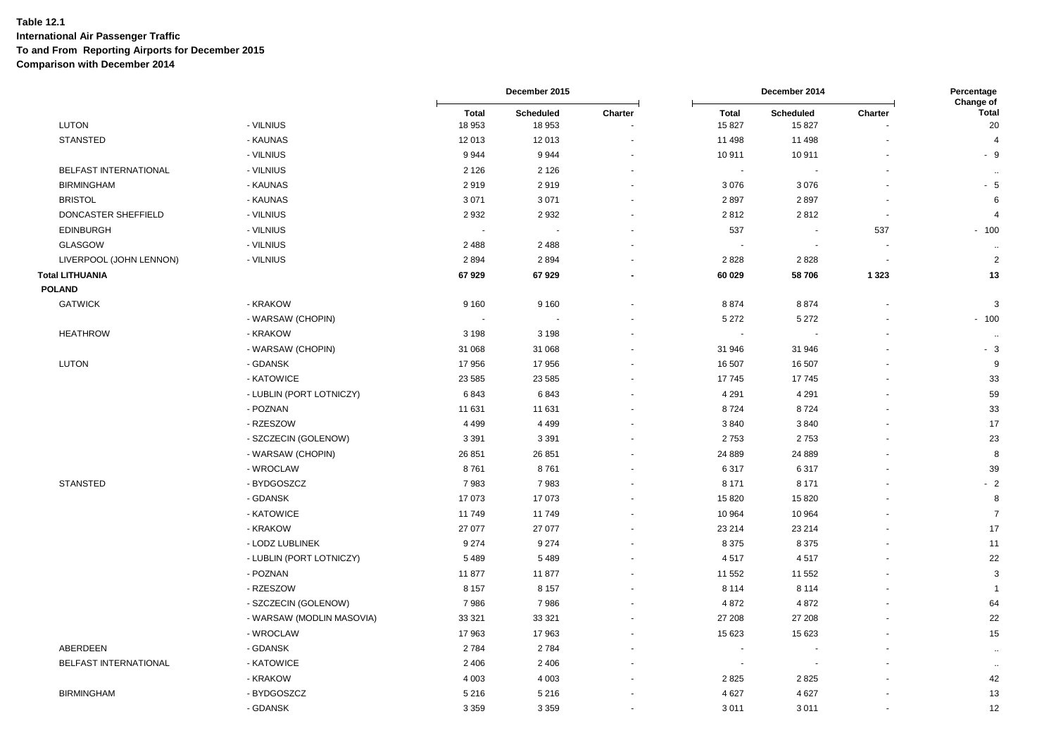|                         |                           |                 | December 2015       |         |                        | December 2014            |                | Percentage<br>Change of |
|-------------------------|---------------------------|-----------------|---------------------|---------|------------------------|--------------------------|----------------|-------------------------|
| <b>LUTON</b>            | - VILNIUS                 | Total<br>18 953 | Scheduled<br>18 953 | Charter | <b>Total</b><br>15 827 | Scheduled<br>15827       | Charter        | <b>Total</b><br>20      |
| <b>STANSTED</b>         | - KAUNAS                  | 12 013          | 12 013              |         | 11 498                 | 11 498                   |                | $\overline{4}$          |
|                         | - VILNIUS                 | 9944            | 9944                |         | 10911                  | 10911                    |                | - 9                     |
| BELFAST INTERNATIONAL   | - VILNIUS                 | 2 1 2 6         | 2 1 2 6             |         | $\sim$                 |                          |                | $\ddot{\phantom{a}}$    |
| <b>BIRMINGHAM</b>       | - KAUNAS                  | 2919            | 2919                |         | 3 0 7 6                | 3076                     |                | - 5                     |
| <b>BRISTOL</b>          | - KAUNAS                  | 3 0 7 1         | 3 0 7 1             |         | 2897                   | 2897                     |                | 6                       |
| DONCASTER SHEFFIELD     | - VILNIUS                 | 2932            | 2 9 3 2             |         | 2812                   | 2812                     | $\blacksquare$ | $\overline{4}$          |
| <b>EDINBURGH</b>        | - VILNIUS                 | $\sim$          |                     |         | 537                    | $\overline{\phantom{a}}$ | 537            | $-100$                  |
| GLASGOW                 | - VILNIUS                 | 2 4 8 8         | 2 4 8 8             |         |                        |                          |                | $\ddot{\phantom{0}}$    |
| LIVERPOOL (JOHN LENNON) | - VILNIUS                 | 2894            | 2894                |         | 2828                   | 2828                     |                | $\overline{c}$          |
| Total LITHUANIA         |                           | 67929           | 67929               |         | 60 029                 | 58706                    | 1 3 2 3        | 13                      |
| <b>POLAND</b>           |                           |                 |                     |         |                        |                          |                |                         |
| <b>GATWICK</b>          | - KRAKOW                  | 9 1 6 0         | 9 1 6 0             |         | 8874                   | 8874                     |                | 3                       |
|                         | - WARSAW (CHOPIN)         |                 |                     |         | 5 2 7 2                | 5 2 7 2                  |                | $-100$                  |
| <b>HEATHROW</b>         | - KRAKOW                  | 3 1 9 8         | 3 1 9 8             |         |                        |                          |                | $\ddot{\phantom{1}}$    |
|                         | - WARSAW (CHOPIN)         | 31 068          | 31 068              |         | 31 946                 | 31 946                   |                | $-3$                    |
| <b>LUTON</b>            | - GDANSK                  | 17956           | 17956               |         | 16 507                 | 16 507                   |                | 9                       |
|                         | - KATOWICE                | 23 5 85         | 23 5 8 5            |         | 17745                  | 17745                    |                | 33                      |
|                         | - LUBLIN (PORT LOTNICZY)  | 6843            | 6843                |         | 4 2 9 1                | 4 2 9 1                  |                | 59                      |
|                         | - POZNAN                  | 11 631          | 11 631              |         | 8724                   | 8724                     |                | 33                      |
|                         | - RZESZOW                 | 4 4 9 9         | 4 4 9 9             |         | 3840                   | 3840                     |                | 17                      |
|                         | - SZCZECIN (GOLENOW)      | 3 3 9 1         | 3 3 9 1             |         | 2753                   | 2753                     |                | 23                      |
|                         | - WARSAW (CHOPIN)         | 26 851          | 26 851              |         | 24 8 89                | 24 889                   |                | 8                       |
|                         | - WROCLAW                 | 8761            | 8761                |         | 6317                   | 6317                     |                | 39                      |
| <b>STANSTED</b>         | - BYDGOSZCZ               | 7983            | 7983                |         | 8 1 7 1                | 8 1 7 1                  |                | $-2$                    |
|                         | - GDANSK                  | 17 073          | 17 073              |         | 15 820                 | 15820                    |                | 8                       |
|                         | - KATOWICE                | 11 749          | 11749               |         | 10 964                 | 10 964                   |                | $\overline{7}$          |
|                         | - KRAKOW                  | 27 077          | 27 077              |         | 23 214                 | 23 214                   |                | 17                      |
|                         | - LODZ LUBLINEK           | 9 2 7 4         | 9 2 7 4             |         | 8 3 7 5                | 8 3 7 5                  |                | 11                      |
|                         | - LUBLIN (PORT LOTNICZY)  | 5489            | 5 4 8 9             |         | 4517                   | 4517                     |                | 22                      |
|                         | - POZNAN                  | 11 877          | 11877               |         | 11 552                 | 11 552                   |                | 3                       |
|                         | - RZESZOW                 | 8 1 5 7         | 8 1 5 7             |         | 8 1 1 4                | 8 1 1 4                  |                | $\overline{\mathbf{1}}$ |
|                         | - SZCZECIN (GOLENOW)      | 7986            | 7986                |         | 4 8 7 2                | 4872                     |                | 64                      |
|                         | - WARSAW (MODLIN MASOVIA) | 33 321          | 33 321              |         | 27 208                 | 27 208                   |                | 22                      |
|                         | - WROCLAW                 | 17963           | 17963               |         | 15 623                 | 15 623                   |                | 15                      |
| ABERDEEN                | - GDANSK                  | 2784            | 2784                |         |                        |                          |                | ٠.                      |
| BELFAST INTERNATIONAL   | - KATOWICE                | 2 4 0 6         | 2 4 0 6             |         |                        |                          |                | $\sim$                  |
|                         | - KRAKOW                  | 4 0 0 3         | 4 0 0 3             |         | 2 8 2 5                | 2825                     |                | 42                      |
| <b>BIRMINGHAM</b>       | - BYDGOSZCZ               | 5 2 1 6         | 5 2 1 6             |         | 4 6 27                 | 4 6 27                   |                | 13                      |
|                         | - GDANSK                  | 3 3 5 9         | 3 3 5 9             |         | 3011                   | 3011                     |                | 12                      |
|                         |                           |                 |                     |         |                        |                          |                |                         |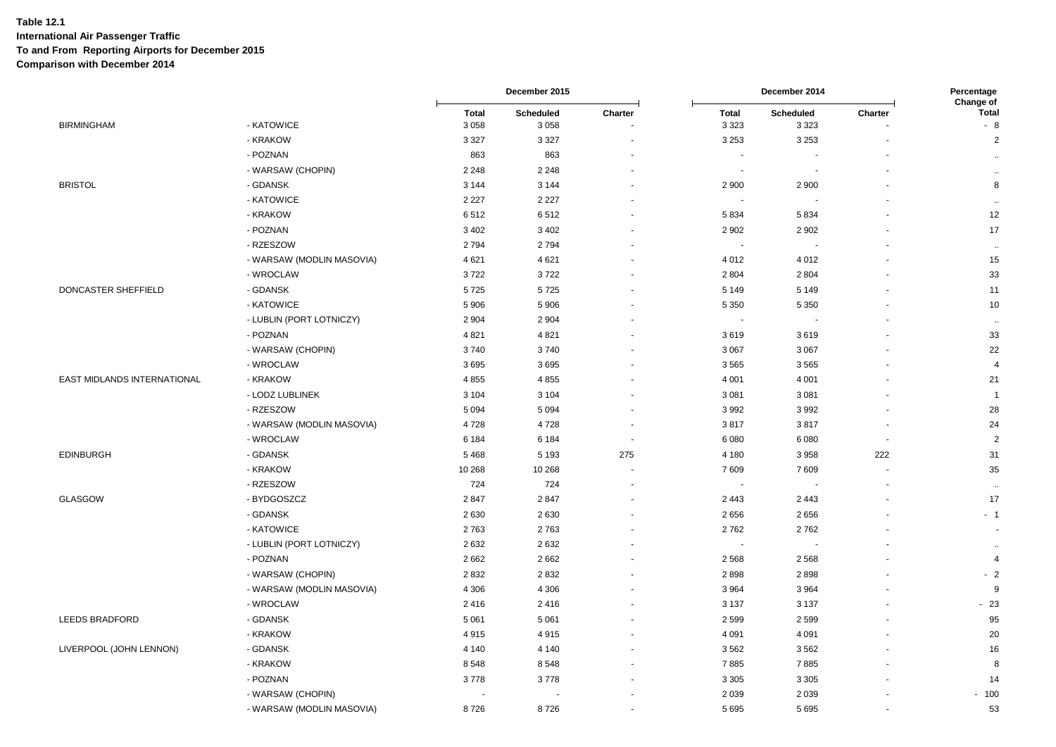|                             |                           |                         | December 2015        |                |                          | December 2014        |                          | Percentage<br>Change of |
|-----------------------------|---------------------------|-------------------------|----------------------|----------------|--------------------------|----------------------|--------------------------|-------------------------|
| <b>BIRMINGHAM</b>           | - KATOWICE                | <b>Total</b><br>3 0 5 8 | Scheduled<br>3 0 5 8 | Charter        | <b>Total</b><br>3 3 2 3  | Scheduled<br>3 3 2 3 | Charter                  | <b>Total</b><br>$-8$    |
|                             | - KRAKOW                  | 3 3 2 7                 | 3 3 2 7              |                | 3 2 5 3                  | 3 2 5 3              |                          | $\overline{2}$          |
|                             | - POZNAN                  | 863                     | 863                  |                | $\sim$                   |                      |                          | $\ddot{\phantom{a}}$    |
|                             | - WARSAW (CHOPIN)         | 2 2 4 8                 | 2 2 4 8              |                | $\sim$                   |                      |                          | $\bullet\bullet$        |
| <b>BRISTOL</b>              | - GDANSK                  | 3 1 4 4                 | 3 1 4 4              |                | 2 9 0 0                  | 2 9 0 0              |                          | 8                       |
|                             | - KATOWICE                | 2 2 2 7                 | 2 2 2 7              |                |                          |                      |                          | $\cdots$                |
|                             | - KRAKOW                  | 6512                    | 6512                 |                | 5834                     | 5834                 |                          | 12                      |
|                             | - POZNAN                  | 3 4 0 2                 | 3 4 0 2              |                | 2 9 0 2                  | 2902                 |                          | 17                      |
|                             | - RZESZOW                 | 2794                    | 2794                 |                | $\overline{\phantom{a}}$ |                      |                          | $\ddot{\phantom{1}}$    |
|                             | - WARSAW (MODLIN MASOVIA) | 4621                    | 4621                 |                | 4 0 1 2                  | 4012                 |                          | 15                      |
|                             | - WROCLAW                 | 3722                    | 3722                 |                | 2 8 0 4                  | 2804                 |                          | 33                      |
| DONCASTER SHEFFIELD         | - GDANSK                  | 5725                    | 5725                 |                | 5 1 4 9                  | 5 1 4 9              |                          | 11                      |
|                             | - KATOWICE                | 5 9 0 6                 | 5 9 0 6              |                | 5 3 5 0                  | 5 3 5 0              |                          | 10                      |
|                             | - LUBLIN (PORT LOTNICZY)  | 2 9 0 4                 | 2 9 0 4              |                | $\sim$                   |                      |                          | $\sim$                  |
|                             | - POZNAN                  | 4 8 21                  | 4 8 21               |                | 3619                     | 3619                 |                          | 33                      |
|                             | - WARSAW (CHOPIN)         | 3740                    | 3740                 |                | 3 0 6 7                  | 3 0 6 7              |                          | 22                      |
|                             | - WROCLAW                 | 3695                    | 3695                 |                | 3 5 6 5                  | 3565                 |                          | $\overline{4}$          |
| EAST MIDLANDS INTERNATIONAL | - KRAKOW                  | 4855                    | 4855                 |                | 4 0 0 1                  | 4 0 0 1              |                          | 21                      |
|                             | - LODZ LUBLINEK           | 3 1 0 4                 | 3 1 0 4              |                | 3 0 8 1                  | 3 0 8 1              |                          | $\overline{1}$          |
|                             | - RZESZOW                 | 5 0 9 4                 | 5 0 9 4              |                | 3992                     | 3992                 |                          | 28                      |
|                             | - WARSAW (MODLIN MASOVIA) | 4728                    | 4728                 |                | 3817                     | 3817                 | $\overline{\phantom{a}}$ | 24                      |
|                             | - WROCLAW                 | 6 1 8 4                 | 6 1 8 4              | $\blacksquare$ | 6 0 8 0                  | 6080                 | $\sim$                   | $\overline{2}$          |
| <b>EDINBURGH</b>            | - GDANSK                  | 5468                    | 5 1 9 3              | 275            | 4 1 8 0                  | 3958                 | 222                      | 31                      |
|                             | - KRAKOW                  | 10 268                  | 10 268               |                | 7 609                    | 7609                 |                          | 35                      |
|                             | - RZESZOW                 | 724                     | 724                  |                | $\sim$                   |                      |                          | $\cdots$                |
| <b>GLASGOW</b>              | - BYDGOSZCZ               | 2847                    | 2847                 |                | 2 4 4 3                  | 2 4 4 3              |                          | 17                      |
|                             | - GDANSK                  | 2 6 3 0                 | 2630                 |                | 2656                     | 2656                 |                          | $-1$                    |
|                             | - KATOWICE                | 2763                    | 2763                 |                | 2762                     | 2762                 |                          | $\sim$                  |
|                             | - LUBLIN (PORT LOTNICZY)  | 2632                    | 2632                 |                | $\sim$                   |                      |                          | $\ddotsc$               |
|                             | - POZNAN                  | 2 6 6 2                 | 2 6 6 2              |                | 2 5 6 8                  | 2 5 6 8              |                          | $\overline{4}$          |
|                             | - WARSAW (CHOPIN)         | 2832                    | 2832                 |                | 2898                     | 2898                 |                          | $-2$                    |
|                             | - WARSAW (MODLIN MASOVIA) | 4 3 0 6                 | 4 3 0 6              |                | 3 9 6 4                  | 3964                 |                          | 9                       |
|                             | - WROCLAW                 | 2416                    | 2416                 |                | 3 1 3 7                  | 3 1 3 7              |                          | $-23$                   |
| LEEDS BRADFORD              | - GDANSK                  | 5 0 6 1                 | 5 0 6 1              |                | 2 5 9 9                  | 2599                 |                          | 95                      |
|                             | - KRAKOW                  | 4915                    | 4915                 |                | 4 0 9 1                  | 4 0 9 1              |                          | 20                      |
| LIVERPOOL (JOHN LENNON)     | - GDANSK                  | 4 1 4 0                 | 4 1 4 0              |                | 3 5 6 2                  | 3562                 |                          | 16                      |
|                             | - KRAKOW                  | 8548                    | 8548                 |                | 7885                     | 7885                 |                          | 8                       |
|                             | - POZNAN                  | 3778                    | 3778                 |                | 3 3 0 5                  | 3 3 0 5              |                          | 14                      |
|                             | - WARSAW (CHOPIN)         |                         |                      |                | 2 0 3 9                  | 2 0 3 9              |                          | $-100$                  |
|                             | - WARSAW (MODLIN MASOVIA) | 8726                    | 8726                 |                | 5 6 9 5                  | 5695                 |                          | 53                      |
|                             |                           |                         |                      |                |                          |                      |                          |                         |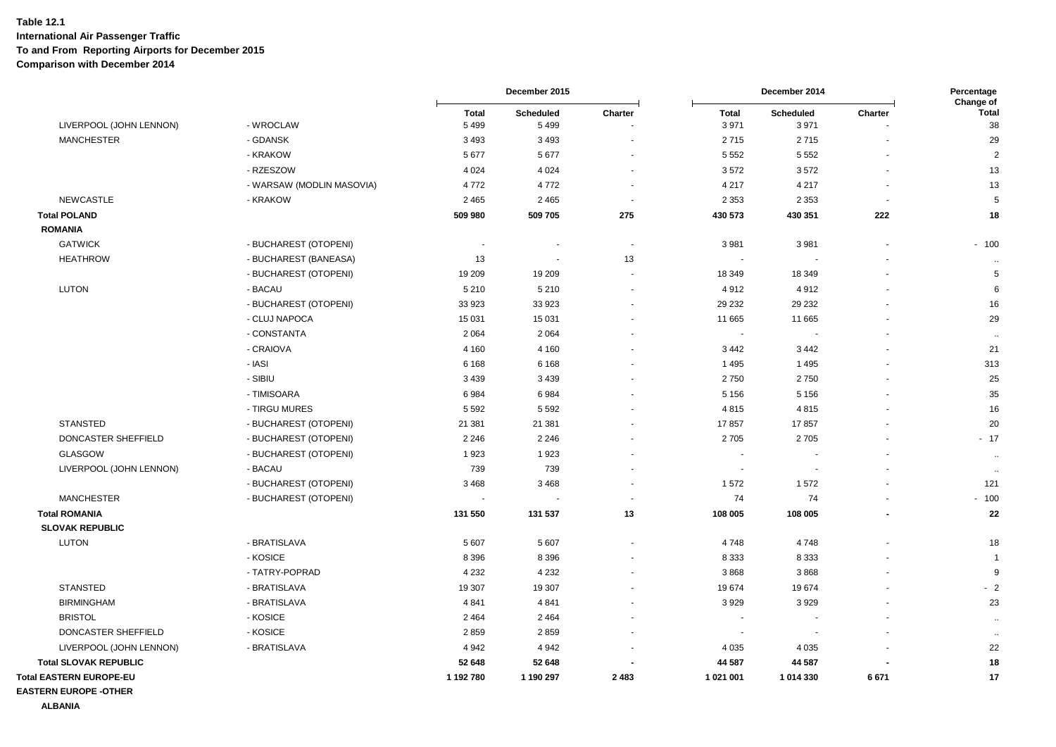|                                |                           |                | December 2015  |                          | December 2014            |                  |         | Percentage<br>Change of |  |
|--------------------------------|---------------------------|----------------|----------------|--------------------------|--------------------------|------------------|---------|-------------------------|--|
|                                |                           | <b>Total</b>   | Scheduled      | Charter                  | <b>Total</b>             | <b>Scheduled</b> | Charter | <b>Total</b>            |  |
| LIVERPOOL (JOHN LENNON)        | - WROCLAW                 | 5 4 9 9        | 5499           |                          | 3 9 7 1                  | 3971             |         | 38                      |  |
| <b>MANCHESTER</b>              | - GDANSK                  | 3 4 9 3        | 3 4 9 3        |                          | 2715                     | 2715             |         | 29                      |  |
|                                | - KRAKOW                  | 5677           | 5677           |                          | 5 5 5 2                  | 5 5 5 2          |         | $\overline{2}$          |  |
|                                | - RZESZOW                 | 4 0 24         | 4 0 24         |                          | 3572                     | 3572             |         | 13                      |  |
|                                | - WARSAW (MODLIN MASOVIA) | 4772           | 4772           |                          | 4 2 1 7                  | 4 2 1 7          |         | 13                      |  |
| <b>NEWCASTLE</b>               | - KRAKOW                  | 2 4 6 5        | 2 4 6 5        | $\overline{\phantom{a}}$ | 2 3 5 3                  | 2 3 5 3          |         | 5                       |  |
| <b>Total POLAND</b>            |                           | 509 980        | 509 705        | 275                      | 430 573                  | 430 351          | 222     | 18                      |  |
| <b>ROMANIA</b>                 |                           |                |                |                          |                          |                  |         |                         |  |
| <b>GATWICK</b>                 | - BUCHAREST (OTOPENI)     | $\blacksquare$ | $\blacksquare$ | $\overline{\phantom{a}}$ | 3 9 8 1                  | 3 9 8 1          |         | $-100$                  |  |
| <b>HEATHROW</b>                | - BUCHAREST (BANEASA)     | 13             |                | 13                       |                          |                  |         | $\cdot\cdot$            |  |
|                                | - BUCHAREST (OTOPENI)     | 19 209         | 19 209         |                          | 18 349                   | 18 349           |         | 5                       |  |
| <b>LUTON</b>                   | - BACAU                   | 5 2 1 0        | 5 2 1 0        | $\overline{\phantom{a}}$ | 4912                     | 4912             |         | 6                       |  |
|                                | - BUCHAREST (OTOPENI)     | 33 923         | 33 923         |                          | 29 232                   | 29 232           |         | 16                      |  |
|                                | - CLUJ NAPOCA             | 15 031         | 15 0 31        |                          | 11 665                   | 11 665           |         | 29                      |  |
|                                | - CONSTANTA               | 2 0 6 4        | 2 0 6 4        |                          | $\sim$                   |                  |         | $\sim$                  |  |
|                                | - CRAIOVA                 | 4 1 6 0        | 4 1 6 0        |                          | 3 4 4 2                  | 3442             |         | 21                      |  |
|                                | - IASI                    | 6 1 6 8        | 6 1 6 8        |                          | 1 4 9 5                  | 1495             |         | 313                     |  |
|                                | - SIBIU                   | 3 4 3 9        | 3 4 3 9        |                          | 2750                     | 2750             |         | 25                      |  |
|                                | - TIMISOARA               | 6984           | 6984           |                          | 5 1 5 6                  | 5 1 5 6          |         | 35                      |  |
|                                | - TIRGU MURES             | 5 5 9 2        | 5 5 9 2        |                          | 4815                     | 4815             |         | 16                      |  |
| <b>STANSTED</b>                | - BUCHAREST (OTOPENI)     | 21 381         | 21 381         |                          | 17857                    | 17857            |         | 20                      |  |
| DONCASTER SHEFFIELD            | - BUCHAREST (OTOPENI)     | 2 2 4 6        | 2 2 4 6        |                          | 2705                     | 2705             |         | $-17$                   |  |
| <b>GLASGOW</b>                 | - BUCHAREST (OTOPENI)     | 1923           | 1923           |                          |                          |                  |         | $\sim$                  |  |
| LIVERPOOL (JOHN LENNON)        | - BACAU                   | 739            | 739            |                          | $\sim$                   |                  |         | $\ddot{\phantom{1}}$    |  |
|                                | - BUCHAREST (OTOPENI)     | 3468           | 3468           |                          | 1572                     | 1572             |         | 121                     |  |
| <b>MANCHESTER</b>              | - BUCHAREST (OTOPENI)     |                |                |                          | 74                       | 74               |         | $-100$                  |  |
| <b>Total ROMANIA</b>           |                           | 131 550        | 131 537        | 13                       | 108 005                  | 108 005          |         | 22                      |  |
| <b>SLOVAK REPUBLIC</b>         |                           |                |                |                          |                          |                  |         |                         |  |
| <b>LUTON</b>                   | - BRATISLAVA              | 5 607          | 5 607          |                          | 4748                     | 4748             |         | 18                      |  |
|                                | - KOSICE                  | 8 3 9 6        | 8 3 9 6        |                          | 8 3 3 3                  | 8 3 3 3          |         | -1                      |  |
|                                | - TATRY-POPRAD            | 4 2 3 2        | 4 2 3 2        |                          | 3868                     | 3868             |         | 9                       |  |
| <b>STANSTED</b>                | - BRATISLAVA              | 19 307         | 19 307         |                          | 19674                    | 19674            |         | $-2$                    |  |
| <b>BIRMINGHAM</b>              | - BRATISLAVA              | 4 8 4 1        | 4841           |                          | 3929                     | 3929             |         | 23                      |  |
| <b>BRISTOL</b>                 | - KOSICE                  | 2 4 6 4        | 2 4 6 4        |                          | $\overline{\phantom{a}}$ |                  |         | $\bullet\bullet$        |  |
| DONCASTER SHEFFIELD            | - KOSICE                  | 2859           | 2859           |                          |                          |                  |         | $\sim$                  |  |
| LIVERPOOL (JOHN LENNON)        | - BRATISLAVA              | 4 9 4 2        | 4 9 4 2        |                          | 4 0 3 5                  | 4 0 3 5          |         | 22                      |  |
| <b>Total SLOVAK REPUBLIC</b>   |                           | 52 648         | 52 648         |                          | 44 587                   | 44 587           |         | 18                      |  |
| <b>Total EASTERN EUROPE-EU</b> |                           | 1 192 780      | 1 190 297      | 2483                     | 1 021 001                | 1 014 330        | 6671    | 17                      |  |
| <b>EASTERN EUROPE -OTHER</b>   |                           |                |                |                          |                          |                  |         |                         |  |

**ALBANIA**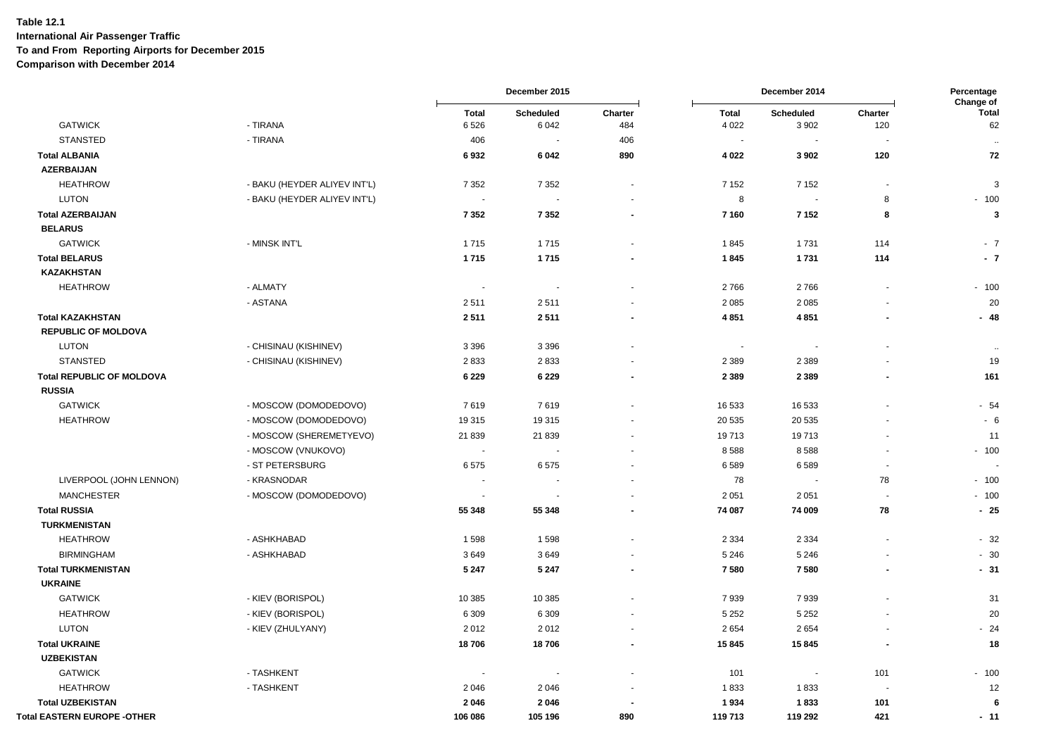|                                    |                              |              | December 2015            |                          |                | December 2014            |                          | Percentage                |
|------------------------------------|------------------------------|--------------|--------------------------|--------------------------|----------------|--------------------------|--------------------------|---------------------------|
|                                    |                              | <b>Total</b> | Scheduled                | Charter                  | Total          | Scheduled                | Charter                  | Change of<br><b>Total</b> |
| <b>GATWICK</b>                     | - TIRANA                     | 6526         | 6 0 4 2                  | 484                      | 4 0 2 2        | 3 9 0 2                  | 120                      | 62                        |
| <b>STANSTED</b>                    | - TIRANA                     | 406          | $\blacksquare$           | 406                      | $\blacksquare$ | $\blacksquare$           | $\blacksquare$           | $\sim$                    |
| <b>Total ALBANIA</b>               |                              | 6932         | 6 0 4 2                  | 890                      | 4 0 2 2        | 3902                     | 120                      | 72                        |
| <b>AZERBAIJAN</b>                  |                              |              |                          |                          |                |                          |                          |                           |
| <b>HEATHROW</b>                    | - BAKU (HEYDER ALIYEV INT'L) | 7 3 5 2      | 7 3 5 2                  | $\overline{\phantom{a}}$ | 7 1 5 2        | 7 1 5 2                  | $\blacksquare$           | 3                         |
| <b>LUTON</b>                       | - BAKU (HEYDER ALIYEV INT'L) |              |                          |                          | 8              |                          | 8                        | $-100$                    |
| <b>Total AZERBAIJAN</b>            |                              | 7 3 5 2      | 7 3 5 2                  | $\sim$                   | 7 1 6 0        | 7 1 5 2                  | 8                        | 3                         |
| <b>BELARUS</b>                     |                              |              |                          |                          |                |                          |                          |                           |
| <b>GATWICK</b>                     | - MINSK INT'L                | 1715         | 1715                     |                          | 1845           | 1731                     | 114                      | $-7$                      |
| <b>Total BELARUS</b>               |                              | 1715         | 1715                     |                          | 1845           | 1731                     | 114                      | $-7$                      |
| <b>KAZAKHSTAN</b>                  |                              |              |                          |                          |                |                          |                          |                           |
| <b>HEATHROW</b>                    | - ALMATY                     | $\sim$       | $\overline{\phantom{a}}$ |                          | 2766           | 2766                     | $\blacksquare$           | $-100$                    |
|                                    | - ASTANA                     | 2511         | 2511                     |                          | 2 0 8 5        | 2085                     |                          | 20                        |
| <b>Total KAZAKHSTAN</b>            |                              | 2511         | 2511                     |                          | 4851           | 4851                     |                          | $-48$                     |
| <b>REPUBLIC OF MOLDOVA</b>         |                              |              |                          |                          |                |                          |                          |                           |
| <b>LUTON</b>                       | - CHISINAU (KISHINEV)        | 3 3 9 6      | 3 3 9 6                  |                          | $\sim$         | $\overline{\phantom{a}}$ | $\blacksquare$           | $\sim$                    |
| <b>STANSTED</b>                    | - CHISINAU (KISHINEV)        | 2833         | 2833                     |                          | 2 3 8 9        | 2 3 8 9                  |                          | 19                        |
| <b>Total REPUBLIC OF MOLDOVA</b>   |                              | 6 2 2 9      | 6 2 2 9                  | $\overline{\phantom{a}}$ | 2 3 8 9        | 2 3 8 9                  | $\blacksquare$           | 161                       |
| <b>RUSSIA</b>                      |                              |              |                          |                          |                |                          |                          |                           |
| <b>GATWICK</b>                     | - MOSCOW (DOMODEDOVO)        | 7619         | 7619                     |                          | 16 533         | 16 533                   |                          | $-54$                     |
| <b>HEATHROW</b>                    | - MOSCOW (DOMODEDOVO)        | 19 315       | 19 3 15                  |                          | 20 535         | 20 5 35                  |                          | $-6$                      |
|                                    | - MOSCOW (SHEREMETYEVO)      | 21 839       | 21 839                   |                          | 19713          | 19713                    |                          | 11                        |
|                                    | - MOSCOW (VNUKOVO)           | $\sim$       | ÷,                       |                          | 8588           | 8588                     |                          | $-100$                    |
|                                    | - ST PETERSBURG              | 6575         | 6575                     |                          | 6589           | 6589                     | $\overline{\phantom{a}}$ |                           |
| LIVERPOOL (JOHN LENNON)            | - KRASNODAR                  |              |                          |                          | 78             |                          | 78                       | $-100$                    |
| <b>MANCHESTER</b>                  | - MOSCOW (DOMODEDOVO)        | $\sim$       |                          |                          | 2 0 5 1        | 2 0 5 1                  |                          | $-100$                    |
| <b>Total RUSSIA</b>                |                              | 55 348       | 55 348                   | $\sim$                   | 74 087         | 74 009                   | 78                       | $-25$                     |
| <b>TURKMENISTAN</b>                |                              |              |                          |                          |                |                          |                          |                           |
| <b>HEATHROW</b>                    | - ASHKHABAD                  | 1598         | 1598                     |                          | 2 3 3 4        | 2 3 3 4                  |                          | $-32$                     |
| <b>BIRMINGHAM</b>                  | - ASHKHABAD                  | 3649         | 3649                     |                          | 5 2 4 6        | 5 2 4 6                  | $\ddot{\phantom{1}}$     | $-30$                     |
| <b>Total TURKMENISTAN</b>          |                              | 5 2 4 7      | 5 2 4 7                  |                          | 7580           | 7580                     |                          | $-31$                     |
| <b>UKRAINE</b>                     |                              |              |                          |                          |                |                          |                          |                           |
| <b>GATWICK</b>                     | - KIEV (BORISPOL)            | 10 385       | 10 385                   |                          | 7939           | 7939                     |                          | 31                        |
| <b>HEATHROW</b>                    | - KIEV (BORISPOL)            | 6 3 0 9      | 6 3 0 9                  |                          | 5 2 5 2        | 5 2 5 2                  |                          | 20                        |
| <b>LUTON</b>                       | - KIEV (ZHULYANY)            | 2012         | 2012                     | $\sim$                   | 2654           | 2654                     |                          | $-24$                     |
| <b>Total UKRAINE</b>               |                              | 18706        | 18706                    |                          | 15 845         | 15845                    |                          | 18                        |
| <b>UZBEKISTAN</b>                  |                              |              |                          |                          |                |                          |                          |                           |
| <b>GATWICK</b>                     | - TASHKENT                   | $\sim$       | $\overline{\phantom{a}}$ |                          | 101            | $\blacksquare$           | 101                      | $-100$                    |
| <b>HEATHROW</b>                    | - TASHKENT                   | 2046         | 2046                     |                          | 1833           | 1833                     |                          | 12                        |
| <b>Total UZBEKISTAN</b>            |                              | 2046         | 2046                     |                          | 1934           | 1833                     | 101                      | -6                        |
| <b>Total EASTERN EUROPE -OTHER</b> |                              | 106 086      | 105 196                  | 890                      | 119713         | 119 292                  | 421                      | $-11$                     |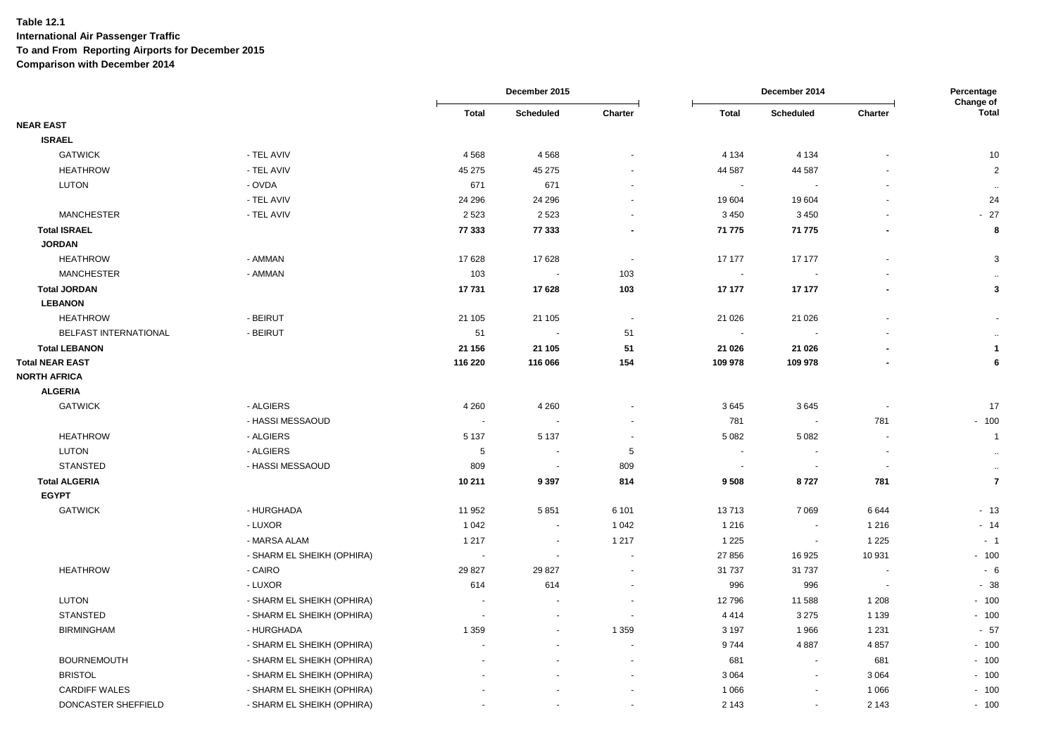|                        |                            |                          | December 2015 |                          |                          | December 2014            |                          | Percentage<br>Change of |  |
|------------------------|----------------------------|--------------------------|---------------|--------------------------|--------------------------|--------------------------|--------------------------|-------------------------|--|
|                        |                            | <b>Total</b>             | Scheduled     | Charter                  | <b>Total</b>             | Scheduled                | Charter                  | <b>Total</b>            |  |
| <b>NEAR EAST</b>       |                            |                          |               |                          |                          |                          |                          |                         |  |
| <b>ISRAEL</b>          |                            |                          |               |                          |                          |                          |                          |                         |  |
| <b>GATWICK</b>         | - TEL AVIV                 | 4568                     | 4568          |                          | 4 1 3 4                  | 4 1 3 4                  |                          | 10                      |  |
| <b>HEATHROW</b>        | - TEL AVIV                 | 45 275                   | 45 275        | $\blacksquare$           | 44 587                   | 44 587                   |                          | $\overline{2}$          |  |
| <b>LUTON</b>           | - OVDA                     | 671                      | 671           | $\blacksquare$           | $\sim$                   |                          |                          | $\cdots$                |  |
|                        | - TEL AVIV                 | 24 29 6                  | 24 29 6       | $\overline{\phantom{a}}$ | 19 604                   | 19604                    |                          | 24                      |  |
| <b>MANCHESTER</b>      | - TEL AVIV                 | 2 5 2 3                  | 2523          |                          | 3 4 5 0                  | 3 4 5 0                  |                          | $-27$                   |  |
| <b>Total ISRAEL</b>    |                            | 77 333                   | 77 333        | $\blacksquare$           | 71 775                   | 71 775                   |                          | 8                       |  |
| <b>JORDAN</b>          |                            |                          |               |                          |                          |                          |                          |                         |  |
| <b>HEATHROW</b>        | - AMMAN                    | 17 628                   | 17628         | $\overline{\phantom{a}}$ | 17 177                   | 17 177                   |                          | 3                       |  |
| <b>MANCHESTER</b>      | - AMMAN                    | 103                      |               | 103                      | $\overline{\phantom{a}}$ |                          |                          | $\sim$                  |  |
| <b>Total JORDAN</b>    |                            | 17731                    | 17628         | 103                      | 17 177                   | 17 177                   |                          | 3                       |  |
| <b>LEBANON</b>         |                            |                          |               |                          |                          |                          |                          |                         |  |
| <b>HEATHROW</b>        | - BEIRUT                   | 21 105                   | 21 105        | $\overline{\phantom{a}}$ | 21 0 26                  | 21 0 26                  |                          |                         |  |
| BELFAST INTERNATIONAL  | - BEIRUT                   | 51                       |               | 51                       |                          |                          |                          | $\ldots$                |  |
| <b>Total LEBANON</b>   |                            | 21 156                   | 21 105        | 51                       | 21 0 26                  | 21 0 26                  |                          | $\overline{\mathbf{1}}$ |  |
| <b>Total NEAR EAST</b> |                            | 116 220                  | 116 066       | 154                      | 109 978                  | 109 978                  |                          | 6                       |  |
| <b>NORTH AFRICA</b>    |                            |                          |               |                          |                          |                          |                          |                         |  |
| <b>ALGERIA</b>         |                            |                          |               |                          |                          |                          |                          |                         |  |
| <b>GATWICK</b>         | - ALGIERS                  | 4 2 6 0                  | 4 2 6 0       |                          | 3645                     | 3645                     |                          | 17                      |  |
|                        | - HASSI MESSAOUD           | $\overline{\phantom{a}}$ |               |                          | 781                      | $\sim$                   | 781                      | $-100$                  |  |
| <b>HEATHROW</b>        | - ALGIERS                  | 5 1 3 7                  | 5 1 3 7       | $\blacksquare$           | 5 0 8 2                  | 5082                     | $\overline{a}$           | $\overline{1}$          |  |
| <b>LUTON</b>           | - ALGIERS                  | 5                        | $\sim$        | $\sqrt{5}$               | $\sim$                   | $\sim$                   | ÷,                       | $\bullet\bullet$        |  |
| <b>STANSTED</b>        | - HASSI MESSAOUD           | 809                      | $\sim$        | 809                      | $\overline{\phantom{a}}$ |                          |                          | $\bullet\bullet$        |  |
| <b>Total ALGERIA</b>   |                            | 10 211                   | 9 3 9 7       | 814                      | 9508                     | 8727                     | 781                      | $\overline{7}$          |  |
| <b>EGYPT</b>           |                            |                          |               |                          |                          |                          |                          |                         |  |
| <b>GATWICK</b>         | - HURGHADA                 | 11 952                   | 5851          | 6 1 0 1                  | 13713                    | 7069                     | 6644                     | $-13$                   |  |
|                        | - LUXOR                    | 1 0 4 2                  |               | 1 0 4 2                  | 1 2 1 6                  | $\overline{\phantom{a}}$ | 1 2 1 6                  | $-14$                   |  |
|                        | - MARSA ALAM               | 1 2 1 7                  | $\sim$        | 1 2 1 7                  | 1 2 2 5                  | $\blacksquare$           | 1 2 2 5                  | $-1$                    |  |
|                        | - SHARM EL SHEIKH (OPHIRA) | $\blacksquare$           |               |                          | 27 856                   | 16 925                   | 10 931                   | $-100$                  |  |
| <b>HEATHROW</b>        | - CAIRO                    | 29 827                   | 29 8 27       | $\blacksquare$           | 31 737                   | 31 7 37                  | $\overline{\phantom{a}}$ | $-6$                    |  |
|                        | - LUXOR                    | 614                      | 614           | $\blacksquare$           | 996                      | 996                      | $\ddot{\phantom{a}}$     | $-38$                   |  |
| <b>LUTON</b>           | - SHARM EL SHEIKH (OPHIRA) |                          |               |                          | 12796                    | 11 588                   | 1 2 0 8                  | $-100$                  |  |
| <b>STANSTED</b>        | - SHARM EL SHEIKH (OPHIRA) | $\blacksquare$           |               | $\blacksquare$           | 4414                     | 3 2 7 5                  | 1 1 3 9                  | $-100$                  |  |
| <b>BIRMINGHAM</b>      | - HURGHADA                 | 1 3 5 9                  |               | 1 3 5 9                  | 3 1 9 7                  | 1966                     | 1 2 3 1                  | $-57$                   |  |
|                        | - SHARM EL SHEIKH (OPHIRA) |                          |               | $\blacksquare$           | 9744                     | 4887                     | 4857                     | $-100$                  |  |
| <b>BOURNEMOUTH</b>     | - SHARM EL SHEIKH (OPHIRA) |                          |               |                          | 681                      | $\sim$                   | 681                      | $-100$                  |  |
| <b>BRISTOL</b>         | - SHARM EL SHEIKH (OPHIRA) |                          |               | $\sim$                   | 3 0 6 4                  | $\blacksquare$           | 3 0 6 4                  | $-100$                  |  |
| <b>CARDIFF WALES</b>   | - SHARM EL SHEIKH (OPHIRA) |                          |               | $\blacksquare$           | 1 0 6 6                  | $\blacksquare$           | 1 0 6 6                  | $-100$                  |  |
| DONCASTER SHEFFIELD    | - SHARM EL SHEIKH (OPHIRA) |                          |               | $\sim$                   | 2 1 4 3                  | $\blacksquare$           | 2 1 4 3                  | $-100$                  |  |
|                        |                            |                          |               |                          |                          |                          |                          |                         |  |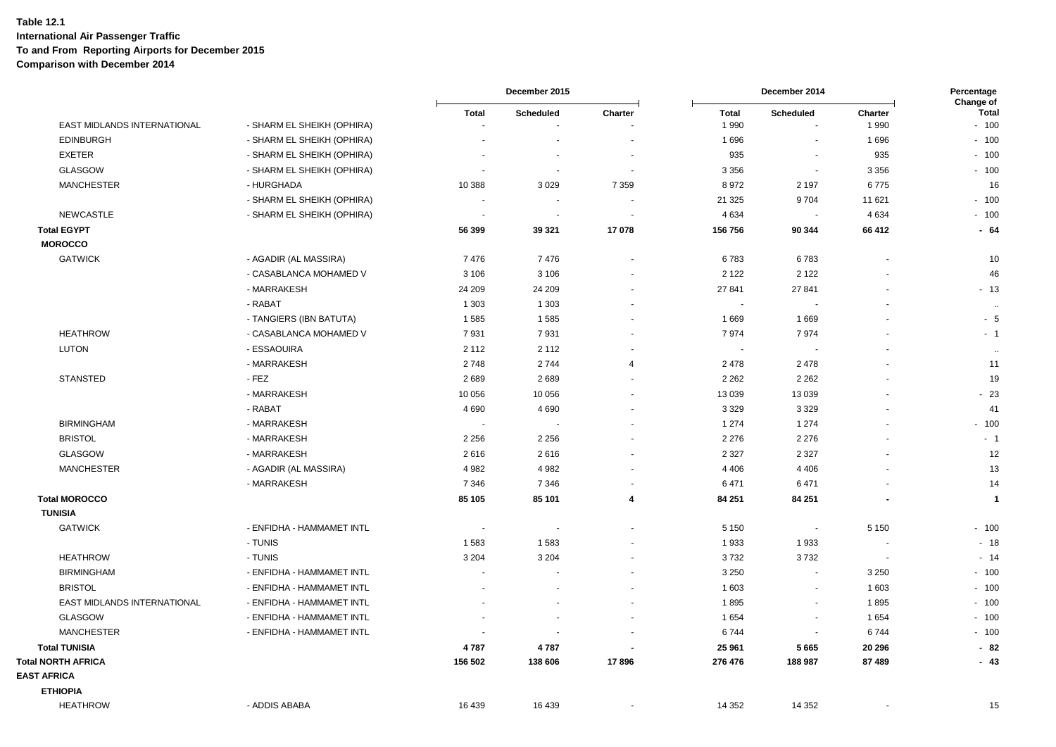|                                      |                            |                                | December 2015       |                          |                      | December 2014            |                    | Percentage<br>Change of |  |
|--------------------------------------|----------------------------|--------------------------------|---------------------|--------------------------|----------------------|--------------------------|--------------------|-------------------------|--|
| EAST MIDLANDS INTERNATIONAL          | - SHARM EL SHEIKH (OPHIRA) | <b>Total</b><br>$\blacksquare$ | Scheduled<br>$\sim$ | Charter                  | <b>Total</b><br>1990 | <b>Scheduled</b><br>÷,   | Charter<br>1 9 9 0 | Total<br>$-100$         |  |
| <b>EDINBURGH</b>                     | - SHARM EL SHEIKH (OPHIRA) | $\overline{\phantom{a}}$       |                     |                          | 1696                 | $\sim$                   | 1696               | $-100$                  |  |
| <b>EXETER</b>                        | - SHARM EL SHEIKH (OPHIRA) |                                | $\sim$              |                          | 935                  | $\sim$                   | 935                | $-100$                  |  |
| GLASGOW                              | - SHARM EL SHEIKH (OPHIRA) | $\overline{\phantom{a}}$       | ÷.                  | $\overline{\phantom{a}}$ | 3 3 5 6              | $\sim$                   | 3 3 5 6            | $-100$                  |  |
| <b>MANCHESTER</b>                    | - HURGHADA                 | 10 388                         | 3 0 2 9             | 7 3 5 9                  | 8972                 | 2 1 9 7                  | 6775               | 16                      |  |
|                                      | - SHARM EL SHEIKH (OPHIRA) | $\sim$                         | $\sim$              |                          | 21 3 25              | 9704                     | 11 621             | $-100$                  |  |
| <b>NEWCASTLE</b>                     | - SHARM EL SHEIKH (OPHIRA) | ÷,                             | $\sim$              |                          | 4 6 3 4              | ÷.                       | 4 6 3 4            | $-100$                  |  |
| <b>Total EGYPT</b><br><b>MOROCCO</b> |                            | 56 399                         | 39 321              | 17078                    | 156 756              | 90 344                   | 66 412             | $-64$                   |  |
| <b>GATWICK</b>                       | - AGADIR (AL MASSIRA)      | 7476                           | 7476                | $\overline{\phantom{a}}$ | 6783                 | 6783                     | $\sim$             | 10                      |  |
|                                      | - CASABLANCA MOHAMED V     | 3 1 0 6                        | 3 1 0 6             |                          | 2 1 2 2              | 2 1 2 2                  |                    | 46                      |  |
|                                      | - MARRAKESH                | 24 209                         | 24 209              |                          | 27 841               | 27 841                   |                    | $-13$                   |  |
|                                      | - RABAT                    | 1 3 0 3                        | 1 3 0 3             | $\sim$                   | $\sim$               |                          |                    | $\ldots$                |  |
|                                      | - TANGIERS (IBN BATUTA)    | 1585                           | 1585                | $\overline{a}$           | 1669                 | 1669                     | $\blacksquare$     | $-5$                    |  |
| <b>HEATHROW</b>                      | - CASABLANCA MOHAMED V     | 7931                           | 7931                |                          | 7974                 | 7974                     |                    | $-1$                    |  |
| <b>LUTON</b>                         | - ESSAOUIRA                | 2 1 1 2                        | 2 1 1 2             |                          | $\sim$               | $\overline{\phantom{a}}$ |                    | $\bullet\bullet$        |  |
|                                      | - MARRAKESH                | 2748                           | 2744                | $\overline{4}$           | 2 4 7 8              | 2478                     |                    | 11                      |  |
| <b>STANSTED</b>                      | $-FEZ$                     | 2689                           | 2689                |                          | 2 2 6 2              | 2 2 6 2                  |                    | 19                      |  |
|                                      | - MARRAKESH                | 10 056                         | 10 056              | $\overline{\phantom{a}}$ | 13 0 39              | 13 0 39                  |                    | $-23$                   |  |
|                                      | - RABAT                    | 4 6 9 0                        | 4 6 9 0             |                          | 3 3 2 9              | 3 3 2 9                  |                    | 41                      |  |
| <b>BIRMINGHAM</b>                    | - MARRAKESH                | $\sim$                         | $\sim$              | $\overline{\phantom{a}}$ | 1 2 7 4              | 1 2 7 4                  |                    | $-100$                  |  |
| <b>BRISTOL</b>                       | - MARRAKESH                | 2 2 5 6                        | 2 2 5 6             |                          | 2 2 7 6              | 2 2 7 6                  |                    | $-1$                    |  |
| <b>GLASGOW</b>                       | - MARRAKESH                | 2616                           | 2616                |                          | 2 3 2 7              | 2 3 2 7                  |                    | 12                      |  |
| <b>MANCHESTER</b>                    | - AGADIR (AL MASSIRA)      | 4 9 8 2                        | 4 9 8 2             |                          | 4 4 0 6              | 4 4 0 6                  |                    | 13                      |  |
|                                      | - MARRAKESH                | 7 3 4 6                        | 7 3 4 6             |                          | 6471                 | 6471                     |                    | 14                      |  |
| <b>Total MOROCCO</b>                 |                            | 85 105                         | 85 101              | $\overline{\mathbf{4}}$  | 84 251               | 84 251                   |                    | $\mathbf{1}$            |  |
| <b>TUNISIA</b>                       |                            |                                |                     |                          |                      |                          |                    |                         |  |
| <b>GATWICK</b>                       | - ENFIDHA - HAMMAMET INTL  | $\sim$                         | $\blacksquare$      |                          | 5 1 5 0              | $\overline{\phantom{a}}$ | 5 1 5 0            | $-100$                  |  |
|                                      | - TUNIS                    | 1583                           | 1583                |                          | 1933                 | 1933                     |                    | $-18$                   |  |
| <b>HEATHROW</b>                      | - TUNIS                    | 3 2 0 4                        | 3 2 0 4             |                          | 3732                 | 3732                     | $\sim$             | $-14$                   |  |
| <b>BIRMINGHAM</b>                    | - ENFIDHA - HAMMAMET INTL  | $\sim$                         |                     | $\overline{\phantom{a}}$ | 3 2 5 0              | $\blacksquare$           | 3 2 5 0            | $-100$                  |  |
| <b>BRISTOL</b>                       | - ENFIDHA - HAMMAMET INTL  | ÷.                             | $\overline{a}$      | $\sim$                   | 1 603                | $\sim$                   | 1603               | $-100$                  |  |
| EAST MIDLANDS INTERNATIONAL          | - ENFIDHA - HAMMAMET INTL  |                                |                     |                          | 1895                 | $\blacksquare$           | 1895               | $-100$                  |  |
| <b>GLASGOW</b>                       | - ENFIDHA - HAMMAMET INTL  | $\sim$                         | $\overline{a}$      |                          | 1654                 | $\sim$                   | 1654               | $-100$                  |  |
| <b>MANCHESTER</b>                    | - ENFIDHA - HAMMAMET INTL  | ÷,                             | $\sim$              |                          | 6744                 | $\mathbf{r}$             | 6744               | $-100$                  |  |
| <b>Total TUNISIA</b>                 |                            | 4787                           | 4787                |                          | 25 961               | 5665                     | 20 29 6            | $-82$                   |  |
| <b>Total NORTH AFRICA</b>            |                            | 156 502                        | 138 606             | 17896                    | 276 476              | 188 987                  | 87 489             | $-43$                   |  |
| <b>EAST AFRICA</b>                   |                            |                                |                     |                          |                      |                          |                    |                         |  |
| <b>ETHIOPIA</b>                      |                            |                                |                     |                          |                      |                          |                    |                         |  |
| <b>HEATHROW</b>                      | - ADDIS ABABA              | 16 439                         | 16 439              |                          | 14 3 52              | 14 3 52                  |                    | 15                      |  |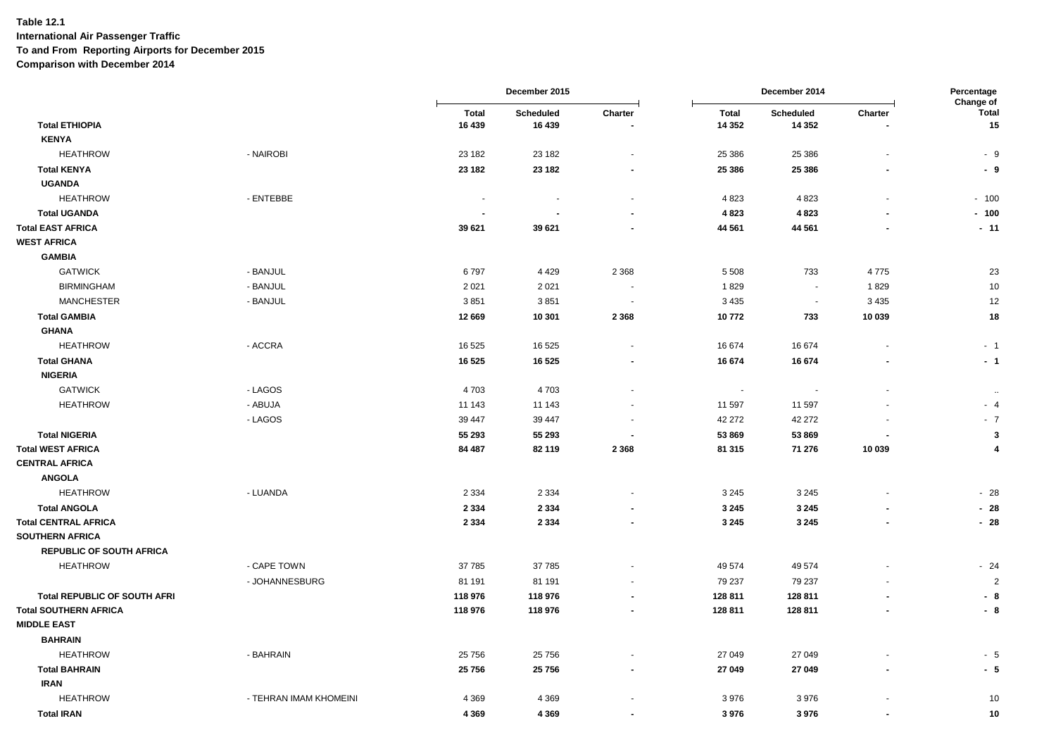|                                     |                        |              | December 2015 |                          |                          | December 2014 |                          | Percentage<br>Change of |
|-------------------------------------|------------------------|--------------|---------------|--------------------------|--------------------------|---------------|--------------------------|-------------------------|
|                                     |                        | <b>Total</b> | Scheduled     | Charter                  | <b>Total</b>             | Scheduled     | Charter                  | <b>Total</b>            |
| <b>Total ETHIOPIA</b>               |                        | 16 439       | 16 439        |                          | 14 3 52                  | 14 3 5 2      |                          | 15                      |
| <b>KENYA</b>                        |                        |              |               |                          |                          |               |                          |                         |
| <b>HEATHROW</b>                     | - NAIROBI              | 23 182       | 23 182        | $\overline{\phantom{a}}$ | 25 386                   | 25 386        |                          | $-9$                    |
| <b>Total KENYA</b>                  |                        | 23 182       | 23 182        | $\blacksquare$           | 25 386                   | 25 3 86       |                          | - 9                     |
| <b>UGANDA</b>                       |                        |              |               |                          |                          |               |                          |                         |
| <b>HEATHROW</b>                     | - ENTEBBE              | $\sim$       |               |                          | 4823                     | 4823          |                          | $-100$                  |
| <b>Total UGANDA</b>                 |                        |              |               |                          | 4 8 2 3                  | 4823          |                          | $-100$                  |
| <b>Total EAST AFRICA</b>            |                        | 39 621       | 39 621        | $\blacksquare$           | 44 561                   | 44 561        |                          | $-11$                   |
| <b>WEST AFRICA</b>                  |                        |              |               |                          |                          |               |                          |                         |
| <b>GAMBIA</b>                       |                        |              |               |                          |                          |               |                          |                         |
| <b>GATWICK</b>                      | - BANJUL               | 6797         | 4 4 2 9       | 2 3 6 8                  | 5 5 0 8                  | 733           | 4775                     | 23                      |
| <b>BIRMINGHAM</b>                   | - BANJUL               | 2 0 2 1      | 2 0 2 1       | $\overline{\phantom{a}}$ | 1829                     | $\sim$        | 1829                     | 10                      |
| <b>MANCHESTER</b>                   | - BANJUL               | 3851         | 3851          | $\overline{\phantom{a}}$ | 3 4 3 5                  | $\sim$        | 3 4 3 5                  | 12                      |
| <b>Total GAMBIA</b>                 |                        | 12 669       | 10 301        | 2 3 6 8                  | 10772                    | 733           | 10 039                   | 18                      |
| <b>GHANA</b>                        |                        |              |               |                          |                          |               |                          |                         |
| <b>HEATHROW</b>                     | - ACCRA                | 16525        | 16 525        | $\blacksquare$           | 16 674                   | 16674         | $\overline{\phantom{a}}$ | $-1$                    |
| <b>Total GHANA</b>                  |                        | 16 5 25      | 16 5 25       | $\blacksquare$           | 16 674                   | 16 674        |                          | $-1$                    |
| <b>NIGERIA</b>                      |                        |              |               |                          |                          |               |                          |                         |
| <b>GATWICK</b>                      | - LAGOS                | 4703         | 4703          |                          | $\overline{\phantom{a}}$ |               |                          | $\ddotsc$               |
| <b>HEATHROW</b>                     | - ABUJA                | 11 143       | 11 143        | $\blacksquare$           | 11 597                   | 11 597        |                          | - 4                     |
|                                     | - LAGOS                | 39 447       | 39 447        |                          | 42 27 2                  | 42 27 2       |                          | $-7$                    |
| <b>Total NIGERIA</b>                |                        | 55 293       | 55 293        |                          | 53 869                   | 53 869        |                          | 3                       |
| <b>Total WEST AFRICA</b>            |                        | 84 487       | 82 119        | 2 3 6 8                  | 81 315                   | 71 276        | 10 039                   | 4                       |
| <b>CENTRAL AFRICA</b>               |                        |              |               |                          |                          |               |                          |                         |
| <b>ANGOLA</b>                       |                        |              |               |                          |                          |               |                          |                         |
| <b>HEATHROW</b>                     | - LUANDA               | 2 3 3 4      | 2 3 3 4       |                          | 3 2 4 5                  | 3 2 4 5       |                          | $-28$                   |
| <b>Total ANGOLA</b>                 |                        | 2 3 3 4      | 2 3 3 4       |                          | 3 2 4 5                  | 3 2 4 5       |                          | $-28$                   |
| <b>Total CENTRAL AFRICA</b>         |                        | 2 3 3 4      | 2 3 3 4       | $\blacksquare$           | 3 2 4 5                  | 3 2 4 5       |                          | $-28$                   |
| <b>SOUTHERN AFRICA</b>              |                        |              |               |                          |                          |               |                          |                         |
| <b>REPUBLIC OF SOUTH AFRICA</b>     |                        |              |               |                          |                          |               |                          |                         |
| <b>HEATHROW</b>                     | - CAPE TOWN            | 37785        | 37 785        | ä,                       | 49 574                   | 49 574        |                          | $-24$                   |
|                                     | - JOHANNESBURG         | 81 191       | 81 191        |                          | 79 237                   | 79 237        |                          | $\overline{2}$          |
| <b>Total REPUBLIC OF SOUTH AFRI</b> |                        | 118976       | 118 976       | $\blacksquare$           | 128 811                  | 128 811       |                          | - 8                     |
| <b>Total SOUTHERN AFRICA</b>        |                        | 118 976      | 118 976       | $\blacksquare$           | 128 811                  | 128 811       |                          | - 8                     |
| <b>MIDDLE EAST</b>                  |                        |              |               |                          |                          |               |                          |                         |
| <b>BAHRAIN</b>                      |                        |              |               |                          |                          |               |                          |                         |
| <b>HEATHROW</b>                     | - BAHRAIN              | 25 7 5 6     | 25 7 5 6      |                          | 27 049                   | 27 049        |                          | $-5$                    |
| <b>Total BAHRAIN</b>                |                        | 25 7 56      | 25 7 56       |                          | 27 049                   | 27 049        |                          | - 5                     |
| <b>IRAN</b>                         |                        |              |               |                          |                          |               |                          |                         |
| <b>HEATHROW</b>                     | - TEHRAN IMAM KHOMEINI | 4 3 6 9      | 4 3 6 9       |                          | 3976                     | 3976          |                          | 10                      |
| <b>Total IRAN</b>                   |                        | 4 3 6 9      | 4 3 6 9       | $\overline{\phantom{a}}$ | 3976                     | 3976          |                          | 10                      |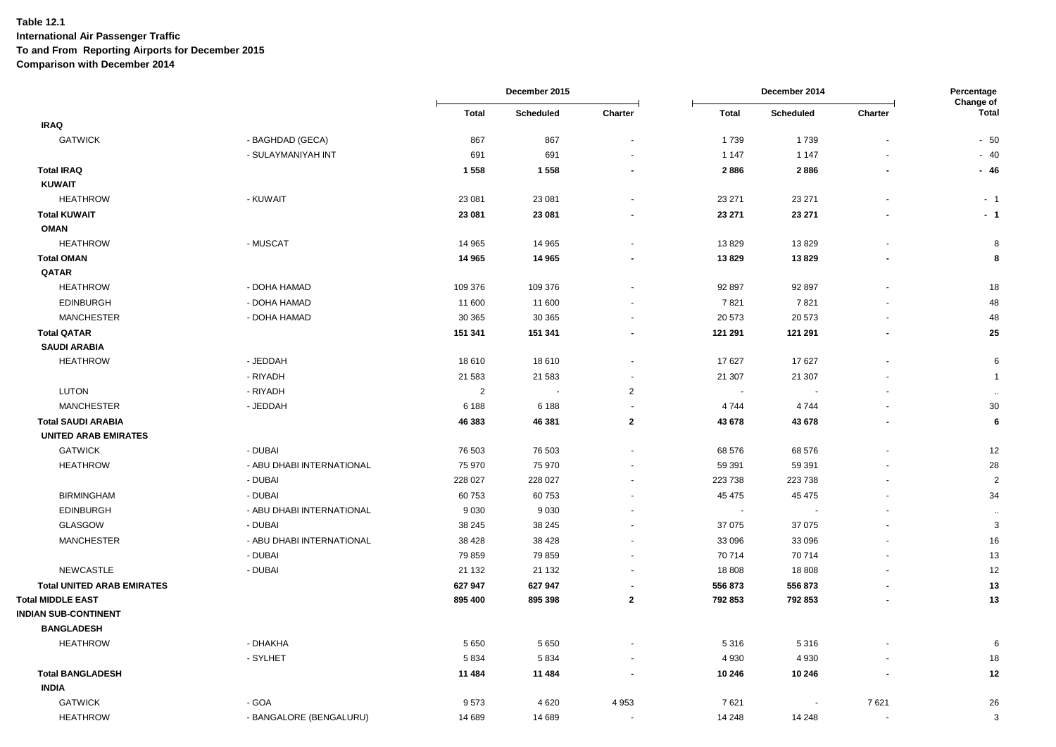|                                   |                           |                | December 2015 |                          |                | December 2014            |         | Percentage<br>Change of |
|-----------------------------------|---------------------------|----------------|---------------|--------------------------|----------------|--------------------------|---------|-------------------------|
|                                   |                           | <b>Total</b>   | Scheduled     | Charter                  | <b>Total</b>   | Scheduled                | Charter | <b>Total</b>            |
| <b>IRAQ</b>                       |                           |                |               |                          |                |                          |         |                         |
| <b>GATWICK</b>                    | - BAGHDAD (GECA)          | 867            | 867           |                          | 1739           | 1739                     |         | $-50$                   |
|                                   | - SULAYMANIYAH INT        | 691            | 691           | $\blacksquare$           | 1 1 4 7        | 1 1 4 7                  |         | $-40$                   |
| <b>Total IRAQ</b>                 |                           | 1558           | 1558          |                          | 2886           | 2886                     |         | $-46$                   |
| <b>KUWAIT</b>                     |                           |                |               |                          |                |                          |         |                         |
| <b>HEATHROW</b>                   | - KUWAIT                  | 23 081         | 23 081        |                          | 23 271         | 23 271                   |         | $-1$                    |
| <b>Total KUWAIT</b>               |                           | 23 081         | 23 081        |                          | 23 271         | 23 271                   |         | $-1$                    |
| <b>OMAN</b>                       |                           |                |               |                          |                |                          |         |                         |
| <b>HEATHROW</b>                   | - MUSCAT                  | 14 965         | 14 965        |                          | 13829          | 13829                    |         | 8                       |
| <b>Total OMAN</b>                 |                           | 14 965         | 14 965        | $\blacksquare$           | 13829          | 13829                    |         | 8                       |
| QATAR                             |                           |                |               |                          |                |                          |         |                         |
| <b>HEATHROW</b>                   | - DOHA HAMAD              | 109 376        | 109 376       |                          | 92 897         | 92 897                   |         | 18                      |
| <b>EDINBURGH</b>                  | - DOHA HAMAD              | 11 600         | 11 600        |                          | 7821           | 7821                     |         | 48                      |
| <b>MANCHESTER</b>                 | - DOHA HAMAD              | 30 365         | 30 365        |                          | 20 573         | 20 573                   |         | 48                      |
| <b>Total QATAR</b>                |                           | 151 341        | 151 341       |                          | 121 291        | 121 291                  |         | 25                      |
| <b>SAUDI ARABIA</b>               |                           |                |               |                          |                |                          |         |                         |
| <b>HEATHROW</b>                   | - JEDDAH                  | 18 610         | 18610         |                          | 17627          | 17627                    |         | 6                       |
|                                   | - RIYADH                  | 21 583         | 21 583        | $\sim$                   | 21 307         | 21 307                   |         | $\overline{1}$          |
| <b>LUTON</b>                      | - RIYADH                  | $\overline{2}$ |               | $\overline{c}$           | $\blacksquare$ |                          |         | $\ddotsc$               |
| <b>MANCHESTER</b>                 | - JEDDAH                  | 6 188          | 6 1 8 8       |                          | 4744           | 4744                     |         | 30                      |
| <b>Total SAUDI ARABIA</b>         |                           | 46 383         | 46 381        | $\overline{2}$           | 43 678         | 43 678                   |         | 6                       |
| <b>UNITED ARAB EMIRATES</b>       |                           |                |               |                          |                |                          |         |                         |
| <b>GATWICK</b>                    | - DUBAI                   | 76 503         | 76 503        | $\sim$                   | 68 576         | 68 576                   |         | 12                      |
| <b>HEATHROW</b>                   | - ABU DHABI INTERNATIONAL | 75 970         | 75 970        |                          | 59 391         | 59 391                   |         | 28                      |
|                                   | - DUBAI                   | 228 027        | 228 027       | $\overline{\phantom{a}}$ | 223 738        | 223738                   |         | $\overline{2}$          |
| <b>BIRMINGHAM</b>                 | - DUBAI                   | 60 753         | 60753         |                          | 45 475         | 45 475                   |         | 34                      |
| <b>EDINBURGH</b>                  | - ABU DHABI INTERNATIONAL | 9 0 3 0        | 9030          | $\overline{\phantom{a}}$ | $\sim$         |                          |         | $\ddotsc$               |
| <b>GLASGOW</b>                    | - DUBAI                   | 38 245         | 38 245        |                          | 37 075         | 37 075                   |         | 3                       |
| <b>MANCHESTER</b>                 | - ABU DHABI INTERNATIONAL | 38 4 28        | 38 4 28       |                          | 33 096         | 33 096                   |         | 16                      |
|                                   | - DUBAI                   | 79 859         | 79 859        |                          | 70 714         | 70714                    |         | 13                      |
| <b>NEWCASTLE</b>                  | - DUBAI                   | 21 132         | 21 132        |                          | 18 808         | 18808                    |         | 12                      |
| <b>Total UNITED ARAB EMIRATES</b> |                           | 627 947        | 627 947       |                          | 556 873        | 556 873                  |         | 13                      |
| <b>Total MIDDLE EAST</b>          |                           | 895 400        | 895 398       | $\mathbf{2}$             | 792 853        | 792 853                  |         | 13                      |
| <b>INDIAN SUB-CONTINENT</b>       |                           |                |               |                          |                |                          |         |                         |
| <b>BANGLADESH</b>                 |                           |                |               |                          |                |                          |         |                         |
| <b>HEATHROW</b>                   | - DHAKHA                  | 5 6 5 0        | 5 6 5 0       |                          | 5316           | 5316                     |         | 6                       |
|                                   | - SYLHET                  | 5834           | 5834          |                          | 4 9 3 0        | 4930                     |         | 18                      |
| <b>Total BANGLADESH</b>           |                           | 11 484         | 11 484        |                          | 10 246         | 10 246                   |         | 12                      |
| <b>INDIA</b>                      |                           |                |               |                          |                |                          |         |                         |
| <b>GATWICK</b>                    | - GOA                     | 9573           | 4 6 20        | 4 9 5 3                  | 7621           | $\overline{\phantom{a}}$ | 7621    | 26                      |
| <b>HEATHROW</b>                   | - BANGALORE (BENGALURU)   | 14 689         | 14 689        |                          | 14 248         | 14 248                   |         | 3                       |
|                                   |                           |                |               |                          |                |                          |         |                         |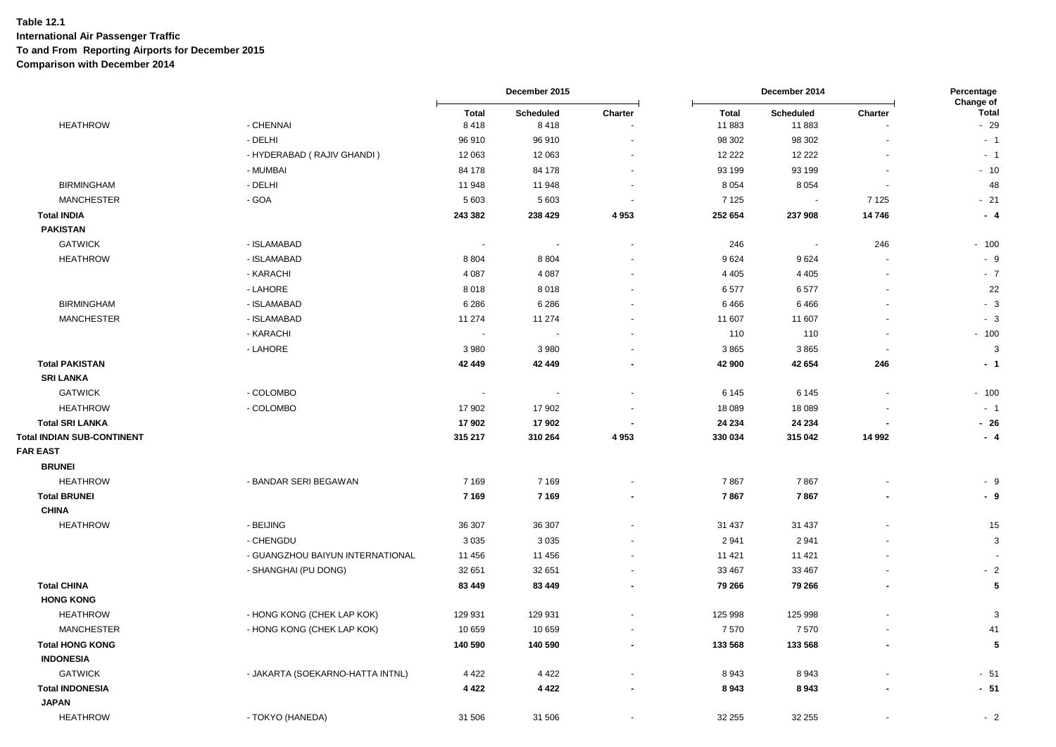|                                           |                                  |                      | December 2015            |                          | December 2014         |                    | Percentage<br>Change of |                       |
|-------------------------------------------|----------------------------------|----------------------|--------------------------|--------------------------|-----------------------|--------------------|-------------------------|-----------------------|
| <b>HEATHROW</b>                           | - CHENNAI                        | <b>Total</b><br>8418 | Scheduled<br>8418        | Charter                  | <b>Total</b><br>11883 | Scheduled<br>11883 | Charter                 | <b>Total</b><br>$-29$ |
|                                           | - DELHI                          | 96 910               | 96 910                   |                          | 98 302                | 98 302             |                         | $-1$                  |
|                                           | - HYDERABAD (RAJIV GHANDI)       | 12 063               | 12 063                   |                          | 12 2 2 2              | 12 2 2 2           |                         | $-1$                  |
|                                           | - MUMBAI                         | 84 178               | 84 178                   | $\sim$                   | 93 199                | 93 199             |                         | $-10$                 |
| <b>BIRMINGHAM</b>                         | - DELHI                          | 11 948               | 11 948                   | $\sim$                   | 8 0 5 4               | 8054               |                         | 48                    |
| <b>MANCHESTER</b>                         | - GOA                            | 5 603                | 5 6 0 3                  |                          | 7 1 2 5               |                    | 7 1 2 5                 | $-21$                 |
| <b>Total INDIA</b>                        |                                  | 243 382              | 238 429                  | 4953                     | 252 654               | 237 908            | 14746                   | - 4                   |
| <b>PAKISTAN</b>                           |                                  |                      |                          |                          |                       |                    |                         |                       |
| <b>GATWICK</b>                            | - ISLAMABAD                      | $\sim$               | $\overline{\phantom{a}}$ | $\overline{\phantom{a}}$ | 246                   | $\sim$             | 246                     | $-100$                |
| <b>HEATHROW</b>                           | - ISLAMABAD                      | 8 8 0 4              | 8804                     |                          | 9624                  | 9624               |                         | - 9                   |
|                                           | - KARACHI                        | 4 0 8 7              | 4 0 8 7                  | $\sim$                   | 4 4 0 5               | 4 4 0 5            |                         | $-7$                  |
|                                           | - LAHORE                         | 8018                 | 8018                     |                          | 6577                  | 6577               |                         | 22                    |
| <b>BIRMINGHAM</b>                         | - ISLAMABAD                      | 6 2 8 6              | 6 2 8 6                  | $\overline{\phantom{a}}$ | 6466                  | 6466               |                         | $-3$                  |
| <b>MANCHESTER</b>                         | - ISLAMABAD                      | 11 274               | 11 274                   |                          | 11 607                | 11 607             |                         | $-3$                  |
|                                           | - KARACHI                        | $\sim$               |                          |                          | 110                   | 110                |                         | $-100$                |
|                                           | - LAHORE                         | 3 9 8 0              | 3980                     |                          | 3865                  | 3865               |                         | $\mathbf{3}$          |
| <b>Total PAKISTAN</b><br><b>SRI LANKA</b> |                                  | 42 449               | 42 449                   | $\blacksquare$           | 42 900                | 42 654             | 246                     | - 1                   |
| <b>GATWICK</b>                            | - COLOMBO                        | $\sim$               |                          | $\overline{\phantom{a}}$ | 6 1 4 5               | 6 1 4 5            |                         | $-100$                |
| <b>HEATHROW</b>                           | - COLOMBO                        | 17 902               | 17 902                   |                          | 18 089                | 18 0 89            |                         | $-1$                  |
| <b>Total SRI LANKA</b>                    |                                  | 17 902               | 17 902                   |                          | 24 234                | 24 234             |                         | $-26$                 |
| <b>Total INDIAN SUB-CONTINENT</b>         |                                  | 315 217              | 310 264                  | 4953                     | 330 034               | 315 042            | 14 992                  | $-4$                  |
| <b>FAR EAST</b>                           |                                  |                      |                          |                          |                       |                    |                         |                       |
| <b>BRUNEI</b>                             |                                  |                      |                          |                          |                       |                    |                         |                       |
| <b>HEATHROW</b>                           | - BANDAR SERI BEGAWAN            | 7 1 6 9              | 7 1 6 9                  |                          | 7867                  | 7867               |                         | - 9                   |
| <b>Total BRUNEI</b>                       |                                  | 7 1 6 9              | 7 1 6 9                  | $\blacksquare$           | 7867                  | 7867               |                         | - 9                   |
| <b>CHINA</b>                              |                                  |                      |                          |                          |                       |                    |                         |                       |
| <b>HEATHROW</b>                           | - BEIJING                        | 36 307               | 36 307                   |                          | 31 437                | 31 437             |                         | 15                    |
|                                           | - CHENGDU                        | 3 0 3 5              | 3 0 3 5                  |                          | 2941                  | 2941               |                         | 3                     |
|                                           | - GUANGZHOU BAIYUN INTERNATIONAL | 11 456               | 11 456                   | $\sim$                   | 11 4 21               | 11 4 21            |                         |                       |
|                                           | - SHANGHAI (PU DONG)             | 32 651               | 32 651                   | $\sim$                   | 33 467                | 33 467             |                         | $-2$                  |
| <b>Total CHINA</b>                        |                                  | 83 449               | 83 449                   |                          | 79 266                | 79 266             |                         | 5                     |
| <b>HONG KONG</b>                          |                                  |                      |                          |                          |                       |                    |                         |                       |
| <b>HEATHROW</b>                           | - HONG KONG (CHEK LAP KOK)       | 129 931              | 129 931                  |                          | 125 998               | 125 998            |                         | 3                     |
| <b>MANCHESTER</b>                         | - HONG KONG (CHEK LAP KOK)       | 10 659               | 10 659                   | $\sim$                   | 7570                  | 7570               |                         | 41                    |
| <b>Total HONG KONG</b>                    |                                  | 140 590              | 140 590                  | $\overline{\phantom{a}}$ | 133 568               | 133 568            |                         | 5                     |
| <b>INDONESIA</b>                          |                                  |                      |                          |                          |                       |                    |                         |                       |
| <b>GATWICK</b>                            | - JAKARTA (SOEKARNO-HATTA INTNL) | 4 4 2 2              | 4 4 2 2                  |                          | 8943                  | 8943               |                         | $-51$                 |
| <b>Total INDONESIA</b>                    |                                  | 4 4 2 2              | 4 4 2 2                  | $\blacksquare$           | 8943                  | 8943               |                         | $-51$                 |
| <b>JAPAN</b>                              |                                  |                      |                          |                          |                       |                    |                         |                       |
| <b>HEATHROW</b>                           | - TOKYO (HANEDA)                 | 31 506               | 31 506                   |                          | 32 255                | 32 255             |                         | $-2$                  |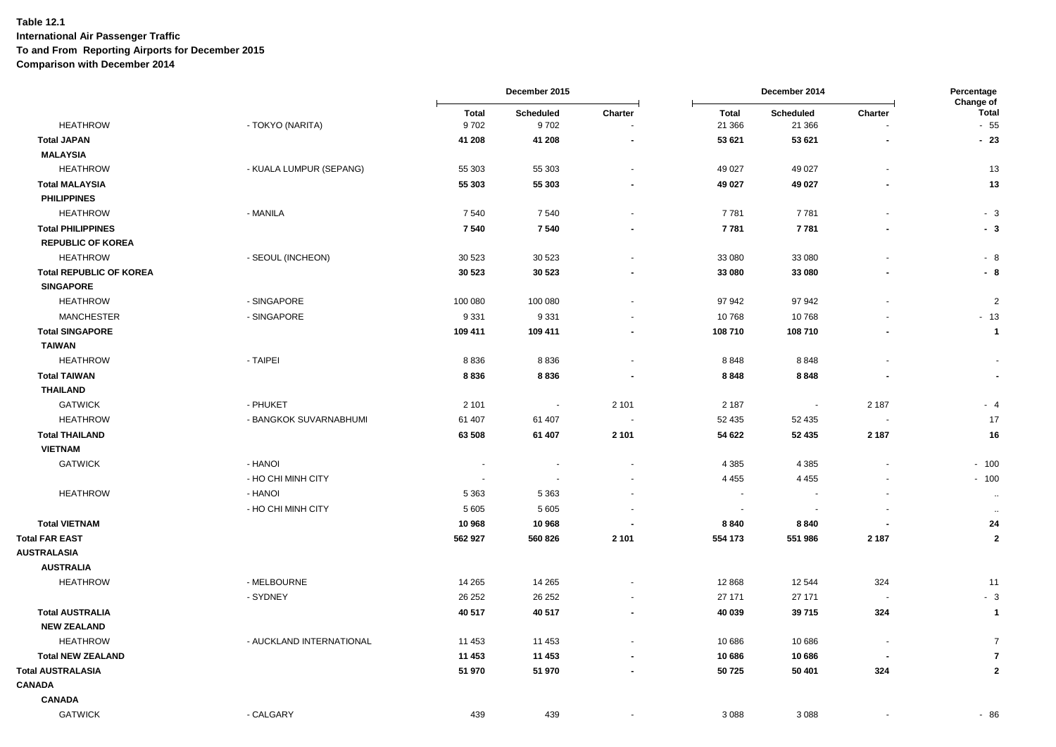|                                |                          | December 2015 |                   |                          |                        | Percentage<br>Change of     |                          |                |
|--------------------------------|--------------------------|---------------|-------------------|--------------------------|------------------------|-----------------------------|--------------------------|----------------|
| <b>HEATHROW</b>                | - TOKYO (NARITA)         | Total<br>9702 | Scheduled<br>9702 | Charter                  | <b>Total</b><br>21 366 | <b>Scheduled</b><br>21 3 66 | Charter                  | Total<br>$-55$ |
| <b>Total JAPAN</b>             |                          | 41 208        | 41 208            | $\blacksquare$           | 53 621                 | 53 621                      |                          | $-23$          |
| <b>MALAYSIA</b>                |                          |               |                   |                          |                        |                             |                          |                |
| <b>HEATHROW</b>                | - KUALA LUMPUR (SEPANG)  | 55 303        | 55 303            | $\overline{a}$           | 49 0 27                | 49 0 27                     |                          | 13             |
| <b>Total MALAYSIA</b>          |                          | 55 303        | 55 303            | $\overline{\phantom{a}}$ | 49 027                 | 49 027                      |                          | 13             |
| <b>PHILIPPINES</b>             |                          |               |                   |                          |                        |                             |                          |                |
| <b>HEATHROW</b>                | - MANILA                 | 7540          | 7540              | $\blacksquare$           | 7781                   | 7781                        |                          | $-3$           |
| <b>Total PHILIPPINES</b>       |                          | 7540          | 7540              | ٠                        | 7781                   | 7781                        |                          | - 3            |
| <b>REPUBLIC OF KOREA</b>       |                          |               |                   |                          |                        |                             |                          |                |
| <b>HEATHROW</b>                | - SEOUL (INCHEON)        | 30 523        | 30 5 23           | $\blacksquare$           | 33 080                 | 33 080                      |                          | - 8            |
| <b>Total REPUBLIC OF KOREA</b> |                          | 30 5 23       | 30 5 23           | $\overline{\phantom{a}}$ | 33 080                 | 33 080                      |                          | - 8            |
| <b>SINGAPORE</b>               |                          |               |                   |                          |                        |                             |                          |                |
| <b>HEATHROW</b>                | - SINGAPORE              | 100 080       | 100 080           | $\ddot{\phantom{1}}$     | 97 942                 | 97942                       |                          | $\overline{2}$ |
| <b>MANCHESTER</b>              | - SINGAPORE              | 9 3 3 1       | 9 3 3 1           |                          | 10768                  | 10768                       |                          | $-13$          |
| <b>Total SINGAPORE</b>         |                          | 109 411       | 109 411           | $\overline{\phantom{a}}$ | 108 710                | 108710                      |                          | $\overline{1}$ |
| <b>TAIWAN</b>                  |                          |               |                   |                          |                        |                             |                          |                |
| <b>HEATHROW</b>                | - TAIPEI                 | 8836          | 8836              | $\blacksquare$           | 8848                   | 8848                        |                          |                |
| <b>Total TAIWAN</b>            |                          | 8836          | 8836              | $\overline{\phantom{a}}$ | 8848                   | 8848                        |                          | $\blacksquare$ |
| <b>THAILAND</b>                |                          |               |                   |                          |                        |                             |                          |                |
| <b>GATWICK</b>                 | - PHUKET                 | 2 1 0 1       | $\sim$            | 2 1 0 1                  | 2 187                  | . <b>.</b>                  | 2 1 8 7                  | $-4$           |
| <b>HEATHROW</b>                | - BANGKOK SUVARNABHUMI   | 61 407        | 61 407            | $\blacksquare$           | 52 435                 | 52 435                      |                          | 17             |
| <b>Total THAILAND</b>          |                          | 63 508        | 61 407            | 2 1 0 1                  | 54 622                 | 52 435                      | 2 1 8 7                  | 16             |
| <b>VIETNAM</b>                 |                          |               |                   |                          |                        |                             |                          |                |
| <b>GATWICK</b>                 | - HANOI                  |               |                   | $\blacksquare$           | 4 3 8 5                | 4 3 8 5                     |                          | $-100$         |
|                                | - HO CHI MINH CITY       | $\sim$        | $\sim$            | $\blacksquare$           | 4 4 5 5                | 4 4 5 5                     |                          | $-100$         |
| <b>HEATHROW</b>                | - HANOI                  | 5 3 6 3       | 5 3 6 3           | $\blacksquare$           | $\sim$                 | <b>.</b>                    |                          | $\cdot\cdot$   |
|                                | - HO CHI MINH CITY       | 5 6 0 5       | 5 6 0 5           |                          |                        |                             |                          | $\sim$         |
| <b>Total VIETNAM</b>           |                          | 10 968        | 10 968            |                          | 8840                   | 8840                        |                          | 24             |
| <b>Total FAR EAST</b>          |                          | 562 927       | 560 826           | 2 1 0 1                  | 554 173                | 551986                      | 2 1 8 7                  | $\mathbf{2}$   |
| <b>AUSTRALASIA</b>             |                          |               |                   |                          |                        |                             |                          |                |
| <b>AUSTRALIA</b>               |                          |               |                   |                          |                        |                             |                          |                |
| <b>HEATHROW</b>                | - MELBOURNE              | 14 2 65       | 14 265            | $\blacksquare$           | 12 8 68                | 12 544                      | 324                      | 11             |
|                                | - SYDNEY                 | 26 25 2       | 26 25 2           | $\blacksquare$           | 27 171                 | 27 171                      |                          | $-3$           |
| <b>Total AUSTRALIA</b>         |                          | 40 517        | 40 517            | $\blacksquare$           | 40 039                 | 39715                       | 324                      | $\overline{1}$ |
| <b>NEW ZEALAND</b>             |                          |               |                   |                          |                        |                             |                          |                |
| <b>HEATHROW</b>                | - AUCKLAND INTERNATIONAL | 11 453        | 11 453            |                          | 10 686                 | 10 686                      | $\overline{\phantom{a}}$ | $\overline{7}$ |
| <b>Total NEW ZEALAND</b>       |                          | 11 453        | 11 453            |                          | 10 686                 | 10686                       | $\blacksquare$           | $\overline{7}$ |
| <b>Total AUSTRALASIA</b>       |                          | 51 970        | 51 970            | ٠                        | 50725                  | 50 401                      | 324                      | $\mathbf{2}$   |
| <b>CANADA</b>                  |                          |               |                   |                          |                        |                             |                          |                |
| <b>CANADA</b>                  |                          |               |                   |                          |                        |                             |                          |                |
| <b>GATWICK</b>                 | - CALGARY                | 439           | 439               |                          | 3 0 8 8                | 3088                        |                          | $-86$          |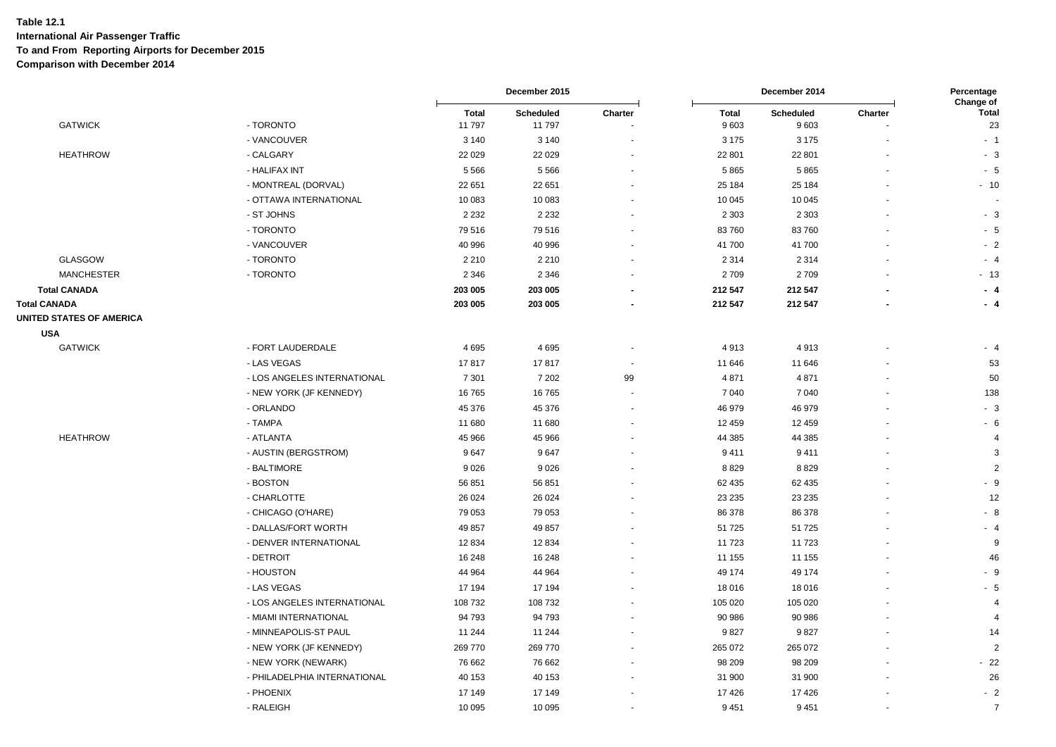|                                                        |                              |                        | December 2015       |                      |                      | December 2014     |                              |                                 |
|--------------------------------------------------------|------------------------------|------------------------|---------------------|----------------------|----------------------|-------------------|------------------------------|---------------------------------|
| <b>GATWICK</b>                                         | - TORONTO                    | <b>Total</b><br>11 797 | Scheduled<br>11 797 | Charter              | <b>Total</b><br>9603 | Scheduled<br>9603 | Charter                      | Change of<br><b>Total</b><br>23 |
|                                                        | - VANCOUVER                  | 3 1 4 0                | 3 1 4 0             |                      | 3 1 7 5              | 3 1 7 5           |                              | $-1$                            |
| <b>HEATHROW</b>                                        | - CALGARY                    | 22 0 29                | 22 0 29             |                      | 22 801               | 22 801            |                              | $-3$                            |
|                                                        | - HALIFAX INT                | 5566                   | 5 5 6 6             |                      | 5865                 | 5865              | $\blacksquare$               | $-5$                            |
|                                                        | - MONTREAL (DORVAL)          | 22 651                 | 22 651              |                      | 25 184               | 25 184            |                              | $-10$                           |
|                                                        | - OTTAWA INTERNATIONAL       | 10 083                 | 10 083              |                      | 10 045               | 10 045            |                              |                                 |
|                                                        | - ST JOHNS                   | 2 2 3 2                | 2 2 3 2             |                      | 2 3 0 3              | 2 3 0 3           |                              | $-3$                            |
|                                                        | - TORONTO                    | 79 516                 | 79516               |                      | 83760                | 83760             |                              | $-5$                            |
|                                                        | - VANCOUVER                  | 40 996                 | 40 996              |                      | 41 700               | 41 700            |                              | $-2$                            |
| GLASGOW                                                | - TORONTO                    | 2 2 1 0                | 2 2 1 0             |                      | 2 3 1 4              | 2314              |                              | $-4$                            |
| <b>MANCHESTER</b>                                      | - TORONTO                    | 2 3 4 6                | 2 3 4 6             |                      | 2709                 | 2709              |                              | $-13$                           |
| <b>Total CANADA</b>                                    |                              | 203 005                | 203 005             | $\blacksquare$       | 212 547              | 212 547           |                              | $-4$                            |
| <b>Total CANADA</b><br><b>UNITED STATES OF AMERICA</b> |                              | 203 005                | 203 005             | $\blacksquare$       | 212 547              | 212 547           | $\overline{a}$               | $-4$                            |
| <b>USA</b>                                             |                              |                        |                     |                      |                      |                   |                              |                                 |
| <b>GATWICK</b>                                         | - FORT LAUDERDALE            | 4695                   | 4695                |                      | 4913                 | 4913              |                              | $-4$                            |
|                                                        | - LAS VEGAS                  | 17817                  | 17817               |                      | 11 646               | 11 646            |                              | 53                              |
|                                                        | - LOS ANGELES INTERNATIONAL  | 7 3 0 1                | 7 2 0 2             | 99                   | 4 8 7 1              | 4 8 7 1           | $\qquad \qquad \blacksquare$ | 50                              |
|                                                        | - NEW YORK (JF KENNEDY)      | 16765                  | 16765               | $\blacksquare$       | 7 0 4 0              | 7040              | $\sim$                       | 138                             |
|                                                        | - ORLANDO                    | 45 376                 | 45 376              | $\overline{a}$       | 46 979               | 46 979            |                              | $-3$                            |
|                                                        | - TAMPA                      | 11 680                 | 11 680              |                      | 12 459               | 12 459            |                              | $-6$                            |
| <b>HEATHROW</b>                                        | - ATLANTA                    | 45 966                 | 45 966              | $\ddot{\phantom{1}}$ | 44 385               | 44 385            |                              | $\overline{4}$                  |
|                                                        | - AUSTIN (BERGSTROM)         | 9647                   | 9647                |                      | 9411                 | 9411              |                              | 3                               |
|                                                        | - BALTIMORE                  | 9 0 26                 | 9026                |                      | 8829                 | 8829              |                              | 2                               |
|                                                        | - BOSTON                     | 56 851                 | 56 851              |                      | 62 435               | 62 435            |                              | $-9$                            |
|                                                        | - CHARLOTTE                  | 26 0 24                | 26 0 24             |                      | 23 235               | 23 235            |                              | 12                              |
|                                                        | - CHICAGO (O'HARE)           | 79 053                 | 79 053              |                      | 86 378               | 86 378            |                              | $-8$                            |
|                                                        | - DALLAS/FORT WORTH          | 49 857                 | 49 857              |                      | 51 725               | 51 725            |                              | $-4$                            |
|                                                        | - DENVER INTERNATIONAL       | 12 8 34                | 12 8 34             |                      | 11 723               | 11723             |                              | 9                               |
|                                                        | - DETROIT                    | 16 248                 | 16 248              |                      | 11 155               | 11 155            |                              | 46                              |
|                                                        | - HOUSTON                    | 44 964                 | 44 964              | $\overline{a}$       | 49 174               | 49 174            | $\overline{a}$               | $-9$                            |
|                                                        | - LAS VEGAS                  | 17 194                 | 17 194              |                      | 18 016               | 18 016            |                              | $-5$                            |
|                                                        | - LOS ANGELES INTERNATIONAL  | 108 732                | 108 732             |                      | 105 020              | 105 020           |                              | $\overline{4}$                  |
|                                                        | - MIAMI INTERNATIONAL        | 94 793                 | 94 793              |                      | 90 986               | 90 986            |                              | $\overline{4}$                  |
|                                                        | - MINNEAPOLIS-ST PAUL        | 11 244                 | 11 244              |                      | 9827                 | 9827              | ٠                            | 14                              |
|                                                        | - NEW YORK (JF KENNEDY)      | 269 770                | 269 770             |                      | 265 072              | 265 072           |                              | $\overline{2}$                  |
|                                                        | - NEW YORK (NEWARK)          | 76 662                 | 76 662              |                      | 98 209               | 98 209            |                              | $-22$                           |
|                                                        | - PHILADELPHIA INTERNATIONAL | 40 153                 | 40 153              |                      | 31 900               | 31 900            |                              | 26                              |
|                                                        | - PHOENIX                    | 17 149                 | 17 149              |                      | 17 4 26              | 17426             |                              | $-2$                            |
|                                                        | - RALEIGH                    | 10 0 95                | 10 0 95             | ä,                   | 9451                 | 9451              |                              | $\overline{7}$                  |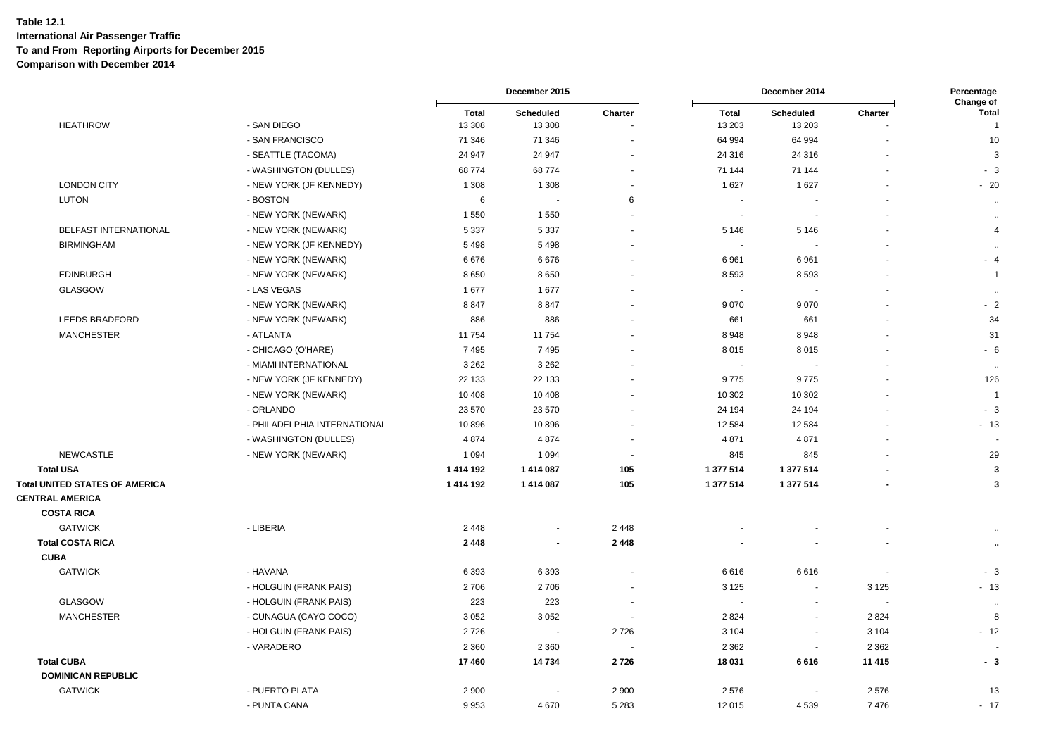|                                       |                              |                        | December 2015       |                          |                        | December 2014            |                          |                                             |  |
|---------------------------------------|------------------------------|------------------------|---------------------|--------------------------|------------------------|--------------------------|--------------------------|---------------------------------------------|--|
| <b>HEATHROW</b>                       | - SAN DIEGO                  | <b>Total</b><br>13 308 | Scheduled<br>13 308 | Charter                  | <b>Total</b><br>13 203 | Scheduled<br>13 20 3     | Charter                  | Change of<br><b>Total</b><br>$\overline{1}$ |  |
|                                       | - SAN FRANCISCO              | 71 346                 | 71 346              | $\sim$                   | 64 994                 | 64 994                   | $\overline{\phantom{a}}$ | 10                                          |  |
|                                       | - SEATTLE (TACOMA)           | 24 947                 | 24 947              |                          | 24 316                 | 24 316                   |                          | 3                                           |  |
|                                       | - WASHINGTON (DULLES)        | 68774                  | 68774               | $\overline{a}$           | 71 144                 | 71 144                   |                          | $-3$                                        |  |
| <b>LONDON CITY</b>                    | - NEW YORK (JF KENNEDY)      | 1 3 0 8                | 1 3 0 8             | $\sim$                   | 1627                   | 1 627                    |                          | $-20$                                       |  |
| <b>LUTON</b>                          | - BOSTON                     | 6                      | $\sim$              | 6                        | $\sim$                 | $\overline{\phantom{a}}$ | $\sim$                   | $\cdots$                                    |  |
|                                       | - NEW YORK (NEWARK)          | 1 5 5 0                | 1550                | $\overline{\phantom{a}}$ | $\blacksquare$         | $\overline{\phantom{a}}$ |                          | $\bullet\bullet$                            |  |
| BELFAST INTERNATIONAL                 | - NEW YORK (NEWARK)          | 5 3 3 7                | 5 3 3 7             |                          | 5 1 4 6                | 5 1 4 6                  |                          | $\overline{4}$                              |  |
| <b>BIRMINGHAM</b>                     | - NEW YORK (JF KENNEDY)      | 5498                   | 5498                |                          | $\sim$                 | $\overline{\phantom{a}}$ |                          | $\sim$                                      |  |
|                                       | - NEW YORK (NEWARK)          | 6676                   | 6676                |                          | 6961                   | 6961                     |                          | $-4$                                        |  |
| <b>EDINBURGH</b>                      | - NEW YORK (NEWARK)          | 8650                   | 8650                |                          | 8 5 9 3                | 8593                     |                          | $\overline{1}$                              |  |
| <b>GLASGOW</b>                        | - LAS VEGAS                  | 1677                   | 1677                |                          | $\blacksquare$         |                          |                          | $\ddotsc$                                   |  |
|                                       | - NEW YORK (NEWARK)          | 8847                   | 8847                |                          | 9 0 7 0                | 9070                     |                          | $-2$                                        |  |
| LEEDS BRADFORD                        | - NEW YORK (NEWARK)          | 886                    | 886                 | $\overline{\phantom{a}}$ | 661                    | 661                      |                          | 34                                          |  |
| <b>MANCHESTER</b>                     | - ATLANTA                    | 11 754                 | 11 754              | $\sim$                   | 8948                   | 8948                     |                          | 31                                          |  |
|                                       | - CHICAGO (O'HARE)           | 7495                   | 7495                |                          | 8015                   | 8015                     |                          | $-6$                                        |  |
|                                       | - MIAMI INTERNATIONAL        | 3 2 6 2                | 3 2 6 2             |                          | $\sim$                 |                          |                          | $\ddotsc$                                   |  |
|                                       | - NEW YORK (JF KENNEDY)      | 22 133                 | 22 133              |                          | 9775                   | 9775                     |                          | 126                                         |  |
|                                       | - NEW YORK (NEWARK)          | 10 408                 | 10 408              |                          | 10 302                 | 10 302                   |                          | $\overline{1}$                              |  |
|                                       | - ORLANDO                    | 23 570                 | 23 570              | $\overline{\phantom{a}}$ | 24 194                 | 24 194                   |                          | $-3$                                        |  |
|                                       | - PHILADELPHIA INTERNATIONAL | 10896                  | 10896               |                          | 12 5 84                | 12584                    |                          | $-13$                                       |  |
|                                       | - WASHINGTON (DULLES)        | 4874                   | 4 8 7 4             | $\sim$                   | 4 8 7 1                | 4871                     |                          |                                             |  |
| <b>NEWCASTLE</b>                      | - NEW YORK (NEWARK)          | 1 0 9 4                | 1 0 9 4             | ÷,                       | 845                    | 845                      |                          | 29                                          |  |
| <b>Total USA</b>                      |                              | 1 414 192              | 1414087             | 105                      | 1 377 514              | 1 377 514                |                          | 3                                           |  |
| <b>Total UNITED STATES OF AMERICA</b> |                              | 1414192                | 1 414 087           | 105                      | 1 377 514              | 1 377 514                |                          | $\mathbf{3}$                                |  |
| <b>CENTRAL AMERICA</b>                |                              |                        |                     |                          |                        |                          |                          |                                             |  |
| <b>COSTA RICA</b>                     |                              |                        |                     |                          |                        |                          |                          |                                             |  |
| <b>GATWICK</b>                        | - LIBERIA                    | 2 4 4 8                | $\sim$              | 2 4 4 8                  |                        |                          |                          |                                             |  |
| <b>Total COSTA RICA</b>               |                              | 2 4 4 8                | $\blacksquare$      | 2 4 4 8                  |                        |                          | $\overline{\phantom{a}}$ | $\ddot{\phantom{a}}$                        |  |
| <b>CUBA</b>                           |                              |                        |                     |                          |                        |                          |                          |                                             |  |
| <b>GATWICK</b>                        | - HAVANA                     | 6 3 9 3                | 6393                | $\blacksquare$           | 6616                   | 6616                     |                          | $-3$                                        |  |
|                                       | - HOLGUIN (FRANK PAIS)       | 2706                   | 2706                | $\blacksquare$           | 3 1 2 5                | $\blacksquare$           | 3 1 2 5                  | $-13$                                       |  |
| <b>GLASGOW</b>                        | - HOLGUIN (FRANK PAIS)       | 223                    | 223                 | $\blacksquare$           | $\blacksquare$         | $\sim$                   |                          | $\ddot{\phantom{1}}$ .                      |  |
| <b>MANCHESTER</b>                     | - CUNAGUA (CAYO COCO)        | 3 0 5 2                | 3 0 5 2             |                          | 2824                   | $\blacksquare$           | 2824                     | 8                                           |  |
|                                       | - HOLGUIN (FRANK PAIS)       | 2726                   | $\sim$              | 2726                     | 3 1 0 4                | $\overline{\phantom{a}}$ | 3 1 0 4                  | $-12$                                       |  |
|                                       | - VARADERO                   | 2 3 6 0                | 2 3 6 0             |                          | 2 3 6 2                | $\overline{\phantom{a}}$ | 2 3 6 2                  |                                             |  |
| <b>Total CUBA</b>                     |                              | 17 460                 | 14734               | 2726                     | 18 031                 | 6616                     | 11 415                   | $-3$                                        |  |
| <b>DOMINICAN REPUBLIC</b>             |                              |                        |                     |                          |                        |                          |                          |                                             |  |
| <b>GATWICK</b>                        | - PUERTO PLATA               | 2 9 0 0                |                     | 2 9 0 0                  | 2576                   | $\overline{\phantom{a}}$ | 2576                     | 13                                          |  |
|                                       | - PUNTA CANA                 | 9953                   | 4670                | 5 2 8 3                  | 12 015                 | 4539                     | 7476                     | $-17$                                       |  |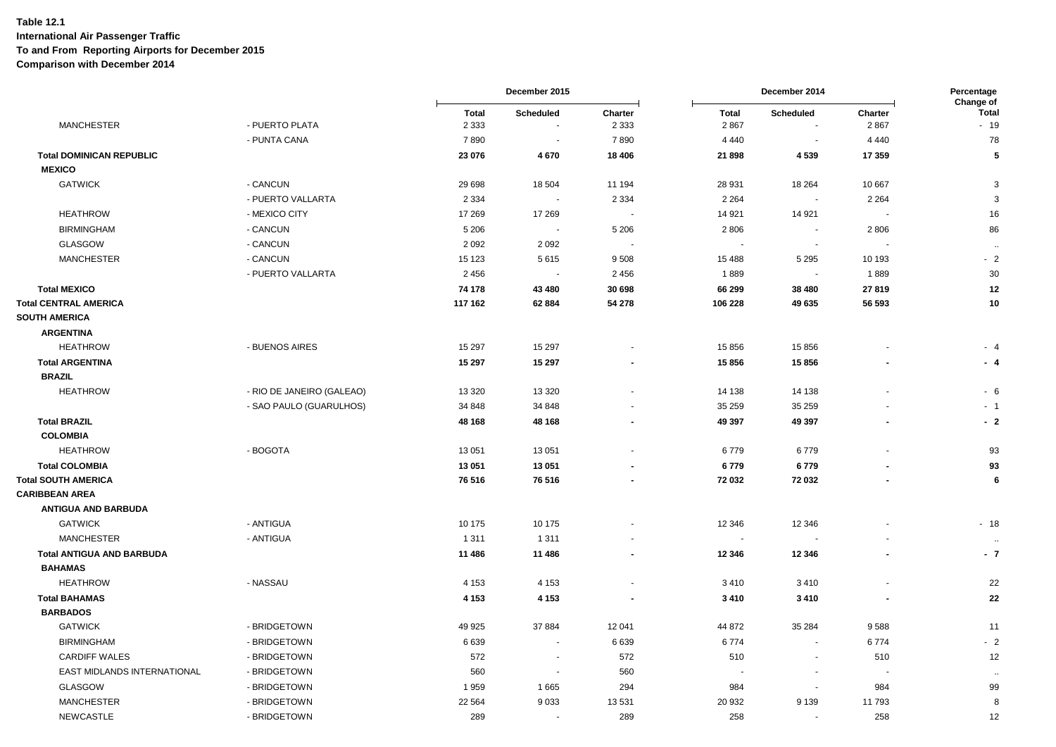|                                  |                           | December 2015           |                            |                          | December 2014            |                                    |                          |                                    |
|----------------------------------|---------------------------|-------------------------|----------------------------|--------------------------|--------------------------|------------------------------------|--------------------------|------------------------------------|
| <b>MANCHESTER</b>                | - PUERTO PLATA            | <b>Total</b><br>2 3 3 3 | <b>Scheduled</b><br>$\sim$ | Charter<br>2 3 3 3       | <b>Total</b><br>2 8 6 7  | <b>Scheduled</b><br>$\blacksquare$ | Charter<br>2867          | Change of<br><b>Total</b><br>$-19$ |
|                                  | - PUNTA CANA              | 7890                    | $\sim$                     | 7890                     | 4 4 4 0                  | $\sim$                             | 4 4 4 0                  | 78                                 |
| <b>Total DOMINICAN REPUBLIC</b>  |                           | 23 076                  | 4670                       | 18 4 06                  | 21 898                   | 4539                               | 17 359                   | $\overline{\mathbf{5}}$            |
| <b>MEXICO</b>                    |                           |                         |                            |                          |                          |                                    |                          |                                    |
| <b>GATWICK</b>                   | - CANCUN                  | 29 6 98                 | 18 504                     | 11 194                   | 28 931                   | 18 2 64                            | 10 667                   | 3                                  |
|                                  | - PUERTO VALLARTA         | 2 3 3 4                 | $\sim$                     | 2 3 3 4                  | 2 2 6 4                  | $\sim$                             | 2 2 6 4                  | $\mathbf{3}$                       |
| <b>HEATHROW</b>                  | - MEXICO CITY             | 17 269                  | 17 269                     | $\sim$                   | 14 9 21                  | 14 9 21                            | $\blacksquare$           | 16                                 |
| <b>BIRMINGHAM</b>                | - CANCUN                  | 5 2 0 6                 | $\sim$                     | 5 2 0 6                  | 2806                     | $\sim$                             | 2806                     | 86                                 |
| <b>GLASGOW</b>                   | - CANCUN                  | 2 0 9 2                 | 2 0 9 2                    | $\sim$                   | $\overline{\phantom{a}}$ | $\sim$                             |                          | $\ddotsc$                          |
| <b>MANCHESTER</b>                | - CANCUN                  | 15 1 23                 | 5615                       | 9508                     | 15 4 88                  | 5 2 9 5                            | 10 193                   | $-2$                               |
|                                  | - PUERTO VALLARTA         | 2 4 5 6                 | $\sim$                     | 2 4 5 6                  | 1889                     | $\overline{\phantom{a}}$           | 1889                     | 30                                 |
| <b>Total MEXICO</b>              |                           | 74 178                  | 43 480                     | 30 698                   | 66 299                   | 38 480                             | 27819                    | 12                                 |
| <b>Total CENTRAL AMERICA</b>     |                           | 117 162                 | 62 884                     | 54 278                   | 106 228                  | 49 635                             | 56 593                   | 10                                 |
| <b>SOUTH AMERICA</b>             |                           |                         |                            |                          |                          |                                    |                          |                                    |
| <b>ARGENTINA</b>                 |                           |                         |                            |                          |                          |                                    |                          |                                    |
| <b>HEATHROW</b>                  | - BUENOS AIRES            | 15 297                  | 15 297                     |                          | 15 856                   | 15856                              |                          | $-4$                               |
| <b>Total ARGENTINA</b>           |                           | 15 297                  | 15 297                     |                          | 15856                    | 15856                              |                          | $-4$                               |
| <b>BRAZIL</b>                    |                           |                         |                            |                          |                          |                                    |                          |                                    |
| <b>HEATHROW</b>                  | - RIO DE JANEIRO (GALEAO) | 13 3 20                 | 13 3 20                    |                          | 14 138                   | 14 138                             |                          | $-6$                               |
|                                  | - SAO PAULO (GUARULHOS)   | 34 848                  | 34 848                     |                          | 35 25 9                  | 35 25 9                            |                          | $-1$                               |
| <b>Total BRAZIL</b>              |                           | 48 168                  | 48 168                     | ÷.                       | 49 397                   | 49 397                             |                          | $-2$                               |
| <b>COLOMBIA</b>                  |                           |                         |                            |                          |                          |                                    |                          |                                    |
| <b>HEATHROW</b>                  | - BOGOTA                  | 13 051                  | 13 051                     | $\overline{\phantom{a}}$ | 6779                     | 6779                               |                          | 93                                 |
| <b>Total COLOMBIA</b>            |                           | 13 051                  | 13 051                     |                          | 6779                     | 6779                               |                          | 93                                 |
| <b>Total SOUTH AMERICA</b>       |                           | 76 516                  | 76 516                     | $\blacksquare$           | 72 032                   | 72 032                             |                          | 6                                  |
| <b>CARIBBEAN AREA</b>            |                           |                         |                            |                          |                          |                                    |                          |                                    |
| <b>ANTIGUA AND BARBUDA</b>       |                           |                         |                            |                          |                          |                                    |                          |                                    |
| <b>GATWICK</b>                   | - ANTIGUA                 | 10 175                  | 10 175                     |                          | 12 346                   | 12 3 46                            |                          | $-18$                              |
| <b>MANCHESTER</b>                | - ANTIGUA                 | 1 3 1 1                 | 1 3 1 1                    |                          | $\blacksquare$           |                                    |                          | $\ddotsc$                          |
| <b>Total ANTIGUA AND BARBUDA</b> |                           | 11 486                  | 11 486                     | $\blacksquare$           | 12 346                   | 12 3 46                            |                          | $-7$                               |
| <b>BAHAMAS</b>                   |                           |                         |                            |                          |                          |                                    |                          |                                    |
| <b>HEATHROW</b>                  | - NASSAU                  | 4 1 5 3                 | 4 1 5 3                    | $\blacksquare$           | 3410                     | 3410                               |                          | 22                                 |
| <b>Total BAHAMAS</b>             |                           | 4 1 5 3                 | 4 1 5 3                    | $\blacksquare$           | 3410                     | 3410                               | $\overline{\phantom{a}}$ | 22                                 |
| <b>BARBADOS</b>                  |                           |                         |                            |                          |                          |                                    |                          |                                    |
| <b>GATWICK</b>                   | - BRIDGETOWN              | 49 925                  | 37 884                     | 12 041                   | 44 872                   | 35 284                             | 9588                     | 11                                 |
| <b>BIRMINGHAM</b>                | - BRIDGETOWN              | 6639                    | $\sim$                     | 6639                     | 6774                     | $\overline{\phantom{a}}$           | 6774                     | $-2$                               |
| <b>CARDIFF WALES</b>             | - BRIDGETOWN              | 572                     | $\sim$                     | 572                      | 510                      | $\overline{\phantom{a}}$           | 510                      | 12                                 |
| EAST MIDLANDS INTERNATIONAL      | - BRIDGETOWN              | 560                     | $\overline{\phantom{a}}$   | 560                      |                          | $\overline{\phantom{a}}$           |                          | .                                  |
| <b>GLASGOW</b>                   | - BRIDGETOWN              | 1959                    | 1665                       | 294                      | 984                      | $\sim$                             | 984                      | 99                                 |
| <b>MANCHESTER</b>                | - BRIDGETOWN              | 22 5 64                 | 9033                       | 13531                    | 20 932                   | 9 1 3 9                            | 11793                    | 8                                  |
| <b>NEWCASTLE</b>                 | - BRIDGETOWN              | 289                     | $\sim$                     | 289                      | 258                      | $\blacksquare$                     | 258                      | 12                                 |
|                                  |                           |                         |                            |                          |                          |                                    |                          |                                    |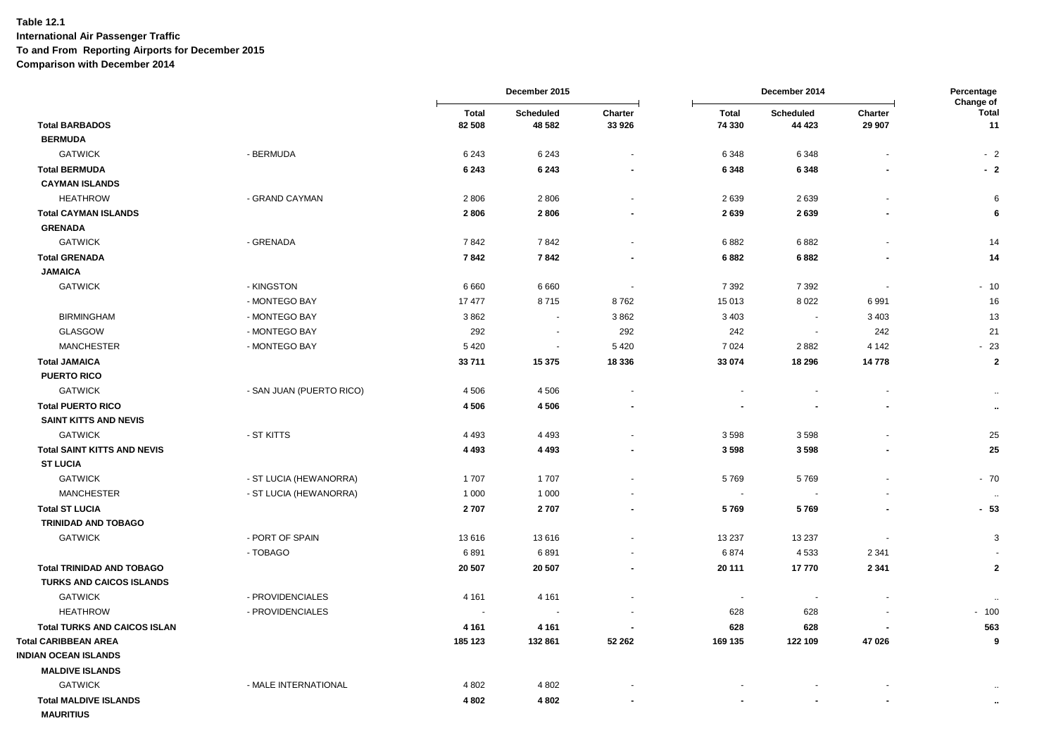|                                     |                          | December 2015 |                          | December 2014            |                          |                          | Percentage<br>Change of  |                      |
|-------------------------------------|--------------------------|---------------|--------------------------|--------------------------|--------------------------|--------------------------|--------------------------|----------------------|
|                                     |                          | <b>Total</b>  | <b>Scheduled</b>         | Charter                  | <b>Total</b>             | Scheduled                | Charter                  | <b>Total</b>         |
| <b>Total BARBADOS</b>               |                          | 82 508        | 48 582                   | 33 926                   | 74 330                   | 44 4 23                  | 29 907                   | 11                   |
| <b>BERMUDA</b>                      |                          |               |                          |                          |                          |                          |                          |                      |
| <b>GATWICK</b>                      | - BERMUDA                | 6 2 4 3       | 6 2 4 3                  | $\blacksquare$           | 6 3 4 8                  | 6348                     |                          | $-2$                 |
| <b>Total BERMUDA</b>                |                          | 6 2 4 3       | 6 2 4 3                  | $\blacksquare$           | 6 3 4 8                  | 6348                     |                          | $-2$                 |
| <b>CAYMAN ISLANDS</b>               |                          |               |                          |                          |                          |                          |                          |                      |
| <b>HEATHROW</b>                     | - GRAND CAYMAN           | 2806          | 2806                     |                          | 2639                     | 2639                     |                          | 6                    |
| <b>Total CAYMAN ISLANDS</b>         |                          | 2806          | 2806                     |                          | 2639                     | 2639                     |                          | 6                    |
| <b>GRENADA</b>                      |                          |               |                          |                          |                          |                          |                          |                      |
| <b>GATWICK</b>                      | - GRENADA                | 7842          | 7842                     | $\blacksquare$           | 6882                     | 6882                     |                          | 14                   |
| <b>Total GRENADA</b>                |                          | 7842          | 7842                     |                          | 6882                     | 6882                     |                          | 14                   |
| <b>JAMAICA</b>                      |                          |               |                          |                          |                          |                          |                          |                      |
| <b>GATWICK</b>                      | - KINGSTON               | 6 6 6 0       | 6 6 6 0                  | $\overline{\phantom{a}}$ | 7 3 9 2                  | 7 3 9 2                  | $\overline{\phantom{a}}$ | $-10$                |
|                                     | - MONTEGO BAY            | 17 477        | 8715                     | 8762                     | 15 013                   | 8022                     | 6991                     | 16                   |
| <b>BIRMINGHAM</b>                   | - MONTEGO BAY            | 3862          | $\sim$                   | 3862                     | 3 4 0 3                  | $\sim$                   | 3 4 0 3                  | 13                   |
| <b>GLASGOW</b>                      | - MONTEGO BAY            | 292           | $\sim$                   | 292                      | 242                      | $\sim$                   | 242                      | 21                   |
| <b>MANCHESTER</b>                   | - MONTEGO BAY            | 5 4 20        | $\sim$                   | 5 4 2 0                  | 7024                     | 2882                     | 4 1 4 2                  | $-23$                |
| <b>Total JAMAICA</b>                |                          | 33711         | 15 375                   | 18 336                   | 33 074                   | 18 29 6                  | 14778                    | $\bf{2}$             |
| <b>PUERTO RICO</b>                  |                          |               |                          |                          |                          |                          |                          |                      |
| <b>GATWICK</b>                      | - SAN JUAN (PUERTO RICO) | 4 5 0 6       | 4 5 0 6                  |                          |                          |                          |                          |                      |
| <b>Total PUERTO RICO</b>            |                          | 4506          | 4506                     | $\blacksquare$           |                          | $\overline{\phantom{a}}$ | ٠                        | $\ddot{\phantom{1}}$ |
| <b>SAINT KITTS AND NEVIS</b>        |                          |               |                          |                          |                          |                          |                          |                      |
| <b>GATWICK</b>                      | - ST KITTS               | 4 4 9 3       | 4 4 9 3                  |                          | 3598                     | 3598                     |                          | 25                   |
| <b>Total SAINT KITTS AND NEVIS</b>  |                          | 4 4 9 3       | 4 4 9 3                  |                          | 3598                     | 3598                     |                          | 25                   |
| <b>ST LUCIA</b>                     |                          |               |                          |                          |                          |                          |                          |                      |
| <b>GATWICK</b>                      | - ST LUCIA (HEWANORRA)   | 1707          | 1707                     |                          | 5769                     | 5769                     |                          | $-70$                |
| <b>MANCHESTER</b>                   | - ST LUCIA (HEWANORRA)   | 1 0 0 0       | 1 0 0 0                  | $\blacksquare$           | $\overline{\phantom{a}}$ | $\sim$                   |                          | $\ddotsc$            |
| <b>Total ST LUCIA</b>               |                          | 2707          | 2707                     | $\blacksquare$           | 5769                     | 5769                     | $\blacksquare$           | $-53$                |
| TRINIDAD AND TOBAGO                 |                          |               |                          |                          |                          |                          |                          |                      |
| <b>GATWICK</b>                      | - PORT OF SPAIN          | 13616         | 13 616                   |                          | 13 2 37                  | 13 2 3 7                 |                          | 3                    |
|                                     | - TOBAGO                 | 6891          | 6891                     | $\sim$                   | 6874                     | 4533                     | 2 3 4 1                  |                      |
| <b>Total TRINIDAD AND TOBAGO</b>    |                          | 20 507        | 20 507                   | $\blacksquare$           | 20 111                   | 17770                    | 2 3 4 1                  | $\mathbf{2}$         |
| <b>TURKS AND CAICOS ISLANDS</b>     |                          |               |                          |                          |                          |                          |                          |                      |
| <b>GATWICK</b>                      | - PROVIDENCIALES         | 4 1 6 1       | 4 1 6 1                  |                          | $\overline{\phantom{a}}$ | $\sim$                   |                          | $\ddot{\phantom{1}}$ |
| <b>HEATHROW</b>                     | - PROVIDENCIALES         | ÷             | $\overline{\phantom{a}}$ | $\overline{\phantom{a}}$ | 628                      | 628                      |                          | $-100$               |
| <b>Total TURKS AND CAICOS ISLAN</b> |                          | 4 1 6 1       | 4 1 6 1                  | $\overline{\phantom{a}}$ | 628                      | 628                      | $\overline{\phantom{a}}$ | 563                  |
| <b>Total CARIBBEAN AREA</b>         |                          | 185 123       | 132 861                  | 52 262                   | 169 135                  | 122 109                  | 47 026                   | 9                    |
| <b>INDIAN OCEAN ISLANDS</b>         |                          |               |                          |                          |                          |                          |                          |                      |
| <b>MALDIVE ISLANDS</b>              |                          |               |                          |                          |                          |                          |                          |                      |
| <b>GATWICK</b>                      | - MALE INTERNATIONAL     | 4 8 0 2       | 4 8 0 2                  |                          |                          |                          |                          |                      |
| <b>Total MALDIVE ISLANDS</b>        |                          | 4802          | 4802                     |                          |                          |                          |                          | $\ddot{\phantom{a}}$ |
| <b>MAURITIUS</b>                    |                          |               |                          |                          |                          |                          |                          |                      |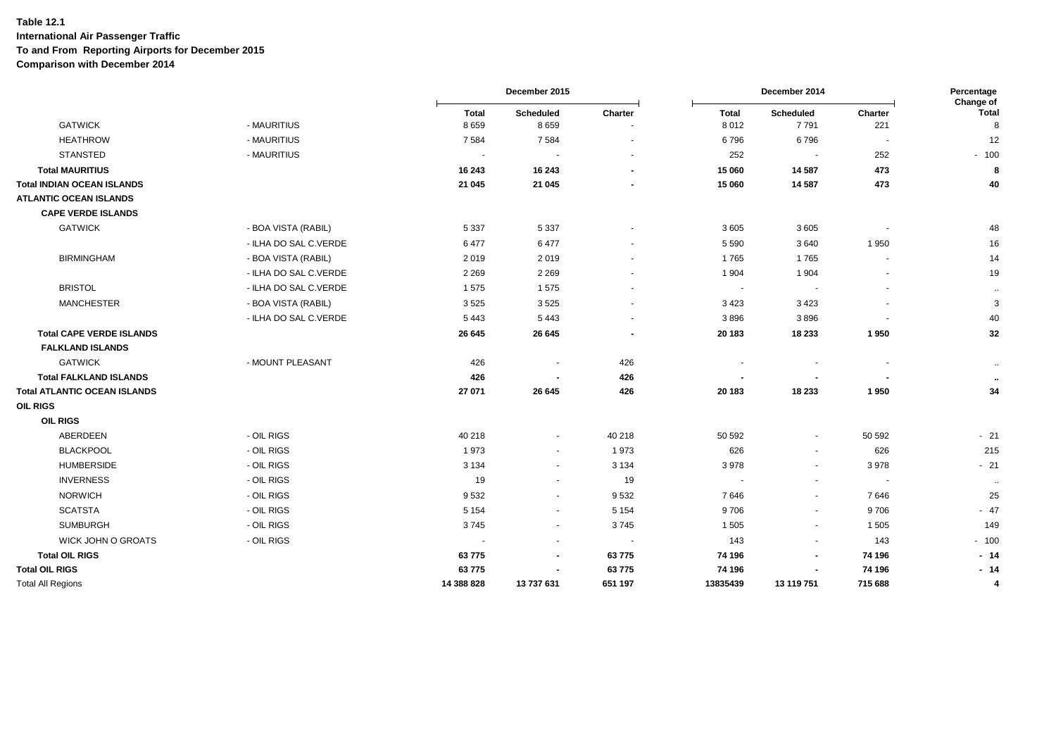|                                 |                       | December 2015 |                          |                          |                          | December 2014            |         |                           |
|---------------------------------|-----------------------|---------------|--------------------------|--------------------------|--------------------------|--------------------------|---------|---------------------------|
|                                 |                       | <b>Total</b>  | Scheduled                | Charter                  | Total                    | Scheduled                | Charter | Change of<br><b>Total</b> |
| <b>GATWICK</b>                  | - MAURITIUS           | 8659          | 8659                     |                          | 8 0 1 2                  | 7791                     | 221     | 8                         |
| <b>HEATHROW</b>                 | - MAURITIUS           | 7 5 8 4       | 7584                     |                          | 6796                     | 6796                     |         | 12                        |
| <b>STANSTED</b>                 | - MAURITIUS           | $\sim$        |                          |                          | 252                      | $\sim$                   | 252     | $-100$                    |
| <b>Total MAURITIUS</b>          |                       | 16 243        | 16 24 3                  | $\sim$                   | 15 060                   | 14 5 8 7                 | 473     | 8                         |
| Total INDIAN OCEAN ISLANDS      |                       | 21 045        | 21 045                   |                          | 15 060                   | 14 5 8 7                 | 473     | 40                        |
| <b>ATLANTIC OCEAN ISLANDS</b>   |                       |               |                          |                          |                          |                          |         |                           |
| <b>CAPE VERDE ISLANDS</b>       |                       |               |                          |                          |                          |                          |         |                           |
| <b>GATWICK</b>                  | - BOA VISTA (RABIL)   | 5 3 3 7       | 5 3 3 7                  |                          | 3605                     | 3605                     |         | 48                        |
|                                 | - ILHA DO SAL C.VERDE | 6477          | 6477                     |                          | 5 5 9 0                  | 3640                     | 1950    | 16                        |
| <b>BIRMINGHAM</b>               | - BOA VISTA (RABIL)   | 2019          | 2019                     |                          | 1765                     | 1765                     |         | 14                        |
|                                 | - ILHA DO SAL C.VERDE | 2 2 6 9       | 2 2 6 9                  |                          | 1 9 0 4                  | 1904                     |         | 19                        |
| <b>BRISTOL</b>                  | - ILHA DO SAL C.VERDE | 1575          | 1575                     |                          | ۰.                       | $\sim$                   |         | $\sim$                    |
| <b>MANCHESTER</b>               | - BOA VISTA (RABIL)   | 3525          | 3525                     |                          | 3 4 2 3                  | 3423                     |         | $\mathbf{3}$              |
|                                 | - ILHA DO SAL C.VERDE | 5 4 4 3       | 5 4 4 3                  |                          | 3896                     | 3896                     |         | 40                        |
| <b>Total CAPE VERDE ISLANDS</b> |                       | 26 645        | 26 645                   | $\overline{\phantom{a}}$ | 20 183                   | 18 233                   | 1950    | 32                        |
| <b>FALKLAND ISLANDS</b>         |                       |               |                          |                          |                          |                          |         |                           |
| <b>GATWICK</b>                  | - MOUNT PLEASANT      | 426           |                          | 426                      |                          |                          |         | $\sim$                    |
| <b>Total FALKLAND ISLANDS</b>   |                       | 426           |                          | 426                      |                          |                          |         | $\cdots$                  |
| Total ATLANTIC OCEAN ISLANDS    |                       | 27 071        | 26 645                   | 426                      | 20 183                   | 18 233                   | 1950    | 34                        |
| OIL RIGS                        |                       |               |                          |                          |                          |                          |         |                           |
| <b>OIL RIGS</b>                 |                       |               |                          |                          |                          |                          |         |                           |
| ABERDEEN                        | - OIL RIGS            | 40 218        | $\blacksquare$           | 40 218                   | 50 592                   | $\sim$                   | 50 592  | $-21$                     |
| <b>BLACKPOOL</b>                | - OIL RIGS            | 1973          | $\blacksquare$           | 1973                     | 626                      | $\overline{\phantom{a}}$ | 626     | 215                       |
| <b>HUMBERSIDE</b>               | - OIL RIGS            | 3 1 3 4       | $\blacksquare$           | 3 1 3 4                  | 3 9 7 8                  | $\sim$                   | 3978    | $-21$                     |
| <b>INVERNESS</b>                | - OIL RIGS            | 19            | $\blacksquare$           | 19                       | $\overline{\phantom{a}}$ | $\overline{\phantom{a}}$ |         | $\sim$                    |
| <b>NORWICH</b>                  | - OIL RIGS            | 9532          | $\blacksquare$           | 9532                     | 7646                     | $\sim$                   | 7646    | 25                        |
| <b>SCATSTA</b>                  | - OIL RIGS            | 5 1 5 4       | $\blacksquare$           | 5 1 5 4                  | 9706                     | $\overline{\phantom{a}}$ | 9706    | $-47$                     |
| <b>SUMBURGH</b>                 | - OIL RIGS            | 3745          | $\blacksquare$           | 3745                     | 1 5 0 5                  | $\overline{\phantom{a}}$ | 1505    | 149                       |
| WICK JOHN O GROATS              | - OIL RIGS            | $\sim$        | $\overline{\phantom{a}}$ | $\sim$                   | 143                      | $\overline{\phantom{a}}$ | 143     | $-100$                    |
| <b>Total OIL RIGS</b>           |                       | 63775         | $\blacksquare$           | 63775                    | 74 196                   | $\blacksquare$           | 74 196  | $-14$                     |
| <b>Total OIL RIGS</b>           |                       | 63775         |                          | 63775                    | 74 196                   |                          | 74 196  | $-14$                     |
| <b>Total All Regions</b>        |                       | 14 388 828    | 13 737 631               | 651 197                  | 13835439                 | 13 119 751               | 715 688 | $\overline{4}$            |